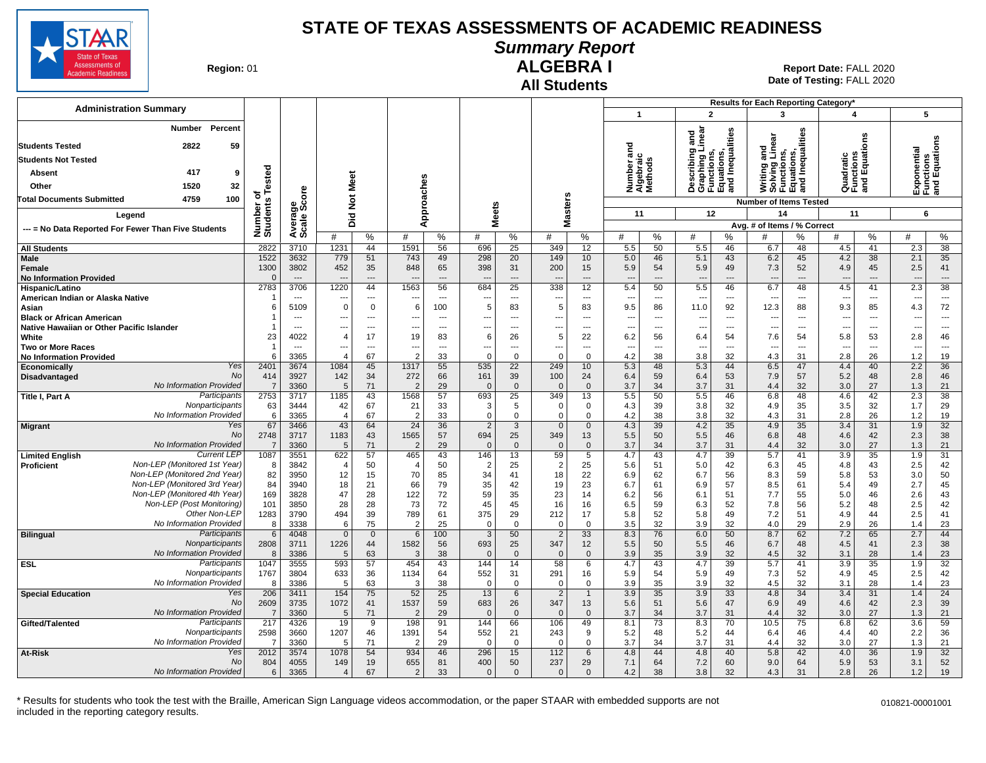

#### **Summary Report**

**Region: 01** 

# **All Students**

**ALGEBRA I** 01 **Report Date:** FALL 2020 **Date of Testing:**  FALL 2020

|                                                              |                              |                                  |                              |                               |                |                                 |                                        |                             |                          |                             |                                   |                      |                                                                              |                          | Results for Each Reporting Category*                                          |                                      |                                        |                          |                                 |                                           |
|--------------------------------------------------------------|------------------------------|----------------------------------|------------------------------|-------------------------------|----------------|---------------------------------|----------------------------------------|-----------------------------|--------------------------|-----------------------------|-----------------------------------|----------------------|------------------------------------------------------------------------------|--------------------------|-------------------------------------------------------------------------------|--------------------------------------|----------------------------------------|--------------------------|---------------------------------|-------------------------------------------|
| <b>Administration Summary</b>                                |                              |                                  |                              |                               |                |                                 |                                        |                             |                          |                             | $\mathbf{1}$                      |                      | $\overline{2}$                                                               |                          | 3                                                                             |                                      | 4                                      |                          |                                 | 5                                         |
| Number<br>Percent<br>59<br><b>Students Tested</b><br>2822    |                              |                                  |                              |                               |                |                                 |                                        |                             |                          |                             | ਹ                                 |                      | Inear<br>and                                                                 | Inequalities             | Writing and<br>Solving Linear<br>Functions,<br>Equations,<br>and Inequalities | Inequalities                         |                                        | δű                       |                                 | Exponential<br>Functions<br>and Equations |
| <b>Students Not Tested</b>                                   |                              |                                  |                              |                               |                |                                 |                                        |                             |                          |                             | 듦                                 |                      |                                                                              |                          |                                                                               |                                      |                                        |                          |                                 |                                           |
| 417<br>9<br><b>Absent</b>                                    |                              |                                  |                              |                               |                |                                 |                                        |                             |                          |                             | Number an<br>Algebraic<br>Methods |                      | <b>Describing</b><br>Graphing Li<br>Functions,<br>Equations,<br>and Inequali |                          |                                                                               |                                      | Quadratic<br>Functions<br>and Equati   |                          |                                 |                                           |
| 1520<br>32<br>Other                                          |                              |                                  |                              | Meet                          |                |                                 |                                        |                             |                          |                             |                                   |                      |                                                                              |                          |                                                                               |                                      |                                        |                          |                                 |                                           |
| 4759<br>100<br>Total Documents Submitted                     |                              |                                  |                              |                               |                |                                 |                                        |                             |                          |                             |                                   |                      | るのに面                                                                         |                          |                                                                               |                                      |                                        |                          |                                 |                                           |
|                                                              |                              | ige<br>Score                     | $\breve{\mathbf{z}}$         |                               |                | pproaches                       |                                        |                             | asters                   |                             |                                   |                      |                                                                              |                          | <b>Number of Items Tested</b>                                                 |                                      |                                        |                          |                                 |                                           |
| Legend                                                       |                              |                                  | Did                          |                               |                |                                 | <b>Meets</b>                           |                             |                          |                             | 11                                |                      | 12                                                                           |                          | 14                                                                            |                                      | 11                                     |                          |                                 | 6                                         |
| --- = No Data Reported For Fewer Than Five Students          | Number of<br>Students Tested | Averag<br>Scale                  | #                            | %                             | #              | ⋖<br>%                          | #                                      | %                           | 5<br>#                   | %                           | #                                 | %                    | #                                                                            | %                        | Avg. # of Items / % Correct<br>#                                              | ℅                                    | #                                      | %                        | #                               | %                                         |
| <b>All Students</b>                                          | 2822                         | 3710                             | 1231                         | 44                            | 1591           | 56                              | 696                                    | 25                          | 349                      | 12                          | 5.5                               | 50                   | 5.5                                                                          | 46                       | 6.7                                                                           | 48                                   | 4.5                                    | 41                       | 2.3                             | 38                                        |
| <b>Male</b><br>Female<br><b>No Information Provided</b>      | 1522<br>1300<br>$\Omega$     | 3632<br>3802<br>$---$            | 779<br>452<br>$\overline{a}$ | 51<br>35<br>$---$             | 743<br>848     | 49<br>65<br>$---$               | 298<br>398<br>$\overline{\phantom{a}}$ | 20<br>31<br>---             | 149<br>200               | 10<br>15<br>---             | 5.0<br>5.9<br>$\overline{a}$      | 46<br>54<br>---      | 5.1<br>5.9<br>---                                                            | 43<br>49<br>$---$        | 6.2<br>7.3                                                                    | 45<br>52<br>$\overline{\phantom{a}}$ | 4.2<br>4.9<br>$\overline{\phantom{a}}$ | 38<br>45<br>---          | 2.1<br>2.5<br>$\overline{a}$    | 35<br>41<br>$---$                         |
| Hispanic/Latino                                              | 2783                         | 3706                             | 1220                         | 44                            | 1563           | 56                              | 684                                    | 25                          | 338                      | 12                          | 5.4                               | 50                   | 5.5                                                                          | 46                       | 6.7                                                                           | 48                                   | 4.5                                    | 41                       | 2.3                             | 38                                        |
| American Indian or Alaska Native<br>Asian                    | f.<br>6                      | $\overline{\phantom{a}}$<br>5109 | --<br>$\mathbf 0$            | $\overline{a}$<br>$\mathsf 0$ | 6              | $\overline{\phantom{a}}$<br>100 | $\overline{\phantom{a}}$<br>5          | ---<br>83                   | 5                        | ---<br>83                   | $\overline{\phantom{a}}$<br>9.5   | $\overline{a}$<br>86 | ---<br>11.0                                                                  | ---<br>92                | 12.3                                                                          | $\overline{\phantom{a}}$<br>88       | ---<br>9.3                             | ---<br>85                | $\overline{\phantom{a}}$<br>4.3 | $---$<br>72                               |
| <b>Black or African American</b>                             | 1                            | $\overline{\phantom{a}}$         | ---                          | ---                           |                | $\overline{\phantom{a}}$        | ---                                    | ---                         | $\overline{\phantom{a}}$ | ---                         | ---                               | ---                  | ---                                                                          | $\overline{\phantom{a}}$ |                                                                               | $\overline{\phantom{a}}$             | ---                                    | ---                      | $\overline{\phantom{a}}$        | $\overline{\phantom{a}}$                  |
| Native Hawaiian or Other Pacific Islander                    | $\mathbf 1$                  | $---$                            | ---                          | $\sim$                        | $\overline{a}$ | $---$                           | ---                                    | ---                         | ---                      | ---                         | $---$                             | $\overline{a}$       | ---                                                                          | $\sim$                   | $\sim$                                                                        | $---$                                | $\overline{\phantom{a}}$               | $\overline{a}$           | $\sim$ $\sim$                   | $\overline{a}$                            |
| White                                                        | 23                           | 4022                             | $\overline{4}$               | 17                            | 19             | 83                              | 6                                      | 26                          | 5                        | 22                          | 6.2                               | 56                   | 6.4                                                                          | 54                       | 7.6                                                                           | 54                                   | 5.8                                    | 53                       | 2.8                             | 46                                        |
| <b>Two or More Races</b>                                     | 1                            | $-$                              | ---                          | $\sim$                        | $\overline{a}$ | $\overline{a}$                  | ---                                    | $\overline{a}$              | $\overline{\phantom{a}}$ | ---                         | $\overline{\phantom{a}}$          | $\overline{a}$       | $\overline{\phantom{a}}$                                                     | $\sim$                   | $\overline{a}$                                                                | $\overline{\phantom{a}}$             | $\overline{\phantom{a}}$               | $\overline{\phantom{a}}$ | ---                             | $\sim$ $\sim$ $\sim$                      |
| <b>No Information Provided</b><br>Yes                        | 6<br>2401                    | 3365                             | $\overline{4}$<br>1084       | 67                            | $\overline{2}$ | 33<br>55                        | $\Omega$<br>535                        | $\Omega$<br>$\overline{22}$ | $\Omega$                 | $\Omega$                    | 4.2                               | 38<br>48             | 3.8                                                                          | 32                       | 4.3<br>6.5                                                                    | 31                                   | 2.8                                    | 26                       | 1.2                             | 19<br>36                                  |
| Economically<br>No<br>Disadvantaged                          | 414                          | 3674<br>3927                     | 142                          | 45<br>34                      | 1317<br>272    | 66                              | 161                                    | 39                          | 249<br>100               | 10 <sup>°</sup><br>24       | 5.3<br>6.4                        | 59                   | 5.3<br>6.4                                                                   | 44<br>53                 | 7.9                                                                           | 47<br>57                             | 4.4<br>5.2                             | 40<br>48                 | 2.2<br>2.8                      | 46                                        |
| No Information Provided                                      | $\overline{7}$               | 3360                             | 5                            | 71                            | $\overline{2}$ | 29                              | $\mathbf{0}$                           | $\Omega$                    | $\Omega$                 | $\mathbf{0}$                | 3.7                               | 34                   | 3.7                                                                          | 31                       | 4.4                                                                           | 32                                   | 3.0                                    | 27                       | 1.3                             | 21                                        |
| Participants<br>Title I, Part A                              | 2753                         | 3717                             | 1185                         | 43                            | 1568           | 57                              | 693                                    | 25                          | 349                      | 13                          | 5.5                               | 50                   | 5.5                                                                          | 46                       | 6.8                                                                           | 48                                   | 4.6                                    | 42                       | 2.3                             | 38                                        |
| Nonparticipants                                              | 63                           | 3444                             | 42                           | 67                            | 21             | 33                              | 3                                      | 5                           | $\mathbf 0$              | 0                           | 4.3                               | 39                   | 3.8                                                                          | 32                       | 4.9                                                                           | 35                                   | 3.5                                    | 32                       | 1.7                             | 29                                        |
| No Information Provided<br>Yes                               | 6<br>67                      | 3365<br>3466                     | $\overline{4}$<br>43         | 67<br>64                      | 2<br>24        | 33<br>36                        | $\Omega$<br>$\overline{2}$             | $\mathbf 0$<br>3            | $\Omega$<br>$\Omega$     | $\mathbf 0$<br>$\mathbf{0}$ | 4.2                               | 38                   | 3.8                                                                          | 32<br>35                 | 4.3<br>4.9                                                                    | 31<br>35                             | 2.8                                    | 26<br>31                 | 1.2                             | 19<br>32                                  |
| <b>Migrant</b><br><b>No</b>                                  | 2748                         | 3717                             | 1183                         | 43                            | 1565           | 57                              | 694                                    | 25                          | 349                      | 13                          | 4.3<br>5.5                        | 39<br>50             | 4.2<br>5.5                                                                   | 46                       | 6.8                                                                           | 48                                   | 3.4<br>4.6                             | 42                       | 1.9<br>2.3                      | 38                                        |
| No Information Provided                                      | $\overline{7}$               | 3360                             | 5                            | 71                            | $\overline{2}$ | 29                              | $\mathbf{0}$                           | $\mathbf{0}$                | $\Omega$                 | $\mathbf{0}$                | 3.7                               | 34                   | 3.7                                                                          | 31                       | 4.4                                                                           | 32                                   | 3.0                                    | 27                       | 1.3                             | 21                                        |
| <b>Current LEP</b><br><b>Limited English</b>                 | 1087                         | 3551                             | 622                          | 57                            | 465            | 43                              | 146                                    | 13                          | 59                       | $\overline{5}$              | 4.7                               | 43                   | 4.7                                                                          | 39                       | 5.7                                                                           | 41                                   | 3.9                                    | 35                       | 1.9                             | 31                                        |
| Non-LEP (Monitored 1st Year)<br>Proficient                   | 8                            | 3842                             | $\overline{4}$               | 50                            | $\overline{4}$ | 50                              | $\overline{2}$                         | 25                          | $\overline{2}$           | 25                          | 5.6                               | 51                   | 5.0                                                                          | 42                       | 6.3                                                                           | 45                                   | 4.8                                    | 43                       | 2.5                             | 42                                        |
| Non-LEP (Monitored 2nd Year)<br>Non-LEP (Monitored 3rd Year) | 82<br>84                     | 3950<br>3940                     | 12<br>18                     | 15<br>21                      | 70<br>66       | 85<br>79                        | 34<br>35                               | 41<br>42                    | 18<br>19                 | 22<br>23                    | 6.9<br>6.7                        | 62<br>61             | 6.7<br>6.9                                                                   | 56<br>57                 | 8.3<br>8.5                                                                    | 59<br>61                             | 5.8<br>5.4                             | 53<br>49                 | 3.0<br>2.7                      | 50<br>45                                  |
| Non-LEP (Monitored 4th Year)                                 | 169                          | 3828                             | 47                           | 28                            | 122            | 72                              | 59                                     | 35                          | 23                       | 14                          | 6.2                               | 56                   | 6.1                                                                          | 51                       | 7.7                                                                           | 55                                   | 5.0                                    | 46                       | 2.6                             | 43                                        |
| Non-LEP (Post Monitoring)                                    | 101                          | 3850                             | 28                           | 28                            | 73             | 72                              | 45                                     | 45                          | 16                       | 16                          | 6.5                               | 59                   | 6.3                                                                          | 52                       | 7.8                                                                           | 56                                   | 5.2                                    | 48                       | 2.5                             | 42                                        |
| Other Non-LEP                                                | 1283                         | 3790                             | 494                          | 39                            | 789            | 61                              | 375                                    | 29                          | 212                      | 17                          | 5.8                               | 52                   | 5.8                                                                          | 49                       | 7.2                                                                           | 51                                   | 4.9                                    | 44                       | 2.5                             | 41                                        |
| No Information Provided                                      | 8                            | 3338                             | 6                            | 75                            | $\overline{2}$ | 25                              | $\Omega$                               | $\Omega$                    | $\Omega$                 | $\Omega$                    | 3.5                               | 32                   | 3.9                                                                          | 32                       | 4.0                                                                           | 29                                   | 2.9                                    | 26                       | 1.4                             | 23                                        |
| Participants<br><b>Bilingual</b><br>Nonparticipants          | 6<br>2808                    | 4048<br>3711                     | $\mathbf 0$<br>1226          | $\mathbf 0$<br>44             | 6<br>1582      | 100<br>56                       | 3<br>693                               | 50<br>25                    | $\overline{2}$<br>347    | 33<br>12                    | 8.3<br>5.5                        | 76<br>50             | 6.0<br>5.5                                                                   | 50<br>46                 | 8.7<br>6.7                                                                    | 62<br>48                             | 7.2<br>4.5                             | 65<br>41                 | 2.7<br>2.3                      | 44<br>38                                  |
| No Information Provided                                      | 8                            | 3386                             | 5                            | 63                            | 3              | 38                              | $\Omega$                               | $\Omega$                    | $\Omega$                 | $\mathbf{0}$                | 3.9                               | 35                   | 3.9                                                                          | 32                       | 4.5                                                                           | 32                                   | 3.1                                    | 28                       | 1.4                             | 23                                        |
| <b>ESL</b><br>Participants                                   | 1047                         | 3555                             | 593                          | 57                            | 454            | 43                              | 144                                    | 14                          | 58                       | 6                           | 4.7                               | 43                   | 4.7                                                                          | 39                       | 5.7                                                                           | 41                                   | 3.9                                    | 35                       | 1.9                             | 32                                        |
| Nonparticipants                                              | 1767                         | 3804                             | 633                          | 36                            | 1134           | 64                              | 552                                    | 31                          | 291                      | 16                          | 5.9                               | 54                   | 5.9                                                                          | 49                       | 7.3                                                                           | 52                                   | 4.9                                    | 45                       | 2.5                             | 42                                        |
| No Information Provided                                      | 8                            | 3386                             | 5                            | 63                            | 3              | 38                              | $\mathbf 0$                            | $\overline{0}$              | $\mathbf 0$              | $\mathbf 0$                 | 3.9                               | 35                   | 3.9                                                                          | 32                       | 4.5                                                                           | 32                                   | 3.1                                    | 28                       | 1.4                             | 23                                        |
| Yes<br><b>Special Education</b><br><b>No</b>                 | 206<br>2609                  | 3411<br>3735                     | 154<br>1072                  | 75<br>41                      | 52<br>1537     | 25<br>59                        | 13<br>683                              | 6                           | 2<br>347                 | $\mathbf{1}$                | 3.9                               | 35<br>51             | 3.9                                                                          | 33<br>47                 | 4.8                                                                           | 34<br>49                             | 3.4                                    | 31<br>42                 | 1.4<br>2.3                      | 24<br>39                                  |
| No Information Provided                                      | $\overline{7}$               | 3360                             | 5                            | 71                            | $\overline{c}$ | 29                              | $\Omega$                               | 26<br>$\mathbf{0}$          | $\Omega$                 | 13<br>$\mathbf{0}$          | 5.6<br>3.7                        | 34                   | 5.6<br>3.7                                                                   | 31                       | 6.9<br>4.4                                                                    | 32                                   | 4.6<br>3.0                             | 27                       | 1.3                             | 21                                        |
| Participants<br>Gifted/Talented                              | 217                          | 4326                             | $\overline{19}$              | 9                             | 198            | 91                              | 144                                    | 66                          | 106                      | 49                          | 8.1                               | 73                   | 8.3                                                                          | 70                       | 10.5                                                                          | 75                                   | 6.8                                    | 62                       | 3.6                             | 59                                        |
| Nonparticipants                                              | 2598                         | 3660                             | 1207                         | 46                            | 1391           | 54                              | 552                                    | 21                          | 243                      | 9                           | 5.2                               | 48                   | 5.2                                                                          | 44                       | 6.4                                                                           | 46                                   | 4.4                                    | 40                       | 2.2                             | 36                                        |
| No Information Provided                                      | $\overline{7}$               | 3360                             | -5                           | 71                            | $\overline{2}$ | 29                              | $\Omega$                               | $\overline{0}$              | $\Omega$                 | 0                           | 3.7                               | 34                   | 3.7                                                                          | 31                       | 4.4                                                                           | 32                                   | 3.0                                    | 27                       | 1.3                             | 21                                        |
| At-Risk<br>Yes<br>No                                         | 2012                         | 3574                             | 1078                         | 54                            | 934            | 46                              | 296                                    | 15                          | 112                      | 6                           | 4.8                               | 44                   | 4.8                                                                          | 40                       | 5.8                                                                           | 42                                   | 4.0                                    | 36                       | 1.9                             | 32                                        |
| <b>No Information Provided</b>                               | 804<br>$6\overline{6}$       | 4055<br>3365                     | 149<br>$\overline{4}$        | 19<br>67                      | 655<br>2       | 81<br>33                        | 400<br>$\Omega$                        | 50<br>$\Omega$              | 237<br>$\Omega$          | 29<br>$\Omega$              | 7.1<br>4.2                        | 64<br>38             | 7.2<br>3.8                                                                   | 60<br>32                 | 9.0<br>4.3                                                                    | 64<br>31                             | 5.9<br>2.8                             | 53<br>26                 | 3.1<br>1.2                      | 52<br>19                                  |
|                                                              |                              |                                  |                              |                               |                |                                 |                                        |                             |                          |                             |                                   |                      |                                                                              |                          |                                                                               |                                      |                                        |                          |                                 |                                           |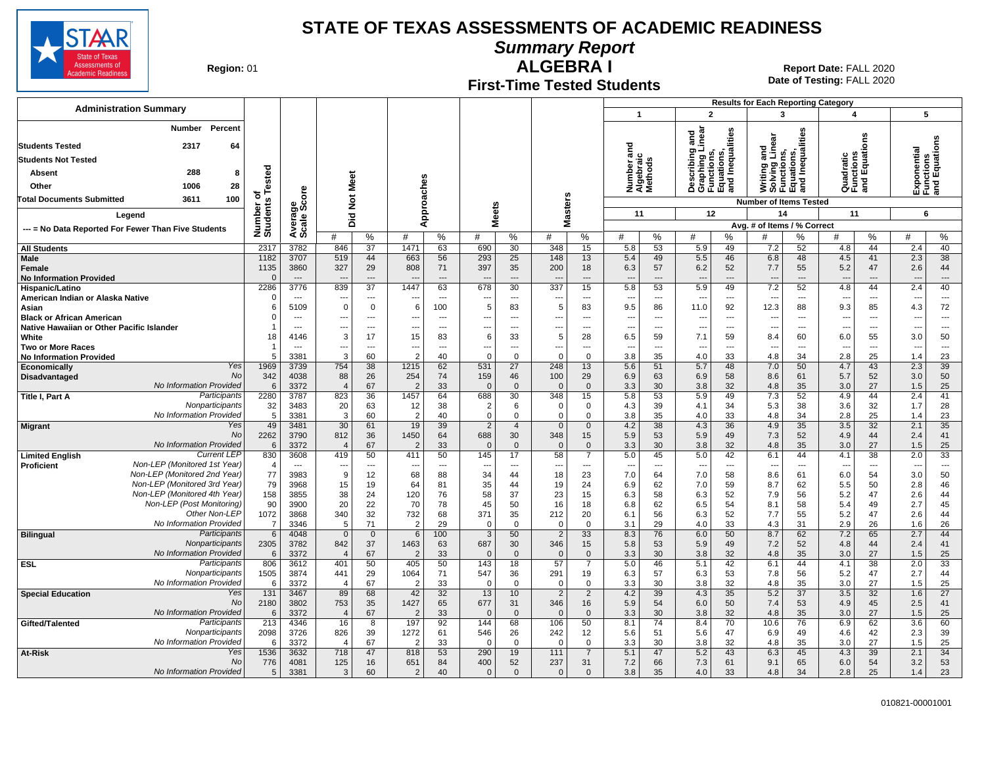

**Summary Report**

**Region: 01** 

#### **First-Time Tested Students ALGEBRA I** 01 **Report Date:** FALL 2020

**Date of Testing:**  FALL 2020

|                                                                         |                       |                                  |                                 |                                         |                          |                                 |                                |                                |                            |                                |                                   |                                |                                                                                   |                                | <b>Results for Each Reporting Category</b>                              |                          |                                      |                          |                                           |                                |
|-------------------------------------------------------------------------|-----------------------|----------------------------------|---------------------------------|-----------------------------------------|--------------------------|---------------------------------|--------------------------------|--------------------------------|----------------------------|--------------------------------|-----------------------------------|--------------------------------|-----------------------------------------------------------------------------------|--------------------------------|-------------------------------------------------------------------------|--------------------------|--------------------------------------|--------------------------|-------------------------------------------|--------------------------------|
| <b>Administration Summary</b>                                           |                       |                                  |                                 |                                         |                          |                                 |                                |                                |                            |                                | $\overline{1}$                    |                                | $\overline{2}$                                                                    |                                | 3                                                                       |                          | 4                                    |                          | 5                                         |                                |
| Percent<br>Number                                                       |                       |                                  |                                 |                                         |                          |                                 |                                |                                |                            |                                |                                   |                                |                                                                                   |                                | Writing and<br>Solving Linear<br>Functions,<br>Equations,<br>Equations, |                          |                                      |                          |                                           |                                |
| <b>Students Tested</b><br>2317<br>64                                    |                       |                                  |                                 |                                         |                          |                                 |                                |                                |                            |                                | ত                                 |                                | Describing and<br>Graphing Linear<br>Functions,<br>Equations,<br>and Inequalities |                                |                                                                         |                          |                                      | ons                      | Exponential<br>Functions<br>and Equations |                                |
| <b>Students Not Tested</b>                                              |                       |                                  |                                 |                                         |                          |                                 |                                |                                |                            |                                | ā,                                |                                |                                                                                   |                                |                                                                         |                          |                                      |                          |                                           |                                |
| 288<br>Absent<br>8                                                      |                       |                                  |                                 |                                         |                          |                                 |                                |                                |                            |                                |                                   |                                |                                                                                   |                                |                                                                         |                          |                                      |                          |                                           |                                |
| 28<br>Other<br>1006                                                     | Tested                |                                  | Meet                            |                                         |                          |                                 |                                |                                |                            |                                | Number ar<br>Algebraic<br>Methods |                                |                                                                                   |                                |                                                                         |                          | Quadratic<br>Functions<br>and Equati |                          |                                           |                                |
| 100<br><b>Total Documents Submitted</b><br>3611                         | ৳                     | ge<br>Score                      | $\frac{5}{2}$                   |                                         |                          |                                 |                                |                                |                            |                                |                                   |                                |                                                                                   |                                | <b>Number of Items Tested</b>                                           |                          |                                      |                          |                                           |                                |
| Legend                                                                  | Number of<br>Students |                                  |                                 |                                         |                          | Approaches                      | <b>Meets</b>                   |                                |                            | <b>Masters</b>                 | 11                                |                                | 12                                                                                |                                | 14                                                                      |                          | 11                                   |                          | 6                                         |                                |
| --- = No Data Reported For Fewer Than Five Students                     |                       | Averare<br>Scale                 | Did                             |                                         |                          |                                 |                                |                                |                            |                                |                                   |                                |                                                                                   |                                | Avg. # of Items / % Correct                                             |                          |                                      |                          |                                           |                                |
|                                                                         |                       |                                  | #                               | %                                       | #                        | %                               | #                              | %                              | #                          | %                              | #                                 | %                              | #                                                                                 | %                              | #                                                                       | %                        | #                                    | %                        | #                                         | $\%$                           |
| <b>All Students</b>                                                     | 2317                  | 3782                             | 846                             | 37                                      | 1471                     | 63                              | 690                            | 30                             | 348                        | 15                             | 5.8                               | 53                             | 5.9                                                                               | 49                             | 7.2                                                                     | 52                       | 4.8                                  | 44                       | 2.4                                       | 40                             |
| Male<br>Female                                                          | 1182<br>1135          | 3707<br>3860                     | 519<br>327                      | 44<br>29                                | 663<br>808               | 56<br>71                        | 293<br>397                     | 25<br>35                       | 148<br>200                 | 13<br>18                       | 5.4<br>6.3                        | 49<br>57                       | 5.5<br>6.2                                                                        | 46<br>52                       | 6.8<br>7.7                                                              | 48<br>55                 | 4.5<br>5.2                           | 41<br>47                 | 2.3<br>2.6                                | 38<br>44                       |
| <b>No Information Provided</b>                                          | $\Omega$              | $\overline{a}$                   |                                 | ---                                     |                          | $\overline{a}$                  | $\overline{\phantom{a}}$       | $\overline{\phantom{a}}$       |                            | ---                            | $\overline{a}$                    | $\overline{a}$                 |                                                                                   | $\overline{a}$                 | $\overline{a}$                                                          | $\overline{\phantom{a}}$ | $\overline{\phantom{a}}$             |                          | $---$                                     | $\overline{\phantom{a}}$       |
| Hispanic/Latino                                                         | 2286                  | 3776                             | 839                             | 37                                      | 1447                     | 63                              | 678                            | 30                             | 337                        | 15                             | 5.8                               | 53                             | 5.9                                                                               | 49                             | 7.2                                                                     | 52                       | 4.8                                  | 44                       | 2.4                                       | 40                             |
| American Indian or Alaska Native<br>Asian                               | $\Omega$<br>6         | $\overline{\phantom{a}}$<br>5109 | ---<br>$\Omega$                 | $\overline{\phantom{a}}$<br>$\mathbf 0$ | ---<br>6                 | $\overline{\phantom{a}}$<br>100 | $\overline{\phantom{a}}$<br>-5 | $\overline{\phantom{a}}$<br>83 | $\sim$<br>5                | ---<br>83                      | ---<br>9.5                        | $---$<br>86                    | $\sim$<br>11.0                                                                    | $\overline{\phantom{a}}$<br>92 | $\overline{\phantom{a}}$<br>12.3                                        | ---<br>88                | $\overline{\phantom{a}}$<br>9.3      | $---$<br>85              | ---<br>4.3                                | $\overline{\phantom{a}}$<br>72 |
| <b>Black or African American</b>                                        | $\Omega$              | $---$                            | ---                             | $---$                                   | ---                      | $\overline{\phantom{a}}$        | ---                            | $\overline{\phantom{a}}$       | ---                        | ---                            | ---                               | $\overline{\phantom{a}}$       | $\overline{\phantom{a}}$                                                          | $\overline{\phantom{a}}$       | ---                                                                     | ---                      | $\overline{\phantom{a}}$             | $\cdots$                 | $---$                                     | ---                            |
| Native Hawaiian or Other Pacific Islander                               | $\mathbf 1$           | $---$                            | ---                             | $\overline{a}$                          | ---                      | $---$                           | ---                            | $---$                          | $- - -$                    | $\sim$                         | ---                               | $---$                          | $\overline{\phantom{a}}$                                                          | $\overline{\phantom{a}}$       | $\overline{\phantom{a}}$                                                | $\sim$                   | $\overline{\phantom{a}}$             | $---$                    | ---                                       | ---                            |
| White<br>Two or More Races                                              | 18<br>$\mathbf{1}$    | 4146<br>$\overline{\phantom{a}}$ | 3<br>---                        | 17<br>---                               | 15<br>---                | 83<br>$\hspace{0.05cm} \ldots$  | 6<br>---                       | 33<br>$\overline{\phantom{a}}$ | 5<br>$---$                 | 28<br>---                      | 6.5<br>$\overline{a}$             | 59<br>$\overline{\phantom{a}}$ | 7.1<br>$\overline{\phantom{a}}$                                                   | 59<br>$\overline{\phantom{a}}$ | 8.4<br>$\overline{\phantom{a}}$                                         | 60<br>---                | 6.0<br>$\overline{\phantom{a}}$      | 55<br>$\cdots$           | 3.0<br>---                                | 50<br>$\overline{\phantom{a}}$ |
| <b>No Information Provided</b>                                          | 5                     | 3381                             | 3                               | 60                                      | $\overline{2}$           | 40                              | $\Omega$                       | $\mathbf 0$                    | $\Omega$                   | $\mathbf 0$                    | 3.8                               | 35                             | 4.0                                                                               | 33                             | 4.8                                                                     | 34                       | 2.8                                  | 25                       | 1.4                                       | 23                             |
| Yes<br><b>Economically</b><br>No                                        | 1969                  | 3739                             | 754                             | 38                                      | 1215                     | 62                              | 531                            | 27                             | 248                        | 13                             | 5.6                               | 51                             | 5.7                                                                               | 48                             | 7.0                                                                     | 50                       | 4.7                                  | 43                       | 2.3                                       | 39                             |
| Disadvantaged<br>No Information Provided                                | 342<br>6              | 4038<br>3372                     | 88<br>$\overline{\mathcal{L}}$  | 26<br>67                                | 254<br>$\overline{2}$    | 74<br>33                        | 159<br>$\overline{0}$          | 46<br>$\mathbf{0}$             | 100<br>$\Omega$            | 29<br>$\mathbf 0$              | 6.9<br>3.3                        | 63<br>30                       | 6.9<br>3.8                                                                        | 58<br>32                       | 8.6<br>4.8                                                              | 61<br>35                 | 5.7<br>3.0                           | 52<br>27                 | 3.0<br>1.5                                | 50<br>25                       |
| Participants<br>Title I, Part A                                         | 2280                  | 3787                             | 823                             | 36                                      | 1457                     | 64                              | 688                            | 30                             | 348                        | 15                             | 5.8                               | 53                             | 5.9                                                                               | 49                             | 7.3                                                                     | 52                       | 4.9                                  | 44                       | 2.4                                       | 41                             |
| Nonparticipants<br>No Information Provided                              | 32<br>5               | 3483<br>3381                     | 20<br>3                         | 63<br>60                                | 12<br>$\overline{2}$     | 38<br>40                        | $\overline{2}$<br>$\Omega$     | 6<br>$\mathbf 0$               | $\mathbf 0$<br>$\mathbf 0$ | $\mathbf 0$<br>$\mathbf 0$     | 4.3<br>3.8                        | 39<br>35                       | 4.1<br>4.0                                                                        | 34<br>33                       | 5.3<br>4.8                                                              | 38<br>34                 | 3.6<br>2.8                           | 32<br>25                 | 1.7                                       | 28<br>23                       |
| Yes<br><b>Migrant</b>                                                   | 49                    | 3481                             | 30                              | 61                                      | 19                       | 39                              | $\overline{2}$                 | $\overline{4}$                 | $\Omega$                   | $\mathbf 0$                    | 4.2                               | 38                             | 4.3                                                                               | 36                             | 4.9                                                                     | 35                       | 3.5                                  | 32                       | 1.4<br>2.1                                | 35                             |
| <b>No</b>                                                               | 2262                  | 3790                             | 812                             | 36                                      | 1450                     | 64                              | 688                            | 30                             | 348                        | 15                             | 5.9                               | 53                             | 5.9                                                                               | 49                             | 7.3                                                                     | 52                       | 4.9                                  | 44                       | 2.4                                       | 41                             |
| No Information Provided<br><b>Current LEP</b><br><b>Limited English</b> | 6<br>830              | 3372<br>3608                     | $\overline{4}$<br>419           | 67<br>50                                | $\overline{2}$<br>411    | 33<br>50                        | $\overline{0}$<br>145          | $\Omega$<br>17                 | $\overline{0}$<br>58       | $\mathbf{0}$<br>$\overline{7}$ | 3.3<br>5.0                        | 30<br>45                       | 3.8<br>5.0                                                                        | 32<br>42                       | 4.8<br>6.1                                                              | 35<br>44                 | 3.0<br>4.1                           | 27<br>38                 | 1.5<br>2.0                                | 25<br>33                       |
| Non-LEP (Monitored 1st Year)<br><b>Proficient</b>                       | $\overline{4}$        | $\overline{\phantom{a}}$         | $\overline{\phantom{a}}$        | ---                                     | $\overline{\phantom{a}}$ | $\overline{\phantom{a}}$        | $\overline{\phantom{a}}$       | $\overline{\phantom{a}}$       | $\overline{\phantom{a}}$   | ---                            | $\overline{\phantom{a}}$          | $\overline{\phantom{a}}$       | $\overline{\phantom{a}}$                                                          | $\overline{\phantom{a}}$       | $\overline{\phantom{a}}$                                                | ---                      | $\overline{\phantom{a}}$             | $\overline{\phantom{a}}$ | ---                                       | $\hspace{0.05cm} \ldots$       |
| Non-LEP (Monitored 2nd Year)                                            | 77                    | 3983                             | 9                               | 12                                      | 68                       | 88                              | 34                             | 44                             | 18                         | 23                             | 7.0                               | 64                             | 7.0                                                                               | 58                             | 8.6                                                                     | 61                       | 6.0                                  | 54                       | 3.0                                       | 50                             |
| Non-LEP (Monitored 3rd Year)<br>Non-LEP (Monitored 4th Year)            | 79<br>158             | 3968<br>3855                     | 15<br>38                        | 19<br>24                                | 64<br>120                | 81<br>76                        | 35<br>58                       | 44<br>37                       | 19<br>23                   | 24<br>15                       | 6.9<br>6.3                        | 62<br>58                       | 7.0<br>6.3                                                                        | 59<br>52                       | 8.7<br>7.9                                                              | 62<br>56                 | 5.5<br>5.2                           | 50<br>47                 | 2.8<br>2.6                                | 46<br>44                       |
| Non-LEP (Post Monitoring)                                               | 90                    | 3900                             | 20                              | 22                                      | 70                       | 78                              | 45                             | 50                             | 16                         | 18                             | 6.8                               | 62                             | 6.5                                                                               | 54                             | 8.1                                                                     | 58                       | 5.4                                  | 49                       | 2.7                                       | 45                             |
| Other Non-LEP                                                           | 1072                  | 3868                             | 340                             | 32                                      | 732                      | 68                              | 371                            | 35                             | 212                        | 20                             | 6.1                               | 56                             | 6.3                                                                               | 52                             | 7.7                                                                     | 55                       | 5.2                                  | 47                       | 2.6                                       | 44                             |
| No Information Provided<br>Participants<br><b>Bilingual</b>             | $\overline{7}$<br>6   | 3346<br>4048                     | 5<br>$\overline{0}$             | 71<br>$\mathbf 0$                       | $\overline{2}$<br>6      | 29<br>100                       | $\overline{0}$<br>$\mathbf{3}$ | $\Omega$<br>50                 | $\Omega$<br>$\overline{2}$ | $\mathbf 0$<br>33              | 3.1<br>8.3                        | 29<br>76                       | 4.0<br>6.0                                                                        | 33<br>50                       | 4.3<br>8.7                                                              | 31<br>62                 | 2.9<br>7.2                           | 26<br>65                 | 1.6<br>2.7                                | 26<br>44                       |
| Nonparticipants                                                         | 2305                  | 3782                             | 842                             | 37                                      | 1463                     | 63                              | 687                            | 30                             | 346                        | 15                             | 5.8                               | 53                             | 5.9                                                                               | 49                             | 7.2                                                                     | 52                       | 4.8                                  | 44                       | 2.4                                       | 41                             |
| No Information Provided                                                 | 6                     | 3372                             | $\overline{\mathcal{L}}$        | 67                                      | 2                        | 33                              | $\overline{0}$                 | $\mathbf 0$                    | $\overline{0}$             | $\mathbf 0$                    | 3.3                               | 30                             | 3.8                                                                               | 32                             | 4.8                                                                     | 35                       | 3.0                                  | 27                       | 1.5                                       | 25                             |
| Participants<br><b>ESL</b><br>Nonparticipants                           | 806<br>1505           | 3612<br>3874                     | 401<br>441                      | 50<br>29                                | 405<br>1064              | 50<br>71                        | 143<br>547                     | 18<br>36                       | 57<br>291                  | 19                             | 5.0<br>6.3                        | 46<br>57                       | 5.1<br>6.3                                                                        | 42<br>53                       | 6.1<br>7.8                                                              | 44<br>56                 | 4.1<br>5.2                           | 38<br>47                 | 2.0<br>2.7                                | $\overline{33}$<br>44          |
| No Information Provided                                                 | 6                     | 3372                             | $\overline{\mathcal{L}}$        | 67                                      | $\overline{2}$           | 33                              | $\overline{0}$                 | $\mathbf 0$                    | $\mathbf 0$                | $\mathbf 0$                    | 3.3                               | 30                             | 3.8                                                                               | 32                             | 4.8                                                                     | 35                       | 3.0                                  | 27                       | 1.5                                       | 25                             |
| Yes<br><b>Special Education</b><br><b>No</b>                            | 131                   | 3467                             | 89                              | 68                                      | 42                       | 32                              | 13                             | 10                             | $\overline{2}$             | $\overline{2}$                 | 4.2                               | 39                             | 4.3                                                                               | 35                             | 5.2                                                                     | 37                       | 3.5                                  | 32                       | 1.6                                       | 27                             |
| No Information Provided                                                 | 2180<br>6             | 3802<br>3372                     | 753<br>$\overline{\mathcal{L}}$ | 35<br>67                                | 1427<br>$\overline{2}$   | 65<br>33                        | 677<br>$\overline{0}$          | 31<br>$\mathbf{0}$             | 346<br>$\Omega$            | 16<br>$\mathbf{0}$             | 5.9<br>3.3                        | 54<br>30                       | 6.0<br>3.8                                                                        | 50<br>32                       | 7.4<br>4.8                                                              | 53<br>35                 | 4.9<br>3.0                           | 45<br>27                 | 2.5<br>1.5                                | 41<br>25                       |
| Participants<br>Gifted/Talented                                         | 213                   | 4346                             | 16                              | 8                                       | 197                      | 92                              | 144                            | 68                             | 106                        | 50                             | 8.1                               | 74                             | 8.4                                                                               | 70                             | 10.6                                                                    | 76                       | 6.9                                  | 62                       | 3.6                                       | 60                             |
| Nonparticipants<br>No Information Provided                              | 2098                  | 3726                             | 826                             | 39                                      | 1272                     | 61                              | 546                            | 26                             | 242                        | 12                             | 5.6                               | 51                             | 5.6                                                                               | 47                             | 6.9                                                                     | 49                       | 4.6                                  | 42                       | 2.3                                       | 39                             |
| Yes<br>At-Risk                                                          | 6<br>1536             | 3372<br>3632                     | $\angle$<br>718                 | 67<br>47                                | $\overline{2}$<br>818    | 33<br>53                        | 0<br>290                       | $\mathbf 0$<br>19              | $\Omega$<br>111            | $\mathbf 0$                    | 3.3<br>5.1                        | 30<br>47                       | 3.8<br>5.2                                                                        | 32<br>43                       | 4.8<br>6.3                                                              | 35<br>45                 | 3.0<br>4.3                           | 27<br>39                 | 1.5<br>2.1                                | 25<br>$\overline{34}$          |
| No                                                                      | 776                   | 4081                             | 125                             | 16                                      | 651                      | 84                              | 400                            | 52                             | 237                        | 31                             | 7.2                               | 66                             | 7.3                                                                               | 61                             | 9.1                                                                     | 65                       | 6.0                                  | 54                       | 3.2                                       | 53                             |
| No Information Provided                                                 | 5                     | 3381                             | 3                               | 60                                      | $\overline{2}$           | 40                              | $\overline{0}$                 | $\mathbf{0}$                   | $\mathbf{0}$               | $\mathbf{0}$                   | 3.8                               | 35                             | 4.0                                                                               | 33                             | 4.8                                                                     | 34                       | 2.8                                  | 25                       | 1.4                                       | 23                             |

010821-00001001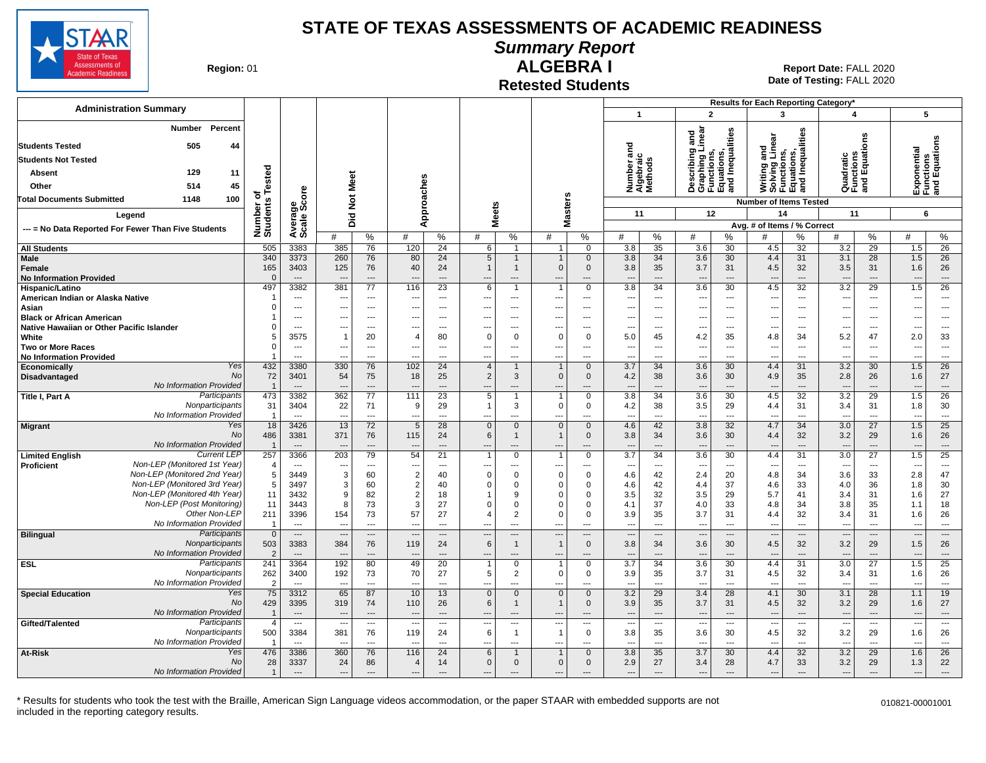

**Summary Report**

**Region: 01** 

#### **Retested Students ALGEBRA I**

**Date of Testing:**  FALL 2020 01 **Report Date:** FALL 2020

| <b>Administration Summary</b>                       |                       |                                  |                                 |                                             |                                |                                   |                                  |                                         |                                         |                            |                                   |                                   |                                                                          |                          | Results for Each Reporting Category*                   |                                             |                                       |                                |                                 |                                           |
|-----------------------------------------------------|-----------------------|----------------------------------|---------------------------------|---------------------------------------------|--------------------------------|-----------------------------------|----------------------------------|-----------------------------------------|-----------------------------------------|----------------------------|-----------------------------------|-----------------------------------|--------------------------------------------------------------------------|--------------------------|--------------------------------------------------------|---------------------------------------------|---------------------------------------|--------------------------------|---------------------------------|-------------------------------------------|
|                                                     |                       |                                  |                                 |                                             |                                |                                   |                                  |                                         |                                         |                            | $\mathbf{1}$                      |                                   | $\overline{2}$                                                           |                          | $\overline{\mathbf{3}}$                                |                                             | $\overline{4}$                        |                                |                                 | 5                                         |
| Percent<br><b>Number</b>                            |                       |                                  |                                 |                                             |                                |                                   |                                  |                                         |                                         |                            |                                   |                                   |                                                                          |                          |                                                        |                                             |                                       |                                |                                 |                                           |
| 505<br>44<br><b>Students Tested</b>                 |                       |                                  |                                 |                                             |                                |                                   |                                  |                                         |                                         |                            | ಕ                                 |                                   | and<br>linear                                                            | Inequalities             | and<br>Linear                                          | lities                                      |                                       | ons                            |                                 | Exponential<br>Functions<br>and Equations |
| <b>Students Not Tested</b>                          |                       |                                  |                                 |                                             |                                |                                   |                                  |                                         |                                         |                            | ā                                 |                                   | െ–<br>Describing<br>Graphing L<br>Functions,<br>Equations,<br>and Inequa |                          | Writing and<br>Solving Lin<br>Functions,<br>Equations, | Inequa                                      | Quadratic<br>Functions<br>and Equatic |                                |                                 |                                           |
| Absent<br>129<br>11                                 |                       |                                  |                                 |                                             |                                |                                   |                                  |                                         |                                         |                            | Number ar<br>Algebraic<br>Methods |                                   |                                                                          |                          |                                                        |                                             |                                       |                                |                                 |                                           |
|                                                     | Tested                |                                  |                                 | Meet                                        |                                |                                   |                                  |                                         |                                         |                            |                                   |                                   |                                                                          |                          |                                                        | 흡흥                                          |                                       |                                |                                 |                                           |
| 45<br>Other<br>514                                  | ৳                     |                                  |                                 |                                             |                                |                                   |                                  |                                         |                                         |                            |                                   |                                   |                                                                          |                          |                                                        |                                             |                                       |                                |                                 |                                           |
| 100<br><b>Total Documents Submitted</b><br>1148     | Number of<br>Students | ge<br>Score                      |                                 | $\frac{5}{2}$                               |                                | Approaches                        |                                  |                                         |                                         | lasters                    |                                   |                                   |                                                                          |                          | <b>Number of Items Tested</b>                          |                                             |                                       |                                |                                 |                                           |
| Legend                                              |                       |                                  | Did                             |                                             |                                |                                   |                                  | <b>Meets</b>                            |                                         |                            | 11                                |                                   |                                                                          | 12                       | 14                                                     |                                             | 11                                    |                                |                                 | 6                                         |
| --- = No Data Reported For Fewer Than Five Students |                       | Average<br>Scale 3               |                                 |                                             |                                |                                   |                                  |                                         | Σ                                       |                            |                                   |                                   |                                                                          |                          | Avg. # of Items / % Correct                            |                                             |                                       |                                |                                 |                                           |
|                                                     |                       |                                  | #                               | %                                           | #                              | %                                 | #                                | %                                       | #                                       | %                          | #                                 | %                                 | #                                                                        | %                        | #                                                      | %                                           | #                                     | %                              | #                               | ℅                                         |
| <b>All Students</b>                                 | 505                   | 3383                             | 385                             | 76                                          | 120                            | 24                                | 6                                | $\overline{1}$                          | $\overline{1}$                          | $\mathbf 0$                | 3.8                               | 35                                | 3.6                                                                      | 30                       | 4.5                                                    | 32                                          | 3.2                                   | 29                             | 1.5                             | $\overline{26}$                           |
| <b>Male</b>                                         | 340<br>165            | 3373<br>3403                     | 260<br>125                      | 76                                          | 80<br>40                       | 24<br>24                          | 5<br>$\overline{1}$              | $\overline{\mathbf{1}}$<br>$\mathbf{1}$ | $\Omega$                                | $\mathbf{0}$<br>$\Omega$   | 3.8<br>3.8                        | 34<br>35                          | 3.6<br>3.7                                                               | 30                       | 4.4<br>4.5                                             | 31<br>32                                    | 3.1<br>3.5                            | 28<br>31                       | 1.5<br>1.6                      | 26<br>26                                  |
| Female<br><b>No Information Provided</b>            | $\Omega$              | $---$                            | $\overline{a}$                  | 76<br>$---$                                 | $\overline{a}$                 | $---$                             | $---$                            | $---$                                   | $\overline{\phantom{a}}$                | $---$                      | $---$                             | $\overline{a}$                    | $\overline{\phantom{a}}$                                                 | 31<br>$---$              | $\overline{a}$                                         | $\overline{\phantom{a}}$                    | $\overline{\phantom{a}}$              | $---$                          | $\overline{\phantom{a}}$        | $---$                                     |
| Hispanic/Latino                                     | 497                   | 3382                             | 381                             | 77                                          | 116                            | 23                                | 6                                | -1                                      |                                         | $\Omega$                   | 3.8                               | 34                                | 3.6                                                                      | 30                       | 4.5                                                    | 32                                          | 3.2                                   | 29                             | 1.5                             | $\overline{26}$                           |
| American Indian or Alaska Native                    | -1                    | $---$                            | ---                             | $\sim$                                      | $\overline{a}$                 | $---$                             | $\overline{\phantom{a}}$         | $---$                                   | $\overline{\phantom{a}}$                | $---$                      | $\overline{\phantom{a}}$          | $\overline{a}$                    | ---                                                                      | $---$                    | $\overline{\phantom{a}}$                               | $\cdots$                                    | $\overline{\phantom{a}}$              | $\overline{\phantom{a}}$       | ---                             | $\overline{\phantom{a}}$                  |
| Asian                                               | $\Omega$              | $---$                            | ---                             | $---$                                       | $\overline{a}$                 | $---$                             | ---                              | $\overline{a}$                          | $\overline{\phantom{a}}$                | $---$                      | $\overline{\phantom{a}}$          | $\overline{a}$                    | ---                                                                      | $\overline{a}$           | $\overline{a}$                                         | $\overline{\phantom{a}}$                    | ---                                   | $\overline{a}$                 | ---                             | $\sim$                                    |
| <b>Black or African American</b>                    | $\mathbf{1}$          | $\overline{\phantom{a}}$         | ---                             | $---$                                       | ---                            | $---$                             | ---                              | $---$                                   | $\overline{\phantom{a}}$                | $\overline{a}$             | ---                               | $\overline{a}$                    | ---                                                                      | ---                      | ---                                                    | $\overline{\phantom{a}}$                    | ---                                   | $\overline{\phantom{a}}$       | ---                             | $\overline{\phantom{a}}$                  |
| Native Hawaiian or Other Pacific Islander<br>White  | $\mathbf 0$<br>5      | $\overline{a}$<br>3575           | ---<br>$\overline{1}$           | ---<br>20                                   | 4                              | ---<br>80                         | ---<br>$\Omega$                  | $\mathbf 0$                             | $\overline{a}$<br>$\Omega$              | $\mathbf 0$                | 5.0                               | ---<br>45                         | --<br>4.2                                                                | 35                       | ---<br>4.8                                             | 34                                          | ---<br>5.2                            | $\overline{\phantom{a}}$<br>47 | 2.0                             | ---<br>33                                 |
| <b>Two or More Races</b>                            | $\mathbf 0$           | $\overline{\phantom{a}}$         | ---                             | $-$                                         |                                | $---$                             | ---                              |                                         | ---                                     | ---                        | ---                               | ---                               | ٠.                                                                       | ---                      | $\overline{\phantom{a}}$                               | ---                                         | ---                                   | $\overline{\phantom{a}}$       | $\overline{\phantom{a}}$        | ---                                       |
| <b>No Information Provided</b>                      | $\overline{1}$        | $\overline{a}$                   | Ξ.                              | $-$                                         | ---                            | $\overline{a}$                    | ---                              | ---                                     | $\overline{\phantom{a}}$                | ---                        | ---                               | ---                               | ---                                                                      | ---                      | ---                                                    | $\overline{\phantom{a}}$                    | ---                                   | $\overline{a}$                 | $\overline{\phantom{a}}$        | $\overline{\phantom{a}}$                  |
| Yes<br>Economically                                 | 432                   | 3380                             | 330                             | 76                                          | 102                            | 24                                | $\overline{4}$                   |                                         | $\mathbf{1}$                            | $\Omega$                   | 3.7                               | 34                                | 3.6                                                                      | 30                       | 4.4                                                    | 31                                          | 3.2                                   | 30                             | 1.5                             | 26                                        |
| No<br>Disadvantaged<br>No Information Provided      | 72                    | 3401                             | 54                              | 75                                          | 18                             | 25                                | $\overline{2}$                   | 3                                       | $\Omega$                                | $\Omega$                   | 4.2                               | 38                                | 3.6                                                                      | 30                       | 4.9                                                    | 35                                          | 2.8                                   | 26                             | 1.6                             | 27                                        |
| Participants<br>Title I, Part A                     | $\overline{1}$<br>473 | $\overline{\phantom{a}}$<br>3382 | 362                             | $\overline{\phantom{a}}$<br>$\overline{77}$ | 111                            | $\overline{a}$<br>$\overline{23}$ | $\overline{a}$<br>$\overline{5}$ | -1                                      |                                         | $\mathbf 0$                | $\overline{a}$<br>3.8             | ---<br>34                         | $\overline{\phantom{a}}$<br>3.6                                          | ---<br>30                | $\overline{\phantom{a}}$<br>4.5                        | $\overline{\phantom{a}}$<br>$\overline{32}$ | 3.2                                   | $\overline{\phantom{a}}$<br>29 | $\overline{\phantom{a}}$<br>1.5 | $---$<br>26                               |
| Nonparticipants                                     | 31                    | 3404                             | 22                              | 71                                          | 9                              | 29                                | $\overline{1}$                   | 3                                       | $\mathbf 0$                             | $\mathbf 0$                | 4.2                               | 38                                | 3.5                                                                      | 29                       | 4.4                                                    | 31                                          | 3.4                                   | 31                             | 1.8                             | 30                                        |
| No Information Provided                             | $\overline{1}$        | $\overline{a}$                   | ---                             | $\overline{a}$                              | $\overline{a}$                 | $\overline{a}$                    | ---                              | $\overline{\phantom{a}}$                | $\overline{a}$                          | $\overline{a}$             | $\overline{a}$                    | ---                               | $\overline{\phantom{a}}$                                                 | $\sim$                   | $\overline{a}$                                         | $\overline{a}$                              | $\sim$                                | $\overline{a}$                 | ---                             | $\overline{\phantom{a}}$                  |
| Yes<br><b>Migrant</b>                               | 18                    | 3426                             | 13                              | 72                                          | $\sqrt{5}$                     | 28                                | $\mathbf{0}$                     | $\Omega$                                | $\Omega$                                | $\mathbf{0}$               | 4.6                               | 42                                | 3.8                                                                      | 32                       | 4.7                                                    | 34                                          | 3.0                                   | 27                             | 1.5                             | 25                                        |
| <b>No</b><br>No Information Provided                | 486                   | 3381                             | 371                             | 76                                          | 115                            | 24                                | 6                                | $\mathbf{1}$                            | -1                                      | $\mathbf{0}$               | 3.8                               | 34                                | 3.6                                                                      | 30                       | 4.4                                                    | 32                                          | 3.2                                   | 29                             | 1.6                             | 26                                        |
| <b>Current LEP</b><br><b>Limited English</b>        | $\overline{1}$<br>257 | $---$<br>3366                    | $\overline{\phantom{a}}$<br>203 | $\overline{a}$<br>79                        | $\overline{\phantom{a}}$<br>54 | $---$<br>$\overline{21}$          | $\overline{\phantom{a}}$         | $---$<br>$\Omega$                       | $\overline{a}$                          | $---$<br>$\Omega$          | $---$<br>3.7                      | $\overline{a}$<br>$\overline{34}$ | $\overline{\phantom{a}}$<br>3.6                                          | $\overline{a}$<br>30     | $\overline{a}$<br>4.4                                  | $\overline{\phantom{a}}$<br>31              | $\overline{\phantom{a}}$<br>3.0       | $---$<br>$\overline{27}$       | $\overline{\phantom{a}}$<br>1.5 | $---$<br>25                               |
| Non-LEP (Monitored 1st Year)<br>Proficient          | $\overline{4}$        | $---$                            | ---                             | $---$                                       | ---                            | $---$                             | $\overline{\phantom{a}}$         | $---$                                   | $\overline{\phantom{a}}$                | $---$                      | $\overline{\phantom{a}}$          | ---                               | $\overline{\phantom{a}}$                                                 | $---$                    | $\overline{\phantom{a}}$                               | ---                                         | $\overline{\phantom{a}}$              | $---$                          | $\overline{\phantom{a}}$        | $\overline{\phantom{a}}$                  |
| Non-LEP (Monitored 2nd Year)                        | $\,$ 5 $\,$           | 3449                             | 3                               | 60                                          | 2                              | 40                                | $\mathbf 0$                      | $\mathbf 0$                             | $\Omega$                                | $\mathbf 0$                | 4.6                               | 42                                | 2.4                                                                      | 20                       | 4.8                                                    | 34                                          | 3.6                                   | 33                             | 2.8                             | 47                                        |
| Non-LEP (Monitored 3rd Year)                        | $\sqrt{5}$            | 3497                             | 3                               | 60                                          | $\overline{2}$                 | 40                                | $\mathbf 0$                      | $\Omega$                                | $\Omega$                                | $\mathbf 0$                | 4.6                               | 42                                | 4.4                                                                      | 37                       | 4.6                                                    | 33                                          | 4.0                                   | 36                             | 1.8                             | 30                                        |
| Non-LEP (Monitored 4th Year)                        | 11                    | 3432                             | 9                               | 82                                          | $\overline{2}$                 | 18                                | $\overline{1}$                   | 9                                       |                                         | $\Omega$                   | 3.5                               | 32                                | 3.5                                                                      | 29                       | 5.7                                                    | 41                                          | 3.4                                   | 31                             | 1.6                             | 27                                        |
| Non-LEP (Post Monitoring)<br>Other Non-LEP          | 11<br>211             | 3443<br>3396                     | 8<br>154                        | 73<br>73                                    | 3<br>57                        | 27<br>27                          | $\mathbf 0$<br>$\overline{4}$    | $\Omega$<br>$\overline{2}$              | $\Omega$<br>$\Omega$                    | $\Omega$<br>$\Omega$       | 4.1<br>3.9                        | 37<br>35                          | 4.0<br>3.7                                                               | 33<br>31                 | 4.8<br>4.4                                             | 34<br>32                                    | 3.8<br>3.4                            | 35<br>31                       | 1.1<br>1.6                      | 18<br>26                                  |
| No Information Provided                             | $\overline{1}$        | $\overline{\phantom{a}}$         | ---                             | $---$                                       | $\overline{a}$                 | $---$                             | ---                              | $\overline{a}$                          | $\overline{\phantom{a}}$                | $\overline{a}$             | $\overline{\phantom{a}}$          | $\overline{a}$                    | $\overline{\phantom{a}}$                                                 | ---                      | $\overline{\phantom{a}}$                               | $\overline{\phantom{a}}$                    | $\overline{\phantom{a}}$              | $\overline{a}$                 | $\overline{\phantom{a}}$        | $\overline{\phantom{a}}$                  |
| Participants<br><b>Bilingual</b>                    | $\overline{0}$        | $\overline{\phantom{a}}$         | $\overline{\phantom{a}}$        | $\overline{\phantom{a}}$                    |                                | $\overline{a}$                    | $\overline{\phantom{a}}$         | $\overline{\phantom{a}}$                |                                         | ---                        | $\overline{\phantom{a}}$          | ---                               | $\overline{\phantom{a}}$                                                 | ---                      | $\overline{\phantom{a}}$                               | $\overline{\phantom{a}}$                    | $\overline{\phantom{a}}$              | $\cdots$                       |                                 | $\cdots$                                  |
| Nonparticipants                                     | 503                   | 3383                             | 384                             | 76                                          | 119                            | 24                                | 6                                | $\overline{1}$                          | $\overline{1}$                          | $\Omega$                   | 3.8                               | 34                                | 3.6                                                                      | 30                       | 4.5                                                    | 32                                          | 3.2                                   | 29                             | 1.5                             | 26                                        |
| No Information Provided                             | $\overline{2}$        | $\overline{\phantom{a}}$         |                                 |                                             |                                |                                   | $\overline{a}$                   |                                         |                                         | ---                        |                                   | ---                               | $\overline{\phantom{a}}$                                                 |                          |                                                        | $\overline{\phantom{a}}$                    |                                       | $\overline{\phantom{a}}$       |                                 | $\overline{\phantom{a}}$                  |
| Participants<br><b>ESL</b><br>Nonparticipants       | 241                   | 3364                             | 192                             | 80                                          | 49                             | $\overline{20}$                   | $\overline{1}$                   | $\mathbf 0$                             |                                         | $\mathbf 0$<br>$\mathbf 0$ | 3.7                               | 34                                | 3.6                                                                      | 30                       | 4.4                                                    | 31                                          | 3.0                                   | 27                             | 1.5                             | 25                                        |
| No Information Provideo                             | 262<br>$\overline{2}$ | 3400<br>$---$                    | 192<br>---                      | 73<br>$\overline{a}$                        | 70<br>$\overline{a}$           | 27<br>$\overline{a}$              | 5<br>$\overline{a}$              | $\overline{2}$<br>$\overline{a}$        | $\mathbf 0$<br>$\overline{\phantom{a}}$ | $- - -$                    | 3.9<br>$\overline{a}$             | 35<br>---                         | 3.7<br>$\sim$                                                            | 31<br>---                | 4.5<br>$\sim$                                          | 32<br>$\overline{\phantom{a}}$              | 3.4<br>$\overline{\phantom{a}}$       | 31<br>$---$                    | 1.6<br>--                       | 26<br>$\sim$                              |
| Yes<br><b>Special Education</b>                     | 75                    | 3312                             | 65                              | 87                                          | 10                             | 13                                | $\mathbf{0}$                     | $\Omega$                                | $\Omega$                                | $\mathbf{0}$               | 3.2                               | 29                                | 3.4                                                                      | 28                       | 4.1                                                    | 30                                          | 3.1                                   | 28                             | 1.1                             | 19                                        |
| <b>No</b>                                           | 429                   | 3395                             | 319                             | 74                                          | 110                            | 26                                | 6                                | $\mathbf{1}$                            | -1                                      | $\mathbf{0}$               | 3.9                               | 35                                | 3.7                                                                      | 31                       | 4.5                                                    | 32                                          | 3.2                                   | 29                             | 1.6                             | 27                                        |
| No Information Provided                             | $\overline{1}$        | $\overline{a}$                   | ---                             | $\overline{\phantom{a}}$                    | $---$                          | $---$                             | $\overline{\phantom{a}}$         | $- - -$                                 | $\overline{\phantom{a}}$                | $---$                      | $\overline{a}$                    | $\overline{a}$                    | $\overline{\phantom{a}}$                                                 | ---                      | $\overline{\phantom{a}}$                               | $\overline{\phantom{a}}$                    | $\overline{\phantom{a}}$              | $---$                          | $\overline{\phantom{a}}$        | $---$                                     |
| Participants<br>Gifted/Talented                     | $\overline{4}$        | $---$                            | ---                             | $\sim$                                      | $---$                          | $---$                             | $\sim$                           | $---$                                   | $\sim$                                  | $---$                      | $---$                             | $---$                             | $\overline{\phantom{a}}$                                                 | $\overline{\phantom{a}}$ | $\ddotsc$                                              | $\overline{a}$                              | $\sim$                                | $---$                          | $\sim$                          | $---$                                     |
| Nonparticipants<br>No Information Provided          | 500<br>$\overline{1}$ | 3384<br>$---$                    | 381<br>$\overline{a}$           | 76<br>$---$                                 | 119<br>$\sim$                  | 24<br>$---$                       | 6<br>$\overline{a}$              | $\overline{1}$<br>$\overline{a}$        | $\overline{1}$<br>$\overline{a}$        | $\mathbf 0$<br>$---$       | 3.8<br>$\overline{a}$             | 35<br>---                         | 3.6<br>$\sim$                                                            | 30<br>$\overline{a}$     | 4.5<br>$\overline{a}$                                  | 32<br>$\overline{\phantom{a}}$              | 3.2<br>$\overline{\phantom{a}}$       | 29<br>$---$                    | 1.6<br>---                      | 26<br>$\sim$                              |
| Yes<br>At-Risk                                      | 476                   | 3386                             | 360                             | 76                                          | 116                            | 24                                | 6                                |                                         |                                         | $\Omega$                   | 3.8                               | 35                                | 3.7                                                                      | 30                       | 4.4                                                    | 32                                          | 3.2                                   | 29                             | 1.6                             | 26                                        |
| <b>No</b>                                           | 28                    | 3337                             | 24                              | 86                                          | 4                              | 14                                | $\mathbf 0$                      | $\mathbf 0$                             | $\mathbf 0$                             | $\mathbf 0$                | 2.9                               | 27                                | 3.4                                                                      | 28                       | 4.7                                                    | 33                                          | 3.2                                   | 29                             | 1.3                             | 22                                        |
| No Information Provided                             | $\mathbf{1}$          | $---$                            | ---                             | $\overline{\phantom{a}}$                    | $\overline{a}$                 | $\overline{a}$                    | $\overline{\phantom{a}}$         | $\overline{\phantom{a}}$                | $\overline{a}$                          | $\overline{a}$             | $\overline{\phantom{a}}$          | $\overline{a}$                    | ---                                                                      | $---$                    | ---                                                    | $\overline{\phantom{a}}$                    | $\overline{\phantom{a}}$              | $\overline{a}$                 | $\overline{\phantom{a}}$        | ---                                       |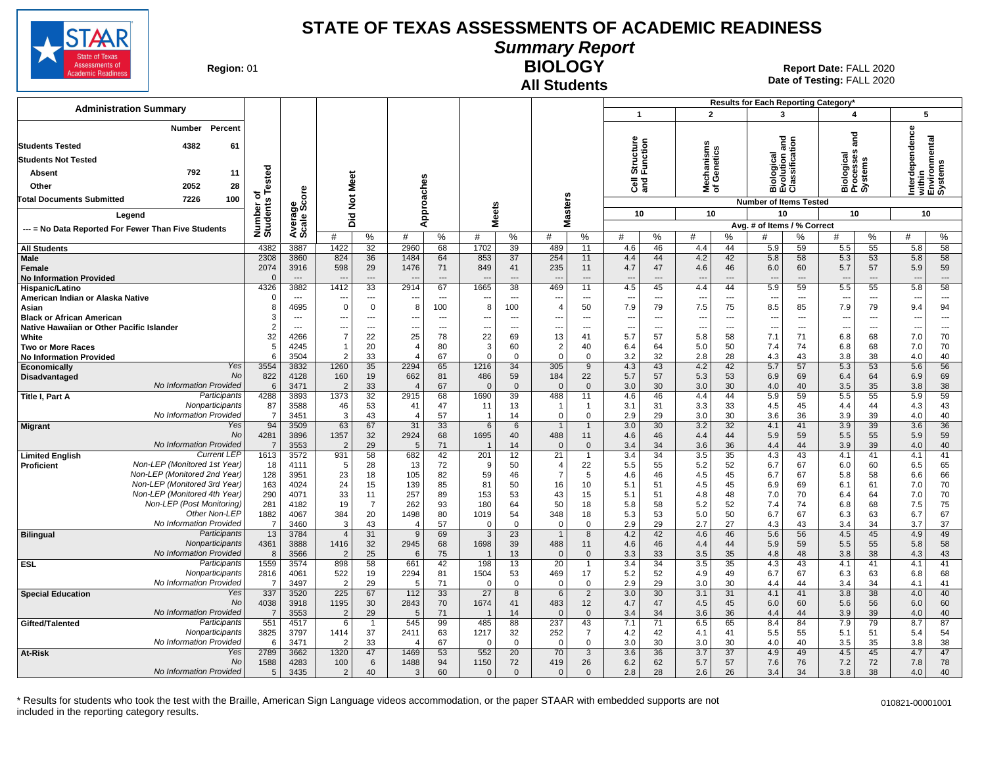

**Summary Report**

**Region: 01** 

# **All Students**

**BIOLOGY** 01 **Report Date:** FALL 2020 **Date of Testing:**  FALL 2020

|                                                                                            |                        |                                                      |                        |                                   |                                                      |                         |                                 |                |                                 |                    |                                 |                       |                                 |            | Results for Each Reporting Category*  |            |                                    |                                |                                 |                                 |
|--------------------------------------------------------------------------------------------|------------------------|------------------------------------------------------|------------------------|-----------------------------------|------------------------------------------------------|-------------------------|---------------------------------|----------------|---------------------------------|--------------------|---------------------------------|-----------------------|---------------------------------|------------|---------------------------------------|------------|------------------------------------|--------------------------------|---------------------------------|---------------------------------|
| <b>Administration Summary</b>                                                              |                        |                                                      |                        |                                   |                                                      |                         |                                 |                |                                 |                    | $\overline{1}$                  |                       | $\overline{2}$                  |            | 3                                     |            | $\overline{\mathbf{4}}$            |                                |                                 | 5                               |
| Number<br>Percent                                                                          |                        |                                                      |                        |                                   |                                                      |                         |                                 |                |                                 |                    |                                 |                       |                                 |            | 꾿                                     |            | and                                |                                | erdependence                    |                                 |
| <b>Students Tested</b><br>4382<br>61                                                       |                        |                                                      |                        |                                   |                                                      |                         |                                 |                |                                 |                    | Structure<br>Function           |                       | Mechanisms<br>of Genetics       |            | logical<br>»lution and<br>ssification |            |                                    |                                |                                 | ithin<br>nvironmental           |
| <b>Students Not Tested</b>                                                                 |                        |                                                      |                        |                                   |                                                      |                         |                                 |                |                                 |                    |                                 |                       |                                 |            |                                       |            | Biological<br>Processes<br>Systems |                                |                                 |                                 |
| 792<br>11<br>Absent                                                                        | Tested                 |                                                      |                        |                                   |                                                      |                         |                                 |                |                                 |                    |                                 |                       |                                 |            |                                       |            |                                    |                                |                                 | stems                           |
| Other<br>2052<br>28                                                                        |                        |                                                      | Meet                   |                                   |                                                      |                         |                                 |                |                                 |                    | ិច<br>តូ                        |                       |                                 |            | <b>DES</b><br>RESE                    |            |                                    |                                | Ē                               | ្តិចិន្ត្                       |
| 100<br>7226<br><b>Total Documents Submitted</b>                                            | ৳                      | ge<br>Score                                          | $\rm \breve{z}$        |                                   |                                                      |                         |                                 |                |                                 |                    |                                 |                       |                                 |            | <b>Number of Items Tested</b>         |            |                                    |                                |                                 |                                 |
| Legend                                                                                     | Number of<br>Students  |                                                      |                        |                                   | Approaches                                           |                         |                                 | <b>Meets</b>   | lasters                         |                    | 10                              |                       | 10                              |            | 10                                    |            | 10                                 |                                |                                 | 10                              |
| --- = No Data Reported For Fewer Than Five Students                                        |                        | Averag<br>Scale                                      | Did                    |                                   |                                                      |                         |                                 |                | ż                               |                    |                                 |                       |                                 |            | Avg. # of Items / % Correct           |            |                                    |                                |                                 |                                 |
|                                                                                            |                        |                                                      | #                      | %                                 | #                                                    | %                       | #                               | %              | #                               | %                  | #                               | %                     | #                               | $\%$       | #                                     | %          | #                                  | $\%$                           | #                               | $\%$                            |
| <b>All Students</b>                                                                        | 4382                   | 3887                                                 | 1422                   | 32                                | 2960                                                 | 68                      | 1702                            | 39             | 489                             | 11                 | 4.6                             | 46                    | 4.4                             | 44         | 5.9                                   | 59         | 5.5                                | 55                             | 5.8                             | 58                              |
| Male                                                                                       | 2308<br>2074           | 3860                                                 | 824                    | 36                                | 1484                                                 | 64                      | 853<br>849                      | 37             | 254                             | 11                 | 4.4                             | 44                    | 4.2                             | 42         | 5.8                                   | 58         | 5.3                                | 53                             | 5.8                             | 58                              |
| Female<br><b>No Information Provided</b>                                                   | $\Omega$               | 3916<br>$\overline{\phantom{a}}$                     | 598<br>---             | 29<br>$\overline{\phantom{a}}$    | 1476                                                 | 71<br>$\overline{a}$    | $\overline{\phantom{a}}$        | 41<br>---      | 235<br>$\overline{\phantom{a}}$ | 11<br>---          | 4.7<br>$\overline{\phantom{a}}$ | 47<br>$\overline{a}$  | 4.6<br>$\overline{\phantom{a}}$ | 46<br>---  | 6.0<br>$\overline{\phantom{a}}$       | 60<br>---  | 5.7<br>$\overline{\phantom{a}}$    | 57<br>$\overline{\phantom{a}}$ | 5.9<br>$\overline{\phantom{a}}$ | 59<br>$\cdots$                  |
| Hispanic/Latino                                                                            | 4326                   | 3882                                                 | 1412                   | 33                                | 2914                                                 | 67                      | 1665                            | 38             | 469                             | 11                 | 4.5                             | 45                    | 4.4                             | 44         | 5.9                                   | 59         | 5.5                                | 55                             | 5.8                             | $\overline{58}$                 |
| American Indian or Alaska Native                                                           | $\Omega$               | $\overline{\phantom{a}}$                             | ---                    | $\hspace{0.05cm} \ldots$          | $\sim$                                               | $\overline{a}$          | $\overline{\phantom{a}}$        | ---            | ---                             | ---                | $\overline{\phantom{a}}$        | $\overline{a}$        | $\overline{\phantom{a}}$        | ---        | ---                                   | ---        | $\overline{\phantom{a}}$           | $\overline{a}$                 | $\overline{\phantom{a}}$        | $\overline{\phantom{a}}$        |
| Asian                                                                                      | 8<br>3                 | 4695                                                 | $\Omega$               | 0                                 | 8                                                    | 100                     | 8                               | 100            | $\overline{4}$                  | 50                 | 7.9                             | 79                    | 7.5                             | 75         | 8.5                                   | 85         | 7.9                                | 79                             | 9.4                             | 94                              |
| <b>Black or African American</b><br>Native Hawaiian or Other Pacific Islander              | $\overline{2}$         | $\overline{\phantom{a}}$<br>$\overline{\phantom{a}}$ | ---<br>---             | $\overline{\phantom{a}}$<br>$---$ | $\overline{\phantom{a}}$<br>$\overline{\phantom{a}}$ | $\overline{a}$<br>$---$ | $\overline{\phantom{a}}$<br>--- | ---<br>---     | ---<br>---                      | ---<br>---         | ---<br>---                      | $\overline{a}$<br>--- | $\sim$<br>---                   | ---<br>--- | ---<br>$\overline{\phantom{a}}$       | ---<br>--- | $\overline{\phantom{a}}$<br>---    | $\scriptstyle\cdots$<br>$---$  | ---<br>---                      | $\hspace{0.05cm} \ldots$<br>--- |
| White                                                                                      | 32                     | 4266                                                 | $\overline{7}$         | 22                                | 25                                                   | 78                      | 22                              | 69             | 13                              | 41                 | 5.7                             | 57                    | 5.8                             | 58         | 7.1                                   | 71         | 6.8                                | 68                             | 7.0                             | 70                              |
| <b>Two or More Races</b>                                                                   | 5                      | 4245                                                 |                        | 20                                |                                                      | 80                      | 3                               | 60             | $\overline{2}$                  | 40                 | 6.4                             | 64                    | 5.0                             | 50         | 7.4                                   | 74         | 6.8                                | 68                             | 7.0                             | 70                              |
| <b>No Information Provided</b><br>Yes                                                      | 6                      | 3504                                                 |                        | 33                                |                                                      | 67                      | $\Omega$                        | $\Omega$       | $\Omega$                        | $\Omega$           | 3.2                             | 32                    | 2.8                             | 28         | 4.3                                   | 43         | 3.8                                | 38                             | 4.0                             | 40                              |
| Economically<br><b>No</b><br>Disadvantaged                                                 | 3554<br>822            | 3832<br>4128                                         | 1260<br>160            | 35<br>19                          | 2294<br>662                                          | 65<br>81                | 1216<br>486                     | 34<br>59       | 305<br>184                      | 9<br>22            | 4.3<br>5.7                      | 43<br>57              | 4.2<br>5.3                      | 42<br>53   | 5.7<br>6.9                            | 57<br>69   | 5.3<br>6.4                         | 53<br>64                       | 5.6<br>6.9                      | 56<br>69                        |
| No Information Provided                                                                    | 6                      | 3471                                                 | $\overline{2}$         | 33                                |                                                      | 67                      | $\mathbf{0}$                    | $\overline{0}$ | $\Omega$                        | $\mathbf{0}$       | 3.0                             | 30                    | 3.0                             | 30         | 4.0                                   | 40         | 3.5                                | 35                             | 3.8                             | 38                              |
| Participants<br>Title I, Part A                                                            | 4288                   | 3893                                                 | 1373                   | $\overline{32}$                   | 2915                                                 | 68                      | 1690                            | 39             | 488                             | 11                 | 4.6                             | 46                    | 4.4                             | 44         | 5.9                                   | 59         | 5.5                                | 55                             | 5.9                             | 59                              |
| Nonparticipants<br>No Information Provided                                                 | 87                     | 3588                                                 | 46<br>3                | 53<br>43                          | 41                                                   | 47<br>57                | 11                              | 13             | -1                              | -1<br>$\mathbf 0$  | 3.1<br>2.9                      | 31<br>29              | 3.3                             | 33         | 4.5                                   | 45         | 4.4                                | 44<br>39                       | 4.3<br>4.0                      | 43                              |
| Yes<br><b>Migrant</b>                                                                      | $\overline{7}$<br>94   | 3451<br>3509                                         | 63                     | 67                                | 31                                                   | 33                      | -1<br>6                         | 14<br>6        | $\mathbf 0$                     | $\overline{1}$     | 3.0                             | 30                    | 3.0<br>3.2                      | 30<br>32   | 3.6<br>4.1                            | 36<br>41   | 3.9<br>3.9                         | 39                             | 3.6                             | 40<br>36                        |
| No                                                                                         | 4281                   | 3896                                                 | 1357                   | 32                                | 2924                                                 | 68                      | 1695                            | 40             | 488                             | 11                 | 4.6                             | 46                    | 4.4                             | 44         | 5.9                                   | 59         | 5.5                                | 55                             | 5.9                             | 59                              |
| No Information Provided                                                                    | $\overline{7}$         | 3553                                                 | $\overline{2}$         | 29                                | 5                                                    | 71                      | $\overline{\mathbf{1}}$         | 14             | $\overline{0}$                  | $\Omega$           | 3.4                             | 34                    | 3.6                             | 36         | 4.4                                   | 44         | 3.9                                | 39                             | 4.0                             | 40                              |
| <b>Current LEP</b><br><b>Limited English</b><br>Non-LEP (Monitored 1st Year)<br>Proficient | 1613<br>18             | 3572<br>4111                                         | 931<br>-5              | 58<br>28                          | 682<br>13                                            | 42<br>72                | 201<br>9                        | 12<br>50       | 21<br>$\overline{4}$            | -1<br>22           | 3.4<br>5.5                      | 34<br>55              | 3.5<br>5.2                      | 35<br>52   | 4.3<br>6.7                            | 43<br>67   | 4.1<br>6.0                         | 41<br>60                       | 4.1<br>6.5                      | 41<br>65                        |
| Non-LEP (Monitored 2nd Year)                                                               | 128                    | 3951                                                 | 23                     | 18                                | 105                                                  | 82                      | 59                              | 46             | $\overline{7}$                  | 5                  | 4.6                             | 46                    | 4.5                             | 45         | 6.7                                   | 67         | 5.8                                | 58                             | 6.6                             | 66                              |
| Non-LEP (Monitored 3rd Year)                                                               | 163                    | 4024                                                 | 24                     | 15                                | 139                                                  | 85                      | 81                              | 50             | 16                              | 10                 | 5.1                             | 51                    | 4.5                             | 45         | 6.9                                   | 69         | 6.1                                | 61                             | 7.0                             | 70                              |
| Non-LEP (Monitored 4th Year)                                                               | 290                    | 4071                                                 | 33                     | 11                                | 257                                                  | 89                      | 153                             | 53             | 43                              | 15                 | 5.1                             | 51                    | 4.8                             | 48         | 7.0                                   | 70         | 6.4                                | 64                             | 7.0                             | 70                              |
| Non-LEP (Post Monitoring)<br>Other Non-LEP                                                 | 281                    | 4182                                                 | 19                     | 7                                 | 262                                                  | 93                      | 180                             | 64             | 50                              | 18                 | 5.8                             | 58                    | 5.2                             | 52         | 7.4                                   | 74         | 6.8                                | 68                             | 7.5                             | 75                              |
| No Information Provided                                                                    | 1882<br>$\overline{7}$ | 4067<br>3460                                         | 384<br>-3              | 20<br>43                          | 1498<br>4                                            | 80<br>57                | 1019<br>$\mathbf 0$             | 54<br>$\Omega$ | 348<br>$\Omega$                 | 18<br>$\Omega$     | 5.3<br>2.9                      | 53<br>29              | 5.0<br>2.7                      | 50<br>27   | 6.7<br>4.3                            | 67<br>43   | 6.3<br>3.4                         | 63<br>34                       | 6.7<br>3.7                      | 67<br>37                        |
| Participants<br><b>Bilingual</b>                                                           | 13                     | 3784                                                 | $\overline{4}$         | 31                                | 9                                                    | 69                      | 3                               | 23             | $\overline{1}$                  | 8                  | 4.2                             | 42                    | 4.6                             | 46         | 5.6                                   | 56         | 4.5                                | 45                             | 4.9                             | 49                              |
| Nonparticipants                                                                            | 4361                   | 3888                                                 | 1416                   | 32                                | 2945                                                 | 68                      | 1698                            | 39             | 488                             | 11                 | 4.6                             | 46                    | 4.4                             | 44         | 5.9                                   | 59         | 5.5                                | 55                             | 5.8                             | 58                              |
| No Information Provideo<br>Participants<br><b>ESL</b>                                      | 8<br>1559              | 3566<br>3574                                         | $\overline{2}$<br>898  | 25<br>58                          | 6<br>661                                             | 75<br>42                | $\overline{1}$<br>198           | 13<br>13       | $\overline{0}$<br>20            | $\mathbf{0}$<br>1  | 3.3<br>3.4                      | 33<br>34              | 3.5<br>3.5                      | 35<br>35   | 4.8<br>4.3                            | 48<br>43   | 3.8<br>4.1                         | 38<br>41                       | 4.3<br>4.1                      | 43<br>41                        |
| Nonparticipants                                                                            | 2816                   | 4061                                                 | 522                    | 19                                | 2294                                                 | 81                      | 1504                            | 53             | 469                             | 17                 | 5.2                             | 52                    | 4.9                             | 49         | 6.7                                   | 67         | 6.3                                | 63                             | 6.8                             | 68                              |
| No Information Provided                                                                    | $\overline{7}$         | 3497                                                 | $\overline{2}$         | 29                                | 5                                                    | 71                      | $\mathbf 0$                     | $\Omega$       | $\overline{0}$                  | $\mathbf{0}$       | 2.9                             | 29                    | 3.0                             | 30         | 4.4                                   | 44         | 3.4                                | 34                             | 4.1                             | 41                              |
| Yes<br><b>Special Education</b>                                                            | 337                    | 3520                                                 | 225                    | 67                                | 112                                                  | 33                      | 27                              | 8              | 6                               | $\overline{2}$     | 3.0                             | 30                    | 3.1                             | 31         | 4.1                                   | 41         | 3.8                                | 38                             | 4.0                             | 40                              |
| <b>No</b><br>No Information Provided                                                       | 4038<br>$\overline{7}$ | 3918<br>3553                                         | 1195<br>$\overline{2}$ | 30<br>29                          | 2843<br>5                                            | 70<br>71                | 1674<br>$\overline{1}$          | 41<br>14       | 483<br>$\Omega$                 | 12<br>$\mathbf{0}$ | 4.7<br>3.4                      | 47<br>34              | 4.5<br>3.6                      | 45<br>36   | 6.0<br>4.4                            | 60<br>44   | 5.6<br>3.9                         | 56<br>39                       | 6.0<br>4.0                      | 60<br>40                        |
| Participants<br>Gifted/Talented                                                            | 551                    | 4517                                                 | 6                      | $\overline{1}$                    | 545                                                  | 99                      | 485                             | 88             | 237                             | 43                 | 7.1                             | 71                    | 6.5                             | 65         | 8.4                                   | 84         | 7.9                                | 79                             | 8.7                             | 87                              |
| Nonparticipants                                                                            | 3825                   | 3797                                                 | 1414                   | 37                                | 2411                                                 | 63                      | 1217                            | 32             | 252                             | $\overline{7}$     | 4.2                             | 42                    | 4.1                             | 41         | 5.5                                   | 55         | 5.1                                | 51                             | 5.4                             | 54                              |
| No Information Provideo                                                                    | 6                      | 3471                                                 | 2                      | 33                                |                                                      | 67                      | $\mathbf 0$                     | $\mathbf 0$    | $\overline{0}$                  | $\mathbf 0$        | 3.0                             | 30                    | 3.0                             | 30         | 4.0                                   | 40         | 3.5                                | 35                             | 3.8                             | 38                              |
| Yes<br>At-Risk<br>No                                                                       | 2789<br>1588           | 3662<br>4283                                         | 1320<br>100            | 47<br>6                           | 1469<br>1488                                         | 53<br>94                | 552<br>1150                     | 20<br>72       | 70<br>419                       | 3<br>26            | 3.6<br>6.2                      | 36<br>62              | 3.7<br>5.7                      | 37<br>57   | 4.9<br>7.6                            | 49<br>76   | 4.5<br>7.2                         | 45<br>72                       | 4.7<br>7.8                      | 47<br>78                        |
| No Information Provided                                                                    | 5                      | 3435                                                 | $\overline{2}$         | 40                                | 3                                                    | 60                      | $\mathbf{0}$                    | $\mathbf{0}$   | $\overline{0}$                  | $\mathbf{0}$       | 2.8                             | 28                    | 2.6                             | 26         | 3.4                                   | 34         | 3.8                                | 38                             | 4.0                             | 40                              |
|                                                                                            |                        |                                                      |                        |                                   |                                                      |                         |                                 |                |                                 |                    |                                 |                       |                                 |            |                                       |            |                                    |                                |                                 |                                 |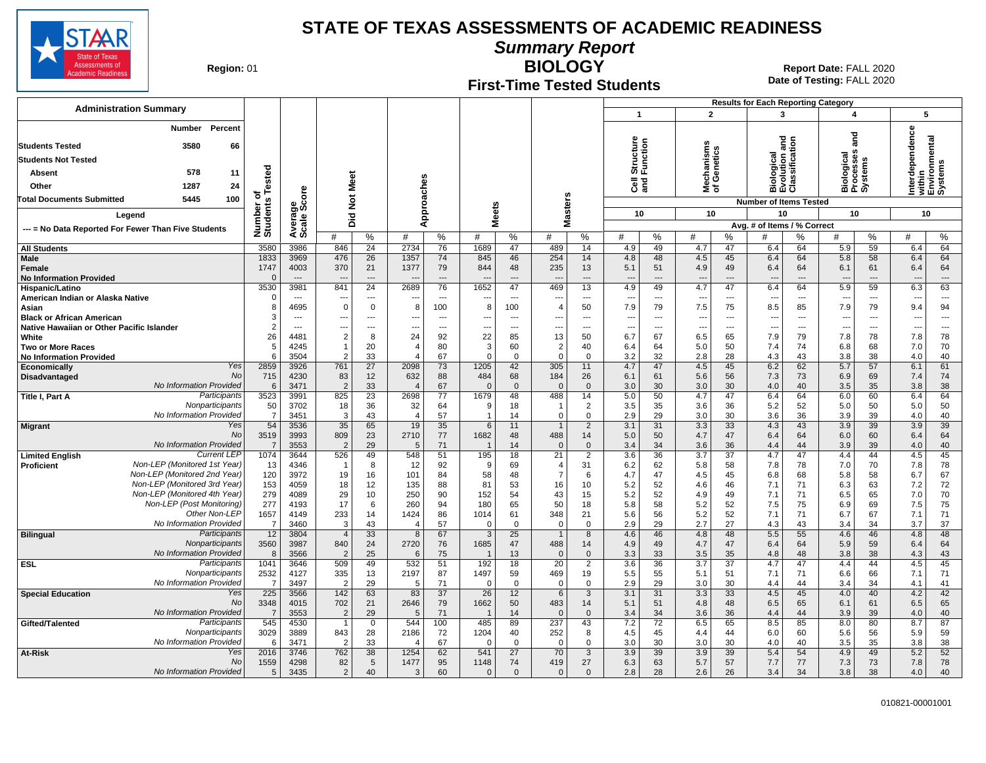

**Summary Report**

**Region: 01** 

## **First-Time Tested Students**

**BIOLOGY** 01 **Report Date:** FALL 2020 **Date of Testing:**  FALL 2020

|                                                                                   |                        |                  |                                |                                         |                            |                       |                               |                                 |                                 |                                |                                 |                |                                 |                       | <b>Results for Each Reporting Category</b>   |                          |                                    |             |                                                          |             |
|-----------------------------------------------------------------------------------|------------------------|------------------|--------------------------------|-----------------------------------------|----------------------------|-----------------------|-------------------------------|---------------------------------|---------------------------------|--------------------------------|---------------------------------|----------------|---------------------------------|-----------------------|----------------------------------------------|--------------------------|------------------------------------|-------------|----------------------------------------------------------|-------------|
| <b>Administration Summary</b>                                                     |                        |                  |                                |                                         |                            |                       |                               |                                 |                                 |                                | $\mathbf{1}$                    |                | $\overline{2}$                  |                       | 3                                            |                          | 4                                  |             | 5                                                        |             |
| Number Percent                                                                    |                        |                  |                                |                                         |                            |                       |                               |                                 |                                 |                                |                                 |                |                                 |                       |                                              |                          |                                    |             | Interdependence<br> within<br> Environmental<br> Systems |             |
| <b>Students Tested</b><br>3580<br>66                                              |                        |                  |                                |                                         |                            |                       |                               |                                 |                                 |                                | e<br>U<br>Structure<br>Function |                |                                 |                       | and<br>logical<br>»lution and<br>ssification |                          | and                                |             |                                                          |             |
| <b>Students Not Tested</b>                                                        |                        |                  |                                |                                         |                            |                       |                               |                                 |                                 |                                |                                 |                |                                 |                       |                                              |                          |                                    |             |                                                          |             |
| 578<br>11<br>Absent                                                               | ed                     |                  |                                |                                         |                            |                       |                               |                                 |                                 |                                |                                 |                | lechanisms<br>f Genetics        |                       |                                              |                          | Biological<br>Processes<br>Systems |             |                                                          |             |
| Other<br>1287<br>24                                                               | ē5                     |                  |                                |                                         |                            |                       |                               |                                 |                                 |                                | <b>Je mag</b>                   |                |                                 |                       | ढ                                            | हैं हैं                  |                                    |             |                                                          |             |
| 5445<br>100<br><b>Total Documents Submitted</b>                                   | ৳                      | ö                |                                |                                         |                            |                       |                               |                                 |                                 |                                |                                 |                | ≊ ১                             |                       | ۵ũō                                          |                          |                                    |             |                                                          |             |
|                                                                                   |                        | క్టిట్           | Did Not Meet                   |                                         | Approaches                 |                       | s                             | ë                               | <b>Masters</b>                  |                                | 10                              |                | 10                              |                       | <b>Number of Items Tested</b><br>10          |                          | 10                                 |             | 10                                                       |             |
| Legend                                                                            |                        | Averag<br>Scale: |                                |                                         |                            |                       | ź                             |                                 |                                 |                                |                                 |                |                                 |                       | Avg. # of Items / % Correct                  |                          |                                    |             |                                                          |             |
| --- = No Data Reported For Fewer Than Five Students                               | Number of<br>Students  |                  | #                              | %                                       | #                          | %                     | #                             | %                               | #                               | %                              | #                               | %              | #                               | %                     | #                                            | ℅                        | #                                  | %           | #                                                        | %           |
| <b>All Students</b>                                                               | 3580                   | 3986             | 846                            | 24                                      | 2734                       | 76                    | 1689                          | 47                              | 489                             | 14                             | 4.9                             | 49             | 4.7                             | 47                    | 6.4                                          | 64                       | 5.9                                | 59          | 6.4                                                      | 64          |
| <b>Male</b>                                                                       | 1833                   | 3969             | 476                            | 26                                      | 1357                       | 74                    | 845                           | 46                              | 254                             | 14                             | 4.8                             | 48             | 4.5                             | 45                    | 6.4                                          | 64                       | 5.8                                | 58          | 6.4                                                      | 64          |
| Female<br><b>No Information Provided</b>                                          | 1747<br>$\Omega$       | 4003<br>$---$    | 370                            | 21<br>---                               | 1377<br>$\overline{a}$     | 79<br>$---$           | 844                           | 48<br>$---$                     | 235                             | 13<br>---                      | 5.1<br>---                      | 51<br>$---$    | 4.9<br>$\overline{\phantom{a}}$ | 49<br>$---$           | 6.4                                          | 64<br>---                | 6.1<br>---                         | 61<br>$---$ | 6.4<br>$\overline{\phantom{a}}$                          | 64<br>$---$ |
| Hispanic/Latino                                                                   | 3530                   | 3981             | 841                            | 24                                      | 2689                       | 76                    | 1652                          | 47                              | 469                             | 13                             | 4.9                             | 49             | 4.7                             | 47                    | 6.4                                          | 64                       | 5.9                                | 59          | 6.3                                                      | 63          |
| American Indian or Alaska Native                                                  |                        | $---$            | $\overline{a}$                 | ---                                     | ---                        | $---$                 | $\sim$                        | $---$                           | $---$                           | ---                            | $\overline{\phantom{a}}$        | $---$          | $\sim$                          | $---$                 | $---$                                        | ---                      | $\overline{\phantom{a}}$           | $---$       | $\sim$                                                   | $---$       |
| Asian<br><b>Black or African American</b>                                         | 8                      | 4695<br>$\sim$   | $\mathbf 0$<br>---             | $\mathbf 0$<br>$\overline{\phantom{a}}$ | -8<br>---                  | 100<br>$---$          | 8<br>$\overline{\phantom{a}}$ | 100<br>$\overline{\phantom{a}}$ | 4<br>$---$                      | 50<br>---                      | 7.9<br>---                      | 79<br>$---$    | 7.5<br>$\sim$                   | 75<br>---             | 8.5<br>$\overline{\phantom{a}}$              | 85<br>---                | 7.9<br>---                         | 79<br>$---$ | 9.4<br>$\sim$                                            | 94<br>---   |
| Native Hawaiian or Other Pacific Islander                                         | 2                      | $---$            | $---$                          | $\sim$                                  | $\overline{a}$             | $---$                 | $\sim$                        | $---$                           | $---$                           | $\overline{a}$                 | $\overline{a}$                  | $\overline{a}$ | $\sim$                          | $---$                 | $\overline{a}$                               | $\overline{\phantom{a}}$ | $\overline{\phantom{a}}$           | $---$       | $\sim$                                                   | $---$       |
| White                                                                             | 26                     | 4481             | $\overline{2}$                 | 8                                       | 24                         | 92                    | 22                            | 85                              | 13                              | 50                             | 6.7                             | 67             | 6.5                             | 65                    | 7.9                                          | 79                       | 7.8                                | 78          | 7.8                                                      | 78          |
| <b>Two or More Races</b>                                                          | .5<br>6                | 4245<br>3504     | $\mathbf{1}$<br>$\overline{2}$ | 20<br>33                                | $\overline{4}$<br>$\Delta$ | 80<br>67              | 3<br>$\Omega$                 | 60<br>$\Omega$                  | 2<br>$\mathbf 0$                | 40<br>$\Omega$                 | 6.4<br>3.2                      | 64<br>32       | 5.0<br>2.8                      | 50<br>28              | 7.4<br>4.3                                   | 74<br>43                 | 6.8<br>3.8                         | 68<br>38    | 7.0<br>4.0                                               | 70<br>40    |
| <b>No Information Provided</b><br>Yes<br><b>Economically</b>                      | 2859                   | 3926             | 761                            | 27                                      | 2098                       | 73                    | 1205                          | 42                              | 305                             | 11                             | 4.7                             | 47             | 4.5                             | 45                    | 6.2                                          | 62                       | 5.7                                | 57          | 6.1                                                      | 61          |
| <b>No</b><br>Disadvantaged                                                        | 715                    | 4230             | 83                             | 12                                      | 632                        | 88                    | 484                           | 68                              | 184                             | 26                             | 6.1                             | 61             | 5.6                             | 56                    | 7.3                                          | 73                       | 6.9                                | 69          | 7.4                                                      | 74          |
| <b>No Information Provided</b><br>Participants                                    | 6<br>3523              | 3471             | 2<br>825                       | 33<br>23                                | $\overline{4}$<br>2698     | 67<br>$\overline{77}$ | $\Omega$<br>1679              | $\mathbf{0}$                    | $\mathbf{0}$                    | $\overline{0}$                 | 3.0<br>5.0                      | 30<br>50       | 3.0<br>4.7                      | 30                    | 4.0<br>6.4                                   | 40<br>64                 | 3.5<br>6.0                         | 35<br>60    | 3.8<br>6.4                                               | 38<br>64    |
| Title I, Part A<br>Nonparticipants                                                | 50                     | 3991<br>3702     | 18                             | 36                                      | 32                         | 64                    | 9                             | 48<br>18                        | 488<br>1                        | 14<br>$\overline{2}$           | 3.5                             | 35             | 3.6                             | 47<br>36              | 5.2                                          | 52                       | 5.0                                | 50          | 5.0                                                      | 50          |
| No Information Provided                                                           | -7                     | 3451             | 3                              | 43                                      | $\overline{4}$             | 57                    |                               | 14                              | $\mathbf 0$                     | $\Omega$                       | 2.9                             | 29             | 3.0                             | 30                    | 3.6                                          | 36                       | 3.9                                | 39          | 4.0                                                      | 40          |
| Yes<br><b>Migrant</b><br><b>No</b>                                                | 54                     | 3536             | 35                             | 65                                      | 19                         | 35                    | 6                             | 11                              |                                 | $\overline{2}$                 | 3.1                             | 31             | 3.3                             | 33                    | 4.3                                          | 43                       | 3.9                                | 39          | 3.9                                                      | 39          |
| No Information Provided                                                           | 3519<br>$\overline{7}$ | 3993<br>3553     | 809<br>2                       | 23<br>29                                | 2710<br>$\sqrt{5}$         | 77<br>71              | 1682                          | 48<br>14                        | 488<br>$\mathbf{0}$             | 14<br>$\mathbf{0}$             | 5.0<br>3.4                      | 50<br>34       | 4.7<br>3.6                      | 47<br>36              | 6.4<br>4.4                                   | 64<br>44                 | 6.0<br>3.9                         | 60<br>39    | 6.4<br>4.0                                               | 64<br>40    |
| <b>Current LEP</b><br><b>Limited English</b>                                      | 1074                   | 3644             | 526                            | 49                                      | 548                        | 51                    | 195                           | 18                              | $\overline{21}$                 | $\overline{2}$                 | 3.6                             | 36             | 3.7                             | $\overline{37}$       | 4.7                                          | 47                       | 4.4                                | 44          | 4.5                                                      | 45          |
| Non-LEP (Monitored 1st Year)<br><b>Proficient</b><br>Non-LEP (Monitored 2nd Year) | 13                     | 4346             | -1                             | 8                                       | 12                         | 92                    |                               | 69                              | 4                               | 31                             | 6.2                             | 62             | 5.8                             | 58                    | 7.8                                          | 78                       | 7.0                                | 70          | 7.8                                                      | 78          |
| Non-LEP (Monitored 3rd Year)                                                      | 120<br>153             | 3972<br>4059     | 19<br>18                       | 16<br>12                                | 101<br>135                 | 84<br>88              | 58<br>81                      | 48<br>53                        | $\overline{7}$<br>16            | 6<br>10                        | 4.7<br>5.2                      | 47<br>52       | 4.5<br>4.6                      | 45<br>46              | 6.8<br>7.1                                   | 68<br>71                 | 5.8<br>6.3                         | 58<br>63    | 6.7<br>7.2                                               | 67<br>72    |
| Non-LEP (Monitored 4th Year)                                                      | 279                    | 4089             | 29                             | 10                                      | 250                        | 90                    | 152                           | 54                              | 43                              | 15                             | 5.2                             | 52             | 4.9                             | 49                    | 7.1                                          | 71                       | 6.5                                | 65          | 7.0                                                      | 70          |
| Non-LEP (Post Monitoring)                                                         | 277                    | 4193             | 17                             | 6                                       | 260                        | 94                    | 180                           | 65                              | 50                              | 18                             | 5.8                             | 58             | 5.2                             | 52                    | 7.5                                          | 75                       | 6.9                                | 69          | 7.5                                                      | 75          |
| Other Non-LEP<br>No Information Provided                                          | 1657<br>$\overline{7}$ | 4149<br>3460     | 233<br>3                       | 14<br>43                                | 1424<br>$\overline{4}$     | 86<br>57              | 1014<br>$\Omega$              | 61<br>$\Omega$                  | 348<br>$\mathbf 0$              | 21<br>$\Omega$                 | 5.6<br>2.9                      | 56<br>29       | 5.2<br>2.7                      | 52<br>27              | 7.1<br>4.3                                   | 71<br>43                 | 6.7<br>3.4                         | 67<br>34    | 7.1<br>3.7                                               | 71<br>37    |
| Participants<br><b>Bilingual</b>                                                  | 12                     | 3804             | $\overline{4}$                 | 33                                      | -8                         | 67                    | 3                             | 25                              | $\mathbf 1$                     | 8                              | 4.6                             | 46             | 4.8                             | 48                    | 5.5                                          | 55                       | 4.6                                | 46          | 4.8                                                      | 48          |
| Nonparticipants                                                                   | 3560                   | 3987             | 840                            | 24                                      | 2720                       | 76                    | 1685                          | 47                              | 488                             | 14                             | 4.9                             | 49             | 4.7                             | 47                    | 6.4                                          | 64                       | 5.9                                | 59          | 6.4                                                      | 64          |
| No Information Provided<br><b>ESL</b><br>Participants                             | 8<br>1041              | 3566<br>3646     | 2<br>509                       | 25<br>49                                | 6<br>532                   | 75<br>51              | $\overline{1}$<br>192         | 13<br>18                        | $\mathbf{0}$<br>$\overline{20}$ | $\mathbf{0}$<br>$\overline{2}$ | 3.3<br>3.6                      | 33<br>36       | 3.5<br>3.7                      | 35<br>$\overline{37}$ | 4.8<br>4.7                                   | 48<br>47                 | 3.8<br>4.4                         | 38<br>44    | 4.3<br>4.5                                               | 43<br>45    |
| Nonparticipants                                                                   | 2532                   | 4127             | 335                            | 13                                      | 2197                       | 87                    | 1497                          | 59                              | 469                             | 19                             | 5.5                             | 55             | 5.1                             | 51                    | 7.1                                          | 71                       | 6.6                                | 66          | 7.1                                                      | 71          |
| No Information Provided                                                           | $\overline{7}$         | 3497             | 2                              | 29                                      | -5                         | 71                    | $\Omega$                      | $\mathbf 0$                     | $\mathbf 0$                     | $\mathbf 0$                    | 2.9                             | 29             | 3.0                             | 30                    | 4.4                                          | 44                       | 3.4                                | 34          | 4.1                                                      | 41          |
| Yes<br><b>Special Education</b><br>No                                             | 225                    | 3566             | 142                            | 63                                      | 83                         | 37                    | 26                            | 12                              | 6                               | $\mathbf{3}$                   | 3.1                             | 31             | 3.3                             | 33                    | 4.5                                          | 45                       | 4.0                                | 40          | 4.2                                                      | 42          |
| No Information Provided                                                           | 3348<br>$\overline{7}$ | 4015<br>3553     | 702<br>$\overline{2}$          | 21<br>29                                | 2646<br>-5                 | 79<br>71              | 1662<br>$\overline{1}$        | 50<br>14                        | 483<br>$\Omega$                 | 14<br>$\mathbf 0$              | 5.1<br>3.4                      | 51<br>34       | 4.8<br>3.6                      | 48<br>36              | 6.5<br>4.4                                   | 65<br>44                 | 6.1<br>3.9                         | 61<br>39    | 6.5<br>4.0                                               | 65<br>40    |
| Participants<br>Gifted/Talented                                                   | 545                    | 4530             | 1                              | $\overline{0}$                          | 544                        | 100                   | 485                           | 89                              | 237                             | 43                             | 7.2                             | 72             | 6.5                             | 65                    | 8.5                                          | 85                       | 8.0                                | 80          | 8.7                                                      | 87          |
| Nonparticipants                                                                   | 3029                   | 3889             | 843                            | 28                                      | 2186                       | 72                    | 1204                          | 40                              | 252                             | 8                              | 4.5                             | 45             | 4.4                             | 44                    | 6.0                                          | 60                       | 5.6                                | 56          | 5.9                                                      | 59          |
| No Information Provided<br>At-Risk<br>Yes                                         | 6<br>2016              | 3471<br>3746     | $\overline{2}$<br>762          | 33<br>38                                | $\overline{4}$<br>1254     | 67<br>62              | $\Omega$<br>541               | $\Omega$<br>27                  | $\Omega$<br>70                  | $\Omega$<br>3                  | 3.0<br>3.9                      | 30<br>39       | 3.0<br>3.9                      | 30<br>39              | 4.0<br>5.4                                   | 40<br>54                 | 3.5<br>4.9                         | 35<br>49    | 3.8<br>5.2                                               | 38<br>52    |
| <b>No</b>                                                                         | 1559                   | 4298             | 82                             | 5                                       | 1477                       | 95                    | 1148                          | 74                              | 419                             | 27                             | 6.3                             | 63             | 5.7                             | 57                    | 7.7                                          | 77                       | 7.3                                | 73          | 7.8                                                      | 78          |
| No Information Provided                                                           | 5                      | 3435             | 2                              | 40                                      | $\mathbf{3}$               | 60                    | $\mathbf{0}$                  | $\mathbf{0}$                    | $\mathbf{0}$                    | $\mathbf{0}$                   | 2.8                             | 28             | 2.6                             | 26                    | 3.4                                          | 34                       | 3.8                                | 38          | 4.0                                                      | 40          |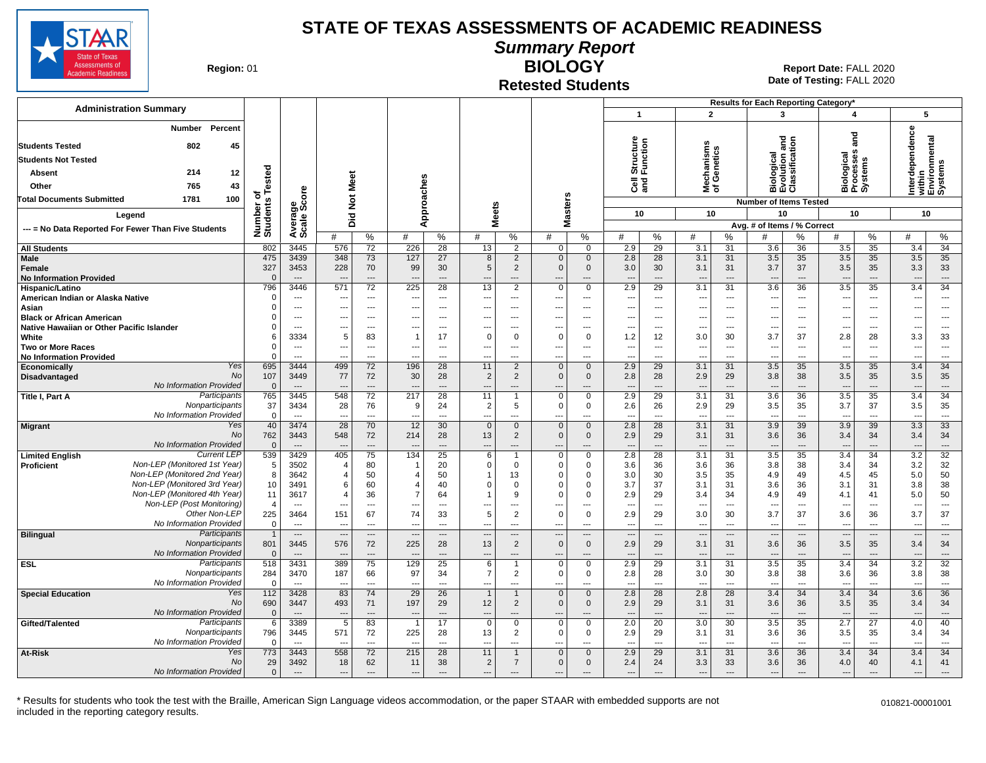

**Summary Report**

**Region: 01** 

#### **Retested Students BIOLOGY**

**Date of Testing:**  FALL 2020 01 **Report Date:** FALL 2020

|                                                                            |                            |                                                      |                                        |                                            |                                       |                                            |                                              |                                           |                                            |                                    |                                        |                                            |                                                      |                                                      | Results for Each Reporting Category*          |                                |                                        |                                        |                                                       |                                      |
|----------------------------------------------------------------------------|----------------------------|------------------------------------------------------|----------------------------------------|--------------------------------------------|---------------------------------------|--------------------------------------------|----------------------------------------------|-------------------------------------------|--------------------------------------------|------------------------------------|----------------------------------------|--------------------------------------------|------------------------------------------------------|------------------------------------------------------|-----------------------------------------------|--------------------------------|----------------------------------------|----------------------------------------|-------------------------------------------------------|--------------------------------------|
| <b>Administration Summary</b>                                              |                            |                                                      |                                        |                                            |                                       |                                            |                                              |                                           |                                            |                                    | $\overline{\mathbf{1}}$                |                                            |                                                      | $\overline{2}$                                       | 3                                             |                                | 4                                      |                                        |                                                       | 5                                    |
| Number<br>Percent<br><b>Students Tested</b><br>802<br>45                   |                            |                                                      |                                        |                                            |                                       |                                            |                                              |                                           |                                            |                                    | Structure<br>Function                  |                                            |                                                      |                                                      | Biological<br>Evolution and<br>Classification |                                | ลิก<br>ลิ                              |                                        | Interdependence<br>within<br>Environmental<br>Systems |                                      |
| <b>Students Not Tested</b>                                                 |                            |                                                      |                                        |                                            |                                       |                                            |                                              |                                           |                                            |                                    |                                        |                                            |                                                      |                                                      |                                               |                                |                                        |                                        |                                                       |                                      |
| 214<br>12<br>Absent                                                        |                            |                                                      |                                        |                                            |                                       |                                            |                                              |                                           |                                            |                                    |                                        |                                            | lechanisms<br>f Genetics                             |                                                      |                                               |                                | Biological<br>Processes<br>Systems     |                                        |                                                       |                                      |
| Other<br>765<br>43                                                         | Tested                     |                                                      | Meet                                   |                                            |                                       |                                            |                                              |                                           |                                            |                                    | ឨឨ                                     |                                            |                                                      |                                                      |                                               |                                |                                        |                                        |                                                       |                                      |
| 100<br><b>Total Documents Submitted</b><br>1781                            | ৳                          |                                                      |                                        |                                            |                                       |                                            |                                              |                                           |                                            |                                    |                                        |                                            | ᄛᅕ                                                   |                                                      |                                               |                                |                                        |                                        |                                                       |                                      |
|                                                                            |                            | ge<br>Score                                          | $\frac{5}{2}$                          |                                            |                                       | Approaches                                 | <b>Meets</b>                                 |                                           | Masters                                    |                                    |                                        |                                            |                                                      |                                                      | <b>Number of Items Tested</b>                 |                                |                                        |                                        |                                                       |                                      |
| Legend                                                                     |                            |                                                      | Did                                    |                                            |                                       |                                            |                                              |                                           |                                            |                                    | 10                                     |                                            | 10                                                   |                                                      | 10<br>Avg. # of Items / % Correct             |                                | 10                                     |                                        | 10                                                    |                                      |
| --- = No Data Reported For Fewer Than Five Students                        | Number of<br>Students      | Average:                                             | #                                      | %                                          | #                                     | %                                          | #                                            | %                                         | #                                          | %                                  | #                                      | %                                          | #                                                    | %                                                    | #                                             | %                              | #                                      | %                                      | #                                                     | %                                    |
| <b>All Students</b>                                                        | 802                        | 3445                                                 | 576                                    | 72                                         | 226                                   | 28                                         | 13                                           | $\overline{2}$                            | $\mathbf{0}$                               | $\mathbf 0$                        | 2.9                                    | 29                                         | 3.1                                                  | 31                                                   | 3.6                                           | 36                             | 3.5                                    | 35                                     | 3.4                                                   | 34                                   |
| Male<br>Female<br><b>No Information Provided</b>                           | 475<br>327<br>$\mathbf{0}$ | 3439<br>3453<br>$\overline{\phantom{a}}$             | 348<br>228<br>$\overline{\phantom{a}}$ | 73<br>70<br>$---$                          | 127<br>99<br>$\overline{\phantom{a}}$ | 27<br>30<br>$\overline{a}$                 | 8<br>$\,$ 5 $\,$<br>$\overline{\phantom{a}}$ | $\overline{2}$<br>$\overline{2}$<br>$---$ | $\mathbf{0}$<br>$\Omega$<br>---            | $\mathbf{0}$<br>$\mathbf 0$<br>--- | 2.8<br>3.0<br>$\overline{\phantom{a}}$ | 28<br>30<br>$\overline{a}$                 | 3.1<br>3.1<br>$\overline{\phantom{a}}$               | 31<br>31<br>$\overline{\phantom{a}}$                 | 3.5<br>3.7<br>$\overline{\phantom{a}}$        | 35<br>37<br>---                | 3.5<br>3.5<br>$\overline{\phantom{a}}$ | 35<br>35<br>---                        | 3.5<br>3.3<br>$\overline{\phantom{a}}$                | 35<br>33<br>$\overline{\phantom{a}}$ |
| Hispanic/Latino                                                            | 796                        | 3446                                                 | 571                                    | 72                                         | 225                                   | 28                                         | 13                                           | $\overline{2}$                            | $\Omega$                                   | $\mathbf 0$                        | 2.9                                    | 29                                         | 3.1                                                  | 31                                                   | 3.6                                           | 36                             | 3.5                                    | 35                                     | 3.4                                                   | 34                                   |
| American Indian or Alaska Native<br>Asian                                  | $\mathbf 0$<br>$\mathbf 0$ | $---$<br>$---$                                       | $\overline{\phantom{a}}$<br>---        | $\sim$<br>$\sim$                           | $---$                                 | $---$<br>$---$                             | $---$<br>$\overline{a}$                      | $---$<br>---                              | ---<br>---                                 | ---<br>$---$                       | $---$<br>$---$                         | $\overline{a}$<br>$---$                    | $\overline{\phantom{a}}$<br>$\overline{\phantom{a}}$ | $\sim$<br>$-$                                        | $---$<br>$\sim$                               | $---$<br>$---$                 | $---$<br>$\sim$                        | ---<br>$\overline{a}$                  | ---<br>---                                            | $\sim$<br>$\sim$                     |
| <b>Black or African American</b>                                           | $\Omega$                   | $---$                                                | ---                                    | $-$                                        | ---                                   | $---$                                      | ---                                          | $---$                                     | ---                                        | $---$                              | ---                                    | $---$                                      | $\overline{\phantom{a}}$                             | $-$                                                  | $\overline{\phantom{a}}$                      | $---$                          | ---                                    | ---                                    | ---                                                   | $-$                                  |
| Native Hawaiian or Other Pacific Islander                                  | $\mathbf 0$                | ---                                                  | …                                      | ---                                        |                                       | ---                                        | ---                                          | ---                                       | $\overline{\phantom{a}}$                   | ---                                |                                        | ---                                        | ---                                                  | --                                                   | $\hspace{0.05cm} \ldots$                      | ---                            | ---                                    | ---                                    | ---                                                   | ---                                  |
| White                                                                      | 6                          | 3334                                                 | 5                                      | 83                                         | $\overline{1}$                        | 17                                         | $\Omega$                                     | $\mathbf 0$                               | $\mathbf 0$                                | $\mathbf 0$                        | 1.2                                    | 12                                         | 3.0                                                  | 30                                                   | 3.7                                           | 37                             | 2.8                                    | 28                                     | 3.3                                                   | 33                                   |
| <b>Two or More Races</b><br><b>No Information Provided</b>                 | $\mathbf 0$<br>$\Omega$    | $\overline{\phantom{a}}$<br>$\overline{\phantom{a}}$ | …<br>Ξ.                                | $\overline{\phantom{a}}$<br>$\overline{a}$ | $\sim$                                | $\overline{\phantom{a}}$<br>$\overline{a}$ | ---<br>---                                   | ---<br>---                                | $\overline{\phantom{a}}$<br>$\overline{a}$ | ---<br>---                         | ---                                    | $\overline{\phantom{a}}$<br>$\overline{a}$ | $\overline{\phantom{a}}$<br>$\overline{a}$           | $\overline{\phantom{a}}$<br>$\overline{\phantom{a}}$ | $\overline{\phantom{a}}$<br>$\overline{a}$    | ---<br>$\overline{a}$          | ---<br>$\overline{a}$                  | $\scriptstyle\cdots$<br>$\overline{a}$ | ---<br>Ξ.                                             | $\cdots$<br>$\overline{\phantom{a}}$ |
| Yes<br>Economically                                                        | 695                        | 3444                                                 | 499                                    | 72                                         | 196                                   | 28                                         | 11                                           | $\overline{2}$                            | $\overline{0}$                             | $\Omega$                           | 2.9                                    | 29                                         | 3.1                                                  | 31                                                   | 3.5                                           | 35                             | 3.5                                    | 35                                     | 3.4                                                   | 34                                   |
| <b>No</b><br>Disadvantaged<br>No Information Provided                      | 107                        | 3449                                                 | 77                                     | 72                                         | 30                                    | 28                                         | $\overline{2}$                               | 2                                         | $\mathbf{0}$                               | $\mathbf{0}$                       | 2.8                                    | 28                                         | 2.9                                                  | 29                                                   | 3.8                                           | 38                             | 3.5                                    | 35                                     | 3.5                                                   | 35                                   |
| Participants<br>Title I, Part A                                            | $\overline{0}$<br>765      | $\sim$<br>3445                                       | ---<br>548                             | $---$<br>72                                | 217                                   | $\qquad \qquad \cdots$<br>28               | $\overline{a}$<br>11                         | ---<br>-1                                 | $\mathbf 0$                                | ---<br>0                           | ---<br>2.9                             | $\overline{a}$<br>29                       | $\overline{\phantom{a}}$<br>3.1                      | $\overline{\phantom{a}}$<br>31                       | $\overline{\phantom{a}}$<br>3.6               | $\overline{a}$<br>36           | ---<br>3.5                             | $\cdots$<br>35                         | ---<br>3.4                                            | $\hspace{0.05cm} \ldots$<br>34       |
| Nonparticipants<br>No Information Provided                                 | 37<br>$\mathbf 0$          | 3434<br>$\sim$                                       | 28<br>---                              | 76<br>$\overline{a}$                       | 9<br>$\overline{a}$                   | 24<br>$\overline{a}$                       | $\overline{2}$<br>---                        | 5<br>$\overline{a}$                       | $\Omega$<br>$\overline{a}$                 | $\mathbf 0$<br>---                 | 2.6<br>$\overline{a}$                  | 26<br>$\sim$                               | 2.9<br>$\overline{\phantom{a}}$                      | 29<br>$\overline{\phantom{a}}$                       | 3.5<br>$\overline{a}$                         | 35<br>$\overline{a}$           | 3.7<br>$\overline{a}$                  | 37<br>$\overline{a}$                   | 3.5<br>---                                            | 35<br>$\overline{\phantom{a}}$       |
| Yes<br><b>Migrant</b><br>No                                                | 40<br>762                  | 3474<br>3443                                         | 28<br>548                              | 70<br>72                                   | 12<br>214                             | 30<br>28                                   | $\Omega$<br>13                               | $\mathbf 0$<br>$\overline{2}$             | $\mathbf{0}$<br>$\Omega$                   | $\Omega$<br>$\mathbf 0$            | 2.8<br>2.9                             | 28<br>29                                   | 3.1<br>3.1                                           | 31<br>31                                             | 3.9<br>3.6                                    | 39<br>36                       | 3.9<br>3.4                             | 39<br>34                               | 3.3<br>3.4                                            | 33<br>34                             |
| <b>No Information Provided</b>                                             | $\Omega$                   | $---$                                                | ---                                    | $---$                                      |                                       | $\overline{a}$                             | $\overline{\phantom{a}}$                     | $\overline{\phantom{a}}$                  | ---                                        | $---$                              | $\overline{a}$                         | $\overline{a}$                             | $\overline{\phantom{a}}$                             | $---$                                                | $\overline{\phantom{a}}$                      | $---$                          | $\overline{\phantom{a}}$               | $\overline{a}$                         | ---                                                   | $\overline{a}$                       |
| <b>Current LEP</b><br><b>Limited English</b>                               | 539                        | 3429                                                 | 405                                    | 75                                         | 134                                   | 25                                         | 6                                            | $\overline{1}$                            | $\mathbf 0$                                | $\Omega$                           | 2.8                                    | 28                                         | 3.1                                                  | 31                                                   | 3.5                                           | 35                             | 3.4                                    | 34                                     | 3.2                                                   | 32                                   |
| Non-LEP (Monitored 1st Year)<br>Proficient<br>Non-LEP (Monitored 2nd Year) | 5<br>8                     | 3502<br>3642                                         | $\overline{4}$                         | 80<br>50                                   | -1<br>$\overline{4}$                  | 20<br>50                                   | $\Omega$<br>$\mathbf{1}$                     | $\mathbf{0}$<br>13                        | $\Omega$<br>$\Omega$                       | $\Omega$<br>$\mathbf 0$            | 3.6<br>3.0                             | 36<br>30                                   | 3.6<br>3.5                                           | 36<br>35                                             | 3.8<br>4.9                                    | 38<br>49                       | 3.4<br>4.5                             | 34<br>45                               | 3.2<br>5.0                                            | 32<br>50                             |
| Non-LEP (Monitored 3rd Year)                                               | 10                         | 3491                                                 | 6                                      | 60                                         | 4                                     | 40                                         | $\Omega$                                     | $\mathbf 0$                               | $\Omega$                                   | $\mathbf 0$                        | 3.7                                    | 37                                         | 3.1                                                  | 31                                                   | 3.6                                           | 36                             | 3.1                                    | 31                                     | 3.8                                                   | 38                                   |
| Non-LEP (Monitored 4th Year)                                               | 11                         | 3617                                                 | 4                                      | 36                                         | $\overline{7}$                        | 64                                         | $\overline{1}$                               | 9                                         | $\Omega$                                   | $\mathbf 0$                        | 2.9                                    | 29                                         | 3.4                                                  | 34                                                   | 4.9                                           | 49                             | 4.1                                    | 41                                     | 5.0                                                   | 50                                   |
| Non-LEP (Post Monitoring)                                                  | $\overline{4}$             | $---$                                                |                                        | $\overline{a}$                             |                                       | $\overline{a}$                             | ---                                          | ---                                       | $\overline{\phantom{a}}$                   | ---                                | --                                     | $\overline{a}$                             | $\ddotsc$                                            | $\overline{\phantom{a}}$                             | $\overline{\phantom{a}}$                      | $\overline{a}$                 | $\overline{a}$                         | $\overline{a}$                         | ---                                                   | $\cdots$                             |
| Other Non-LEP<br>No Information Provided                                   | 225<br>$\mathbf 0$         | 3464<br>$\overline{\phantom{a}}$                     | 151<br>---                             | 67<br>$\sim$                               | 74                                    | 33<br>$\overline{a}$                       | 5<br>---                                     | 2<br>$\overline{a}$                       | $\Omega$<br>$\overline{a}$                 | $\Omega$<br>---                    | 2.9<br>$\overline{a}$                  | 29<br>$\overline{a}$                       | 3.0<br>$\sim$                                        | 30<br>$\overline{\phantom{a}}$                       | 3.7<br>$\overline{\phantom{a}}$               | 37<br>$\overline{a}$           | 3.6<br>$\overline{a}$                  | 36<br>$\overline{\phantom{a}}$         | 3.7<br>$\overline{a}$                                 | 37<br>$\hspace{0.05cm} \ldots$       |
| Participants<br><b>Bilingual</b>                                           | $\overline{1}$             | $\cdots$                                             | $\overline{\phantom{a}}$               | $\hspace{0.05cm} \ldots$                   | $\overline{\phantom{a}}$              | $\cdots$                                   | $\overline{\phantom{a}}$                     | ---                                       | ---                                        | ---                                | $\hspace{1.5cm} \cdots$                | $\cdots$                                   | $\overline{\phantom{a}}$                             | $\qquad \qquad \cdots$                               | $\overline{\phantom{a}}$                      | ---                            | $\overline{\phantom{a}}$               | $---$                                  | $\overline{\phantom{a}}$                              | $\cdots$                             |
| Nonparticipants                                                            | 801                        | 3445                                                 | 576                                    | 72                                         | 225                                   | 28                                         | 13                                           | 2                                         | $\mathbf{0}$                               | $\mathbf{0}$                       | 2.9                                    | 29                                         | 3.1                                                  | 31                                                   | 3.6                                           | 36                             | 3.5                                    | 35                                     | 3.4                                                   | 34                                   |
| No Information Provided<br>Participants<br><b>ESL</b>                      | $\mathbf{0}$<br>518        | $\overline{\phantom{a}}$<br>3431                     | --<br>389                              | 75                                         | 129                                   | $---$<br>25                                | $\overline{a}$<br>6                          | $\overline{a}$<br>$\overline{\mathbf{1}}$ | ---<br>$\mathbf 0$                         | ---<br>0                           | $\overline{\phantom{a}}$<br>2.9        | ---<br>29                                  | $\overline{\phantom{a}}$<br>3.1                      | $\overline{\phantom{a}}$<br>31                       | $\overline{\phantom{a}}$<br>3.5               | $\overline{\phantom{a}}$<br>35 | ---<br>3.4                             | ---<br>34                              | $\overline{\phantom{a}}$<br>3.2                       | $\overline{\phantom{a}}$<br>32       |
| Nonparticipants                                                            | 284                        | 3470                                                 | 187                                    | 66                                         | 97                                    | 34                                         | $\overline{7}$                               | $\overline{2}$                            | $\Omega$                                   | 0                                  | 2.8                                    | 28                                         | 3.0                                                  | 30                                                   | 3.8                                           | 38                             | 3.6                                    | 36                                     | 3.8                                                   | 38                                   |
| No Information Provided                                                    | $\mathbf 0$                | $\overline{a}$                                       | $\sim$                                 | $\overline{a}$                             |                                       | $\sim$                                     | ---                                          | $\sim$                                    | $\sim$                                     | ---                                | $\sim$                                 | $\sim$                                     | $\overline{\phantom{a}}$                             | $\overline{\phantom{a}}$                             | $\sim$                                        | $\overline{a}$                 |                                        | $\overline{a}$                         | $\overline{a}$                                        | $\sim$                               |
| Yes<br><b>Special Education</b><br><b>No</b>                               | 112<br>690                 | 3428                                                 | 83<br>493                              | 74                                         | 29                                    | 26                                         | $\mathbf{1}$                                 | $\overline{1}$                            | $\mathbf{0}$<br>$\Omega$                   | $\Omega$                           | 2.8                                    | 28                                         | 2.8                                                  | 28                                                   | 3.4                                           | 34                             | 3.4                                    | 34<br>35                               | 3.6                                                   | 36                                   |
| No Information Provided                                                    | $\mathbf 0$                | 3447<br>$---$                                        | ---                                    | 71<br>$---$                                | 197<br>٠.                             | 29<br>$---$                                | 12<br>$---$                                  | $\overline{2}$<br>$---$                   | ---                                        | $\mathbf 0$<br>---                 | 2.9<br>$---$                           | 29<br>$---$                                | 3.1<br>$\overline{\phantom{a}}$                      | 31<br>$---$                                          | 3.6<br>$\overline{\phantom{a}}$               | 36<br>$---$                    | 3.5<br>$\overline{\phantom{a}}$        | ---                                    | 3.4<br>$\overline{\phantom{a}}$                       | 34<br>$\overline{\phantom{a}}$       |
| Participants<br>Gifted/Talented                                            | 6                          | 3389                                                 | $\overline{5}$                         | 83                                         |                                       | 17                                         | $\Omega$                                     | 0                                         | $\mathbf 0$                                | $\mathbf 0$                        | 2.0                                    | 20                                         | 3.0                                                  | 30                                                   | 3.5                                           | 35                             | 2.7                                    | $\overline{27}$                        | 4.0                                                   | 40                                   |
| Nonparticipants                                                            | 796                        | 3445                                                 | 571                                    | 72                                         | 225                                   | 28                                         | 13                                           | $\overline{2}$                            | $\mathbf 0$                                | 0                                  | 2.9                                    | 29                                         | 3.1                                                  | 31                                                   | 3.6                                           | 36                             | 3.5                                    | 35                                     | 3.4                                                   | 34                                   |
| No Information Provided<br>Yes<br>At-Risk                                  | $\mathbf 0$<br>773         | $\overline{a}$<br>3443                               | 558                                    | $\overline{a}$<br>72                       | 215                                   | $\overline{a}$<br>28                       | $\overline{a}$<br>11                         | $\overline{a}$<br>$\mathbf{1}$            | $\sim$<br>$\Omega$                         | $\overline{a}$<br>$\mathbf{0}$     | $\overline{a}$<br>2.9                  | $-$<br>29                                  | $\overline{\phantom{a}}$<br>3.1                      | $\overline{a}$<br>31                                 | $\overline{a}$<br>3.6                         | $-$<br>36                      | $\sim$<br>3.4                          | $-$<br>34                              | $\sim$<br>3.4                                         | $\overline{a}$<br>34                 |
| No                                                                         | 29                         | 3492                                                 | 18                                     | 62                                         | 11                                    | 38                                         | $\overline{2}$                               | $\overline{7}$                            | $\mathbf{0}$                               | $\mathbf{0}$                       | 2.4                                    | 24                                         | 3.3                                                  | 33                                                   | 3.6                                           | 36                             | 4.0                                    | 40                                     | 4.1                                                   | 41                                   |
| No Information Provided                                                    | $\mathbf{0}$               | $\cdots$                                             | ---                                    | $\hspace{0.05cm} \ldots$                   | $\qquad \qquad \cdots$                | $\sim$                                     | $\cdots$                                     | ---                                       | ---                                        | $---$                              | $\qquad \qquad \cdots$                 | $\overline{a}$                             | $\overline{\phantom{a}}$                             | $\qquad \qquad \cdots$                               | $\overline{\phantom{a}}$                      | $\cdots$                       | $\overline{\phantom{a}}$               | $\overline{a}$                         | ---                                                   | $---$                                |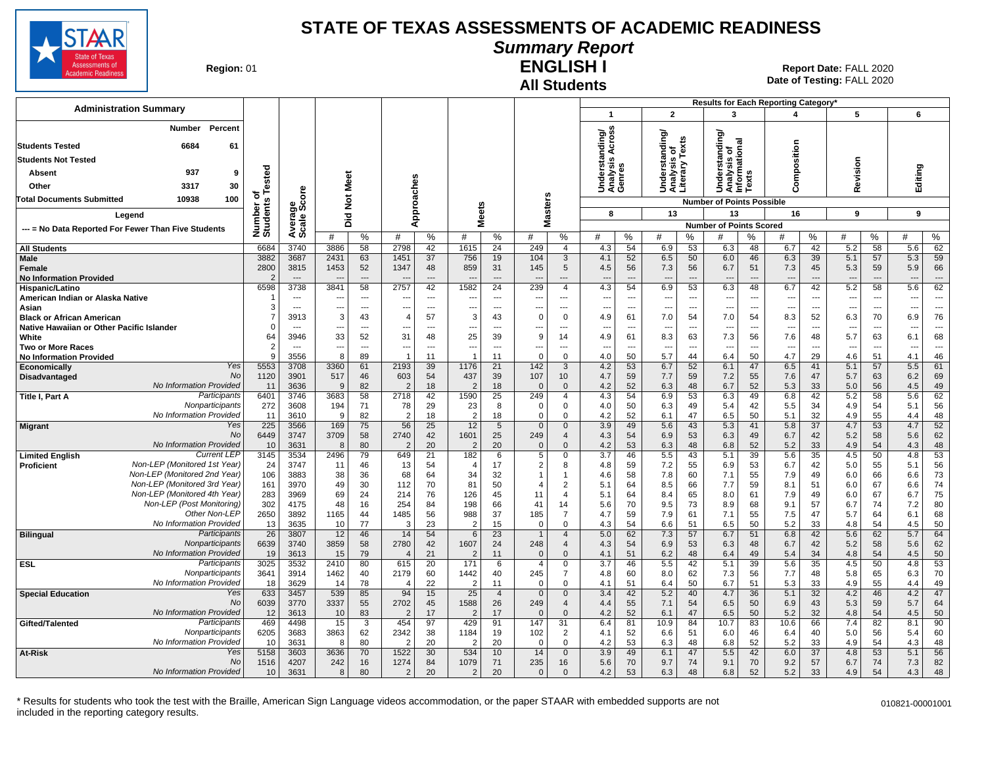

# **Summary Report**

**Region: 01** 

#### **All Students ENGLISH I**

| <b>Administration Summary</b>                                                |                      |                          |                 |                      |                          |                      |                          |                       |                                  |                            |                                |                                |                                    |                |                                      |                          | Results for Each Reporting Category' |                          |               |                      |                  |                                |
|------------------------------------------------------------------------------|----------------------|--------------------------|-----------------|----------------------|--------------------------|----------------------|--------------------------|-----------------------|----------------------------------|----------------------------|--------------------------------|--------------------------------|------------------------------------|----------------|--------------------------------------|--------------------------|--------------------------------------|--------------------------|---------------|----------------------|------------------|--------------------------------|
|                                                                              |                      |                          |                 |                      |                          |                      |                          |                       |                                  |                            | $\overline{1}$                 |                                | $\mathbf{2}$                       |                | 3                                    |                          | 4                                    |                          | 5             |                      | 6                |                                |
| Percent<br><b>Number</b>                                                     |                      |                          |                 |                      |                          |                      |                          |                       |                                  |                            | nding/<br>Across               |                                |                                    |                |                                      |                          |                                      |                          |               |                      |                  |                                |
| 6684<br><b>Students Tested</b><br>61                                         |                      |                          |                 |                      |                          |                      |                          |                       |                                  |                            |                                |                                | lding                              | Texts          | laing                                | ional                    |                                      |                          |               |                      |                  |                                |
| <b>Students Not Tested</b>                                                   |                      |                          |                 |                      |                          |                      |                          |                       |                                  |                            | 료                              |                                | erstan                             |                | e.                                   |                          | Composition                          |                          |               |                      |                  |                                |
| 937<br>9<br>Absent                                                           |                      |                          |                 |                      |                          |                      |                          |                       |                                  |                            | Understa<br>Analysis<br>Genres |                                | Understa<br>Analysis<br>Literary T |                | Understa<br>Analysis<br>Informatio   | S                        |                                      |                          | Revision      |                      | Editing          |                                |
| 30<br>3317<br>Other                                                          | Tested               |                          | Meet            |                      |                          |                      |                          |                       |                                  |                            |                                |                                |                                    |                |                                      | š                        |                                      |                          |               |                      |                  |                                |
| 10938<br>100                                                                 | ō                    |                          |                 |                      |                          |                      |                          |                       |                                  |                            |                                |                                |                                    |                |                                      |                          |                                      |                          |               |                      |                  |                                |
| <b>Total Documents Submitted</b>                                             |                      |                          | $\rm \breve{p}$ |                      |                          | pproaches            |                          |                       | <b>Masters</b>                   |                            |                                |                                |                                    |                | <b>Number of Points Possible</b>     |                          |                                      |                          |               |                      |                  |                                |
| Legend                                                                       |                      |                          | Did             |                      | ⋖                        |                      | <b>Meets</b>             |                       |                                  |                            | 8                              |                                | 13                                 |                | 13<br><b>Number of Points Scored</b> |                          | 16                                   |                          | 9             |                      | 9                |                                |
| --- = No Data Reported For Fewer Than Five Students                          | Number o<br>Students | Average<br>Scale Scor    | #               | %                    | #                        | %                    | #                        | %                     | #                                | %                          | #                              | %                              | #                                  | ℅              | #                                    | ℅                        | #                                    | %                        | #             | %                    | #                | %                              |
| <b>All Students</b>                                                          | 6684                 | 3740                     | 3886            | 58                   | 2798                     | 42                   | 1615                     | 24                    | 249                              | $\overline{4}$             | 4.3                            | 54                             | 6.9                                | 53             | 6.3                                  | 48                       | 6.7                                  | 42                       | 5.2           | 58                   | 5.6              | 62                             |
| Male                                                                         | 3882                 | 3687                     | 2431            | 63                   | 1451                     | 37                   | 756                      | 19                    | 104                              | 3                          | 4.1                            | 52                             | 6.5                                | 50             | 6.0                                  | 46                       | 6.3                                  | 39                       | 5.1           | 57                   | 5.3              | 59                             |
| Female                                                                       | 2800                 | 3815                     | 1453            | 52                   | 1347                     | 48                   | 859                      | 31                    | 145                              | $\sqrt{5}$                 | 4.5                            | 56                             | 7.3                                | 56             | 6.7                                  | 51                       | 7.3                                  | 45                       | 5.3           | 59                   | 5.9              | 66                             |
| <b>No Information Provided</b>                                               | 6598                 | $\sim$<br>3738           | 3841            | $\sim$<br>58         | 2757                     | $\overline{a}$<br>42 | 1582                     | $\overline{a}$<br>24  | 239                              | ---<br>4                   | 4.3                            | $\overline{\phantom{a}}$<br>54 | $\sim$<br>6.9                      | $\sim$<br>53   | $\overline{a}$<br>6.3                | $-$<br>48                | 6.7                                  | $-$<br>42                | $\sim$<br>5.2 | $\sim$<br>58         | ---<br>5.6       | $\sim$<br>62                   |
| Hispanic/Latino<br>American Indian or Alaska Native                          |                      | $-$                      |                 | $\overline{a}$       | ---                      | $---$                | $\overline{\phantom{a}}$ | $---$                 | ---                              | ---                        | ---                            | $\overline{\phantom{a}}$       | ---                                | ---            | ---                                  | $\overline{\phantom{a}}$ | $\overline{\phantom{a}}$             | ---                      | ---           | ---                  | ---              | $\overline{\phantom{a}}$       |
| Asian                                                                        | 3                    | $\overline{\phantom{a}}$ | --              | ---                  | ---                      | ---                  | $\sim$                   | $---$                 | ---                              | ---                        | $\overline{a}$                 | $\overline{\phantom{a}}$       | ---                                | ---            | ---                                  | $\overline{\phantom{a}}$ | $\overline{\phantom{a}}$             | $\overline{\phantom{a}}$ | ---           | ---                  | ---              | $\overline{\phantom{a}}$       |
| <b>Black or African American</b>                                             |                      | 3913                     | 3               | 43                   | $\overline{4}$           | 57                   | 3                        | 43                    | $\Omega$                         | $\overline{0}$             | 4.9                            | 61                             | 7.0                                | 54             | 7.0                                  | 54                       | 8.3                                  | 52                       | 6.3           | 70                   | 6.9              | 76                             |
| Native Hawaiian or Other Pacific Islander                                    | $\Omega$             |                          |                 | ---                  | ---                      |                      |                          |                       | ---                              | ---                        | $\overline{a}$                 |                                | ---                                | $\overline{a}$ | ---                                  | $\overline{\phantom{a}}$ | $\overline{a}$                       | $\overline{\phantom{a}}$ |               |                      | ---              | $\overline{a}$                 |
| White                                                                        | 64                   | 3946                     | 33              | 52                   | 31                       | 48                   | 25                       | 39                    | 9                                | 14                         | 4.9                            | 61                             | 8.3                                | 63             | 7.3                                  | 56                       | 7.6                                  | 48                       | 5.7           | 63                   | 6.1              | 68                             |
| Two or More Races<br><b>No Information Provided</b>                          | $\overline{2}$<br>g  | $\overline{a}$<br>3556   | ٠.<br>8         | $\overline{a}$<br>89 | $\overline{\phantom{a}}$ | $\overline{a}$<br>11 |                          | $\overline{a}$<br>11  | -−∙<br>$\Omega$                  | ---<br>$\overline{0}$      | $\sim$<br>4.0                  | ---<br>50                      | $\overline{\phantom{a}}$<br>5.7    | ---<br>44      | 6.4                                  | $\sim$<br>50             | 4.7                                  | $\overline{a}$<br>29     | 4.6           | $\overline{a}$<br>51 | 4.1              | $\overline{\phantom{a}}$<br>46 |
| Yes<br>Economically                                                          | 5553                 | 3708                     | 3360            | 61                   | 2193                     | 39                   | 1176                     | 21                    | 142                              | 3                          | 4.2                            | 53                             | 6.7                                | 52             | 6.1                                  | 47                       | 6.5                                  | 41                       | 5.1           | 57                   | $\overline{5.5}$ | 61                             |
| No<br>Disadvantaged                                                          | 1120                 | 3901                     | 517             | 46                   | 603                      | 54                   | 437                      | 39                    | 107                              | 10                         | 4.7                            | 59                             | 7.7                                | 59             | 7.2                                  | 55                       | 7.6                                  | 47                       | 5.7           | 63                   | 6.2              | 69                             |
| No Information Provided                                                      | 11                   | 3636                     | 9               | 82                   | $\overline{2}$           | 18                   | $\overline{2}$           | 18                    | $\Omega$                         | $\mathbf{0}$               | 4.2                            | 52                             | 6.3                                | 48             | 6.7                                  | 52                       | 5.3                                  | 33                       | 5.0           | 56                   | 4.5              | 49                             |
| Participants<br>Title I, Part A<br>Nonparticipants                           | 6401                 | 3746                     | 3683            | 58                   | 2718                     | 42                   | 1590                     | 25                    | 249                              | 4                          | 4.3                            | 54                             | 6.9                                | 53             | 6.3                                  | 49                       | 6.8                                  | 42                       | 5.2           | 58                   | 5.6              | 62                             |
| No Information Provided                                                      | 272<br>11            | 3608<br>3610             | 194<br>q        | 71<br>82             | 78<br>$\overline{2}$     | 29<br>18             | 23<br>$\overline{2}$     | 8<br>18               | $\Omega$<br>$\Omega$             | $\mathbf 0$<br>$\Omega$    | 4.0<br>4.2                     | 50<br>52                       | 6.3<br>6.1                         | 49<br>47       | 5.4<br>6.5                           | 42<br>50                 | 5.5<br>5.1                           | 34<br>32                 | 4.9<br>4.9    | 54<br>55             | 5.1<br>4.4       | 56<br>48                       |
| Yes<br><b>Migrant</b>                                                        | 225                  | 3566                     | 169             | 75                   | 56                       | 25                   | 12                       | 5                     | $\Omega$                         | $\mathbf{0}$               | 3.9                            | 49                             | 5.6                                | 43             | 5.3                                  | 41                       | 5.8                                  | 37                       | 4.7           | 53                   | 4.7              | 52                             |
| No                                                                           | 6449                 | 3747                     | 3709            | 58                   | 2740                     | 42                   | 1601                     | 25                    | 249                              | $\overline{4}$             | 4.3                            | 54                             | 6.9                                | 53             | 6.3                                  | 49                       | 6.7                                  | 42                       | 5.2           | 58                   | 5.6              | 62                             |
| No Information Provided                                                      | 10                   | 3631                     | 8               | 80                   | $\overline{2}$           | 20                   | $\overline{2}$           | 20                    | $\mathbf 0$                      | $\Omega$                   | 4.2                            | 53                             | 6.3                                | 48             | 6.8                                  | 52                       | 5.2                                  | 33                       | 4.9           | 54                   | 4.3              | 48                             |
| <b>Current LEP</b><br><b>Limited English</b><br>Non-LEP (Monitored 1st Year) | 3145                 | 3534                     | 2496            | 79                   | 649                      | 21                   | 182                      | 6                     | $\overline{5}$<br>$\overline{2}$ | $\Omega$<br>8              | 3.7                            | 46                             | 5.5                                | 43             | 5.1                                  | 39                       | 5.6                                  | 35                       | 4.5           | 50                   | 4.8              | 53                             |
| <b>Proficient</b><br>Non-LEP (Monitored 2nd Year)                            | 24<br>106            | 3747<br>3883             | 11<br>38        | 46<br>36             | 13<br>68                 | 54<br>64             | $\overline{4}$<br>34     | 17<br>32              |                                  | $\mathbf{1}$               | 4.8<br>4.6                     | 59<br>58                       | 7.2<br>7.8                         | 55<br>60       | 6.9<br>7.1                           | 53<br>55                 | 6.7<br>7.9                           | 42<br>49                 | 5.0<br>6.0    | 55<br>66             | 5.1<br>6.6       | 56<br>73                       |
| Non-LEP (Monitored 3rd Year)                                                 | 161                  | 3970                     | 49              | 30                   | 112                      | 70                   | 81                       | 50                    | 4                                | 2                          | 5.1                            | 64                             | 8.5                                | 66             | 7.7                                  | 59                       | 8.1                                  | 51                       | 6.0           | 67                   | 6.6              | 74                             |
| Non-LEP (Monitored 4th Year)                                                 | 283                  | 3969                     | 69              | 24                   | 214                      | 76                   | 126                      | 45                    | 11                               | $\overline{4}$             | 5.1                            | 64                             | 8.4                                | 65             | 8.0                                  | 61                       | 7.9                                  | 49                       | 6.0           | 67                   | 6.7              | 75                             |
| Non-LEP (Post Monitoring)                                                    | 302                  | 4175                     | 48              | 16                   | 254                      | 84                   | 198                      | 66                    | 41                               | 14                         | 5.6                            | 70                             | 9.5                                | 73             | 8.9                                  | 68                       | 9.1                                  | 57                       | 6.7           | 74                   | 7.2              | 80                             |
| Other Non-LEP                                                                | 2650                 | 3892                     | 1165            | 44                   | 1485                     | 56                   | 988                      | 37                    | 185                              | $\overline{7}$             | 4.7                            | 59                             | 7.9                                | 61             | 7.1                                  | 55                       | 7.5                                  | 47                       | 5.7           | 64                   | 6.1              | 68                             |
| No Information Provided<br>Participants<br><b>Bilingual</b>                  | 13<br>26             | 3635<br>3807             | 10<br>12        | 77<br>46             | 3<br>14                  | 23<br>54             | $\overline{2}$<br>6      | 15<br>$\overline{23}$ | $\Omega$<br>$\mathbf{1}$         | $\Omega$<br>$\overline{4}$ | 4.3<br>5.0                     | 54<br>62                       | 6.6<br>7.3                         | 51<br>57       | 6.5<br>6.7                           | 50<br>51                 | 5.2<br>6.8                           | 33<br>42                 | 4.8<br>5.6    | 54<br>62             | 4.5<br>5.7       | 50<br>64                       |
| <b>Nonparticipants</b>                                                       | 6639                 | 3740                     | 3859            | 58                   | 2780                     | 42                   | 1607                     | 24                    | 248                              | $\overline{4}$             | 4.3                            | 54                             | 6.9                                | 53             | 6.3                                  | 48                       | 6.7                                  | 42                       | 5.2           | 58                   | 5.6              | 62                             |
| No Information Provided                                                      | 19                   | 3613                     | 15              | 79                   | $\overline{4}$           | 21                   | $\overline{2}$           | 11                    | $\Omega$                         | $\mathbf{0}$               | 4.1                            | 51                             | 6.2                                | 48             | 6.4                                  | 49                       | 5.4                                  | 34                       | 4.8           | 54                   | 4.5              | 50                             |
| Participants<br><b>ESL</b>                                                   | 3025                 | 3532                     | 2410            | 80                   | 615                      | $\overline{20}$      | 171                      | 6                     | $\overline{4}$                   | $\overline{0}$             | $\overline{3.7}$               | 46                             | 5.5                                | 42             | 5.1                                  | 39                       | 5.6                                  | 35                       | 4.5           | 50                   | 4.8              | 53                             |
| Nonparticipants                                                              | 3641                 | 3914                     | 1462            | 40                   | 2179                     | 60                   | 1442                     | 40                    | 245                              | $\overline{7}$             | 4.8                            | 60                             | 8.0                                | 62             | 7.3                                  | 56                       | 7.7                                  | 48                       | 5.8           | 65                   | 6.3              | 70                             |
| No Information Provided<br>Yes                                               | 18<br>633            | 3629<br>3457             | 14<br>539       | 78<br>85             | $\overline{4}$<br>94     | 22<br>15             | $\overline{2}$<br>25     | 11<br>$\overline{4}$  | $\Omega$<br>$\mathbf{0}$         | $\mathbf 0$<br>$\mathbf 0$ | 4.1<br>3.4                     | 51<br>42                       | 6.4<br>5.2                         | 50<br>40       | 6.7<br>4.7                           | 51<br>36                 | 5.3<br>5.1                           | 33<br>32                 | 4.9<br>4.2    | 55<br>46             | 4.4<br>4.2       | 49<br>47                       |
| <b>Special Education</b><br>No                                               | 6039                 | 3770                     | 3337            | 55                   | 2702                     | 45                   | 1588                     | 26                    | 249                              | $\overline{4}$             | 4.4                            | 55                             | 7.1                                | 54             | 6.5                                  | 50                       | 6.9                                  | 43                       | 5.3           | 59                   | 5.7              | 64                             |
| No Information Provided                                                      | 12                   | 3613                     | 10              | 83                   | $\overline{2}$           | 17                   | $\overline{2}$           | 17                    | $\mathbf 0$                      | $\overline{0}$             | 4.2                            | 52                             | 6.1                                | 47             | 6.5                                  | 50                       | 5.2                                  | 32                       | 4.8           | 54                   | 4.5              | 50                             |
| Participants<br>Gifted/Talented                                              | 469                  | 4498                     | 15              | 3                    | 454                      | 97                   | 429                      | 91                    | 147                              | 31                         | 6.4                            | 81                             | 10.9                               | 84             | 10.7                                 | 83                       | 10.6                                 | 66                       | 7.4           | 82                   | 8.1              | 90                             |
| Nonparticipants                                                              | 6205                 | 3683                     | 3863            | 62                   | 2342                     | 38                   | 1184                     | 19                    | 102                              | $\overline{2}$             | 4.1                            | 52                             | 6.6                                | 51             | 6.0                                  | 46                       | 6.4                                  | 40                       | 5.0           | 56                   | 5.4              | 60                             |
| No Information Provided<br>At-Risk<br>Yes                                    | 10<br>5158           | 3631<br>3603             | 8<br>3636       | 80<br>70             | $\overline{2}$<br>1522   | 20<br>30             | 534                      | 20<br>10              | $\Omega$<br>14                   | $\Omega$<br>$\overline{0}$ | 4.2<br>3.9                     | 53<br>49                       | 6.3<br>6.1                         | 48<br>47       | 6.8<br>5.5                           | 52<br>42                 | 5.2<br>6.0                           | 33<br>37                 | 4.9<br>4.8    | 54<br>53             | 4.3<br>5.1       | 48<br>56                       |
| <b>No</b>                                                                    | 1516                 | 4207                     | 242             | 16                   | 1274                     | 84                   | 1079                     | 71                    | 235                              | 16                         | 5.6                            | 70                             | 9.7                                | 74             | 9.1                                  | 70                       | 9.2                                  | 57                       | 6.7           | 74                   | 7.3              | 82                             |
| No Information Provided                                                      | 10                   | 3631                     | 8               | 80                   | $\overline{2}$           | 20                   | $\overline{2}$           | 20                    | $\Omega$                         | $\overline{0}$             | 4.2                            | 53                             | 6.3                                | 48             | 6.8                                  | 52                       | 5.2                                  | 33                       | 4.9           | 54                   | 4.3              | 48                             |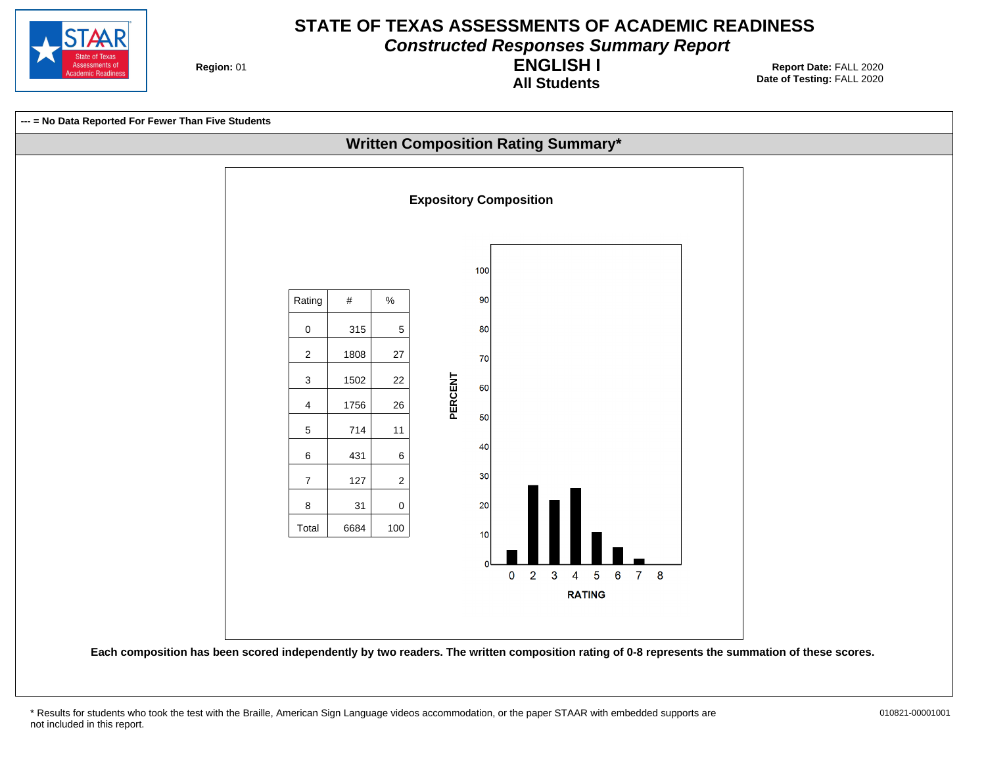

**Constructed Responses Summary Report**

**Region: 01** 

**All Students ENGLISH I**

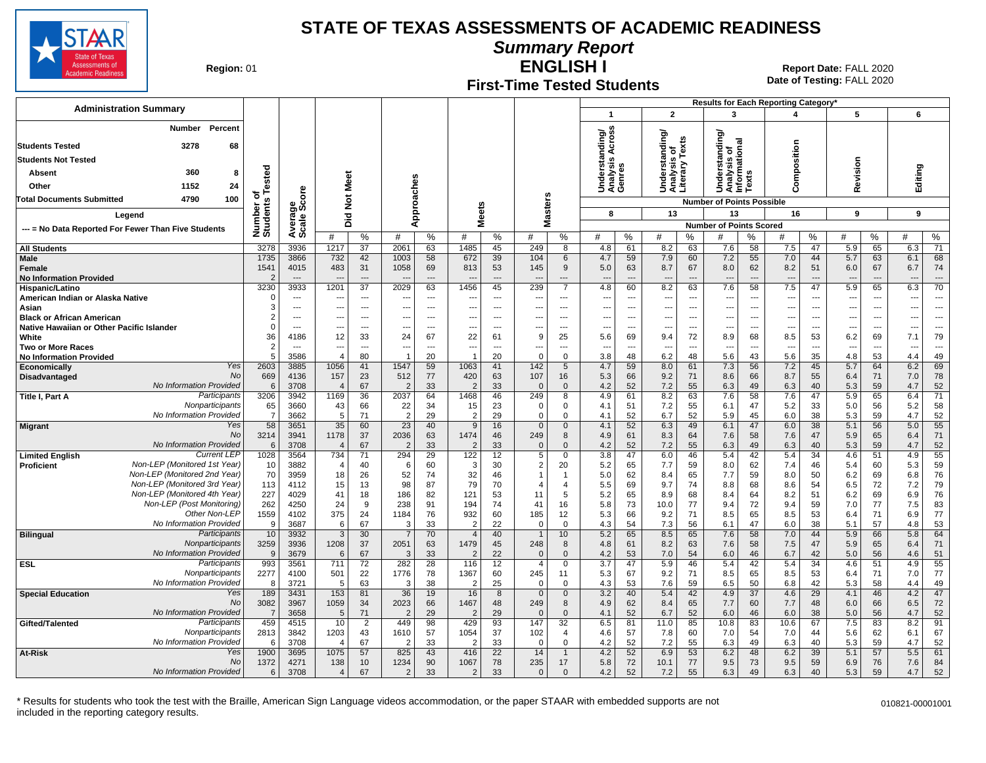

### **Summary Report**

**Region: 01** 

## **First-Time Tested Students**

**ENGLISH I** 01 **Report Date:** FALL 2020 **Date of Testing:**  FALL 2020

| <b>Administration Summary</b>                                |                      |                          |                                 |                                             |                       |                                |                        |                 |                                 |                       |                                                       |                                                               |                                |                                             |                                | <b>Results for Each Reporting Category</b> |                                |                                 |                                |            |                |
|--------------------------------------------------------------|----------------------|--------------------------|---------------------------------|---------------------------------------------|-----------------------|--------------------------------|------------------------|-----------------|---------------------------------|-----------------------|-------------------------------------------------------|---------------------------------------------------------------|--------------------------------|---------------------------------------------|--------------------------------|--------------------------------------------|--------------------------------|---------------------------------|--------------------------------|------------|----------------|
|                                                              |                      |                          |                                 |                                             |                       |                                |                        |                 |                                 |                       | -1                                                    | $\overline{2}$                                                |                                | 3                                           |                                |                                            |                                | 5                               |                                | 6          |                |
| Percent<br>Number                                            |                      |                          |                                 |                                             |                       |                                |                        |                 |                                 |                       |                                                       |                                                               |                                |                                             |                                |                                            |                                |                                 |                                |            |                |
| 3278<br>68<br><b>Students Tested</b>                         |                      |                          |                                 |                                             |                       |                                |                        |                 |                                 |                       | Across<br>Understanding/<br>Analysis Across<br>Genres | erstanding/<br>Understanding<br>Analysis of<br>Literary Texts |                                | tanding                                     | ಸ                              |                                            |                                |                                 |                                |            |                |
| <b>Students Not Tested</b>                                   |                      |                          |                                 |                                             |                       |                                |                        |                 |                                 |                       |                                                       |                                                               |                                | ō                                           | ã                              | omposition                                 |                                |                                 |                                |            |                |
| 360<br>-8<br>Absent                                          |                      |                          |                                 |                                             |                       |                                |                        |                 |                                 |                       |                                                       |                                                               |                                | Understa<br>Analysis<br>Informatic<br>Texts |                                |                                            |                                | evision                         |                                | Editing    |                |
| 1152<br>24<br>Other                                          | Tested               |                          | Meet                            |                                             |                       |                                |                        |                 |                                 |                       |                                                       |                                                               |                                |                                             |                                |                                            |                                |                                 |                                |            |                |
| 100<br><b>Total Documents Submitted</b><br>4790              | ō                    | ō                        |                                 |                                             |                       |                                |                        |                 |                                 |                       |                                                       |                                                               |                                |                                             |                                | Ō                                          |                                | ě                               |                                |            |                |
|                                                              | Number o<br>Students |                          | $\overline{5}$                  |                                             | Approaches            |                                | <b>Meets</b>           |                 | Masters                         |                       |                                                       |                                                               |                                | <b>Number of Points Possible</b>            |                                |                                            |                                |                                 |                                |            |                |
| Legend                                                       |                      |                          | Did                             |                                             |                       |                                |                        |                 |                                 |                       | 8                                                     | 13                                                            |                                | 13<br><b>Number of Points Scored</b>        |                                | 16                                         |                                | 9                               |                                | 9          |                |
| --- = No Data Reported For Fewer Than Five Students          |                      | Average<br>Scale Scc     | #                               | $\%$                                        | #                     | %                              | #                      | %               | #                               | $\%$                  | %<br>#                                                | #                                                             | %                              | #                                           | %                              | #                                          | %                              | #                               | $\%$                           | #          | %              |
| <b>All Students</b>                                          | 3278                 | 3936                     | 1217                            | 37                                          | 2061                  | 63                             | 1485                   | 45              | 249                             | 8                     | 4.8<br>61                                             | 8.2                                                           | 63                             | 7.6                                         | 58                             | 7.5                                        | 47                             | 5.9                             | 65                             | 6.3        | 71             |
| Male                                                         | 1735                 | 3866                     | 732                             | 42                                          | 1003                  | 58                             | 672                    | 39              | 104                             | 6                     | 4.7<br>59                                             | 7.9                                                           | 60                             | 7.2                                         | 55                             | 7.0                                        | 44                             | 5.7                             | 63                             | 6.1        | 68             |
| Female                                                       | 1541                 | 4015                     | 483                             | 31                                          | 1058                  | 69                             | 813                    | 53              | 145                             | 9                     | 5.0<br>63                                             | 8.7                                                           | 67                             | 8.0                                         | 62                             | 8.2                                        | 51                             | 6.0                             | 67                             | 6.7        | 74             |
| <b>No Information Provided</b>                               | $\overline{2}$       | $\sim$                   |                                 | $\sim$                                      |                       | $\overline{a}$                 |                        | $\overline{a}$  |                                 | ---                   | $\overline{\phantom{a}}$<br>$\overline{\phantom{a}}$  | ---                                                           | $\sim$                         |                                             | $\sim$                         | $\overline{\phantom{a}}$                   | $\overline{\phantom{a}}$       |                                 | $\overline{a}$                 |            | $---$          |
| Hispanic/Latino<br>American Indian or Alaska Native          | 3230<br>- 0          | 3933<br>---              | 1201<br>--                      | $\overline{37}$<br>$\overline{\phantom{a}}$ | 2029<br>---           | 63<br>$\overline{\phantom{a}}$ | 1456<br>---            | 45<br>$\ddotsc$ | 239<br>$\overline{\phantom{a}}$ | $\overline{7}$<br>--- | 4.8<br>60<br>---<br>--                                | 8.2<br>---                                                    | 63<br>$\overline{\phantom{a}}$ | 7.6<br>$\overline{\phantom{a}}$             | 58<br>$\overline{\phantom{a}}$ | 7.5<br>---                                 | 47<br>$\overline{\phantom{a}}$ | 5.9<br>$\overline{\phantom{a}}$ | 65<br>$\overline{\phantom{a}}$ | 6.3<br>--- | 70<br>---      |
| Asian                                                        | 3                    | $\overline{a}$           | ---                             | $---$                                       | ---                   | $\overline{a}$                 | $\overline{a}$         | $\sim$          | $\overline{\phantom{a}}$        | $\overline{a}$        | $\overline{a}$<br>$\overline{\phantom{a}}$            | ---                                                           | $\overline{\phantom{a}}$       | ---                                         | $\overline{\phantom{a}}$       | ---                                        | $\sim$                         | $\overline{\phantom{a}}$        | $\overline{a}$                 | ---        | $\overline{a}$ |
| <b>Black or African American</b>                             | $\overline{2}$       | $\overline{a}$           | ---                             | $\overline{\phantom{a}}$                    | ---                   | $---$                          | ---                    | $---$           | --                              | ---                   | $\overline{a}$<br>---                                 | ---                                                           | $\overline{\phantom{a}}$       | ---                                         | $\overline{\phantom{a}}$       | $\overline{a}$                             | $\overline{\phantom{a}}$       | ---                             | $\overline{a}$                 | ---        | $\overline{a}$ |
| Native Hawaiian or Other Pacific Islander                    | $\mathbf{0}$         | $\overline{a}$           | ---                             | $\sim$                                      | --                    | ---                            |                        |                 | $\overline{\phantom{a}}$        | ---                   | $\overline{a}$                                        | ---                                                           | $\overline{a}$                 | ---                                         |                                | $\overline{a}$                             | ---                            | $\overline{\phantom{a}}$        | ---                            | ---        |                |
| White                                                        | 36                   | 4186                     | 12                              | 33                                          | 24                    | 67                             | 22                     | 61              | 9                               | 25                    | 5.6<br>69                                             | 9.4                                                           | 72                             | 8.9                                         | 68                             | 8.5                                        | 53                             | 6.2                             | 69                             | 7.1        | 79             |
| <b>Two or More Races</b>                                     | $\overline{2}$       | $\overline{\phantom{a}}$ | ---<br>$\overline{4}$           | $\overline{a}$                              | ---<br>$\overline{1}$ | $\overline{a}$                 |                        |                 | --<br>$\Omega$                  | ---                   | $\overline{a}$                                        | $\overline{\phantom{a}}$                                      | $\overline{\phantom{a}}$       | $\overline{\phantom{a}}$                    | $\overline{\phantom{a}}$       | $\overline{a}$                             | ---                            | $\overline{\phantom{a}}$        | $\overline{\phantom{a}}$       | ---        |                |
| <b>No Information Provided</b><br>Yes<br>Economically        | 5<br>2603            | 3586<br>3885             | 1056                            | 80<br>41                                    | 1547                  | 20<br>59                       | $\overline{1}$<br>1063 | 20<br>41        | 142                             | $\Omega$<br>5         | 3.8<br>48<br>4.7<br>59                                | 6.2<br>8.0                                                    | 48<br>61                       | 5.6<br>7.3                                  | 43<br>56                       | 5.6<br>7.2                                 | 35<br>45                       | 4.8<br>5.7                      | 53<br>64                       | 4.4<br>6.2 | 49<br>69       |
| No<br>Disadvantaged                                          | 669                  | 4136                     | 157                             | 23                                          | 512                   | 77                             | 420                    | 63              | 107                             | 16                    | 5.3<br>66                                             | 9.2                                                           | 71                             | 8.6                                         | 66                             | 8.7                                        | 55                             | 6.4                             | 71                             | 7.0        | 78             |
| No Information Provided                                      | 6                    | 3708                     | $\overline{4}$                  | 67                                          | $\overline{2}$        | 33                             | $\overline{2}$         | 33              | $\Omega$                        | $\mathbf{0}$          | 52<br>4.2                                             | 7.2                                                           | 55                             | 6.3                                         | 49                             | 6.3                                        | 40                             | 5.3                             | 59                             | 4.7        | 52             |
| Participants<br>Title I, Part A                              | 3206                 | 3942                     | 1169                            | 36                                          | 2037                  | 64                             | 1468                   | 46              | 249                             | 8                     | 4.9<br>61                                             | 8.2                                                           | 63                             | 7.6                                         | 58                             | 7.6                                        | 47                             | 5.9                             | 65                             | 6.4        | 71             |
| Nonparticipants                                              | 65                   | 3660                     | 43                              | 66                                          | 22                    | 34                             | 15                     | 23              | $\Omega$                        | $\mathbf 0$           | 4.1<br>51                                             | 7.2                                                           | 55                             | 6.1                                         | 47                             | 5.2                                        | 33                             | 5.0                             | 56                             | 5.2        | 58             |
| No Information Provided<br>Yes                               | $\overline{7}$<br>58 | 3662                     | 5                               | 71                                          | $\overline{2}$        | 29                             | $\overline{2}$<br>9    | 29              | $\Omega$<br>$\mathbf{0}$        | $\Omega$              | 52<br>4.1                                             | 6.7                                                           | 52                             | 5.9                                         | 45                             | 6.0                                        | 38                             | 5.3                             | 59                             | 4.7<br>5.0 | 52             |
| <b>Migrant</b><br>No                                         | 3214                 | 3651<br>3941             | 35<br>1178                      | 60<br>37                                    | 23<br>2036            | 40<br>63                       | 1474                   | 16<br>46        | 249                             | $\mathbf{0}$<br>8     | 4.1<br>52<br>4.9<br>61                                | 6.3<br>8.3                                                    | 49<br>64                       | 6.1<br>7.6                                  | 47<br>58                       | 6.0<br>7.6                                 | 38<br>47                       | 5.1<br>5.9                      | 56<br>65                       | 6.4        | 55<br>71       |
| No Information Provided                                      | 6                    | 3708                     | $\overline{4}$                  | 67                                          | $\overline{2}$        | 33                             | $\overline{2}$         | 33              | $\mathbf 0$                     | $\mathbf{0}$          | 52<br>4.2                                             | 7.2                                                           | 55                             | 6.3                                         | 49                             | 6.3                                        | 40                             | 5.3                             | 59                             | 4.7        | 52             |
| <b>Current LEP</b><br><b>Limited English</b>                 | 1028                 | 3564                     | 734                             | 71                                          | 294                   | 29                             | 122                    | 12              | $\overline{5}$                  | 0                     | 3.8<br>47                                             | 6.0                                                           | 46                             | 5.4                                         | 42                             | 5.4                                        | 34                             | 4.6                             | 51                             | 4.9        | 55             |
| Non-LEP (Monitored 1st Year)<br>Proficient                   | 10                   | 3882                     | $\overline{\phantom{a}}$        | 40                                          | 6                     | 60                             | 3                      | 30              | $\overline{2}$                  | 20                    | 5.2<br>65                                             | 7.7                                                           | 59                             | 8.0                                         | 62                             | 7.4                                        | 46                             | 5.4                             | 60                             | 5.3        | 59             |
| Non-LEP (Monitored 2nd Year)                                 | 70                   | 3959                     | 18                              | 26                                          | 52                    | 74                             | 32                     | 46              | -1                              | $\overline{1}$        | 5.0<br>62                                             | 8.4                                                           | 65                             | 7.7                                         | 59                             | 8.0                                        | 50                             | 6.2                             | 69                             | 6.8        | 76             |
| Non-LEP (Monitored 3rd Year)<br>Non-LEP (Monitored 4th Year) | 113                  | 4112                     | 15                              | 13                                          | 98                    | 87                             | 79                     | 70              |                                 | $\overline{4}$        | 69<br>5.5                                             | 9.7                                                           | 74                             | 8.8                                         | 68                             | 8.6                                        | 54                             | 6.5                             | 72                             | 7.2        | 79             |
| Non-LEP (Post Monitoring)                                    | 227<br>262           | 4029<br>4250             | 41<br>24                        | 18<br>9                                     | 186<br>238            | 82<br>91                       | 121<br>194             | 53<br>74        | 11<br>41                        | 5<br>16               | 5.2<br>65<br>73<br>5.8                                | 8.9<br>10.0                                                   | 68<br>77                       | 8.4<br>9.4                                  | 64<br>72                       | 8.2<br>9.4                                 | 51<br>59                       | 6.2<br>7.0                      | 69<br>77                       | 6.9<br>7.5 | 76<br>83       |
| Other Non-LEP                                                | 1559                 | 4102                     | 375                             | 24                                          | 1184                  | 76                             | 932                    | 60              | 185                             | 12                    | 5.3<br>66                                             | 9.2                                                           | 71                             | 8.5                                         | 65                             | 8.5                                        | 53                             | 6.4                             | 71                             | 6.9        | 77             |
| No Information Provided                                      | g                    | 3687                     | 6                               | 67                                          | 3                     | 33                             | $\overline{2}$         | 22              | $\Omega$                        | $\Omega$              | 4.3<br>54                                             | 7.3                                                           | 56                             | 6.1                                         | 47                             | 6.0                                        | 38                             | 5.1                             | 57                             | 4.8        | 53             |
| Participants<br><b>Bilingual</b>                             | 10                   | 3932                     | $\overline{3}$                  | 30                                          | $\overline{7}$        | 70                             | $\overline{4}$         | 40              | $\mathbf{1}$                    | 10                    | 5.2<br>65                                             | 8.5                                                           | 65                             | 7.6                                         | 58                             | 7.0                                        | 44                             | 5.9                             | 66                             | 5.8        | 64             |
| Nonparticipants                                              | 3259                 | 3936                     | 1208                            | 37                                          | 2051                  | 63                             | 1479                   | 45              | 248                             | 8                     | 4.8<br>61                                             | 8.2                                                           | 63                             | 7.6                                         | 58                             | 7.5                                        | 47                             | 5.9                             | 65                             | 6.4        | 71             |
| No Information Provided                                      | -9                   | 3679                     | 6                               | 67                                          | 3                     | 33                             | $\overline{2}$         | 22              | $\Omega$                        | $\Omega$              | 53<br>4.2                                             | 7.0                                                           | 54                             | 6.0                                         | 46                             | 6.7                                        | 42                             | $5.0$                           | 56                             | 4.6        | 51             |
| Participants<br><b>ESL</b><br>Nonparticipants                | 993<br>2277          | 3561<br>4100             | 711                             | 72<br>22                                    | 282<br>1776           | 28<br>78                       | 116<br>1367            | 12<br>60        | $\overline{4}$<br>245           | $\mathbf 0$<br>11     | 3.7<br>47<br>5.3<br>67                                | 5.9<br>9.2                                                    | 46<br>71                       | 5.4<br>8.5                                  | 42<br>65                       | 5.4<br>8.5                                 | $\overline{34}$<br>53          | 4.6<br>6.4                      | 51<br>71                       | 4.9<br>7.0 | 55<br>77       |
| No Information Provided                                      | -8                   | 3721                     | 501<br>-5                       | 63                                          | 3                     | 38                             | $\overline{2}$         | 25              | $\Omega$                        | $\Omega$              | 4.3<br>53                                             | 7.6                                                           | 59                             | 6.5                                         | 50                             | 6.8                                        | 42                             | 5.3                             | 58                             | 4.4        | 49             |
| Yes<br><b>Special Education</b>                              | 189                  | 3431                     | 153                             | 81                                          | 36                    | 19                             | 16                     | 8               | $\mathbf{0}$                    | $\mathbf{0}$          | 3.2<br>40                                             | 5.4                                                           | 42                             | 4.9                                         | 37                             | 4.6                                        | 29                             | 4.1                             | 46                             | 4.2        | 47             |
| <b>No</b>                                                    | 3082                 | 3967                     | 1059                            | 34                                          | 2023                  | 66                             | 1467                   | 48              | 249                             | 8                     | 4.9<br>62                                             | 8.4                                                           | 65                             | 7.7                                         | 60                             | 7.7                                        | 48                             | 6.0                             | 66                             | 6.5        | 72             |
| No Information Provided                                      | $\overline{7}$       | 3658                     | 5                               | 71                                          | $\overline{2}$        | 29                             | $\overline{2}$         | 29              | $\Omega$                        | $\mathbf{0}$          | 4.1<br>52                                             | 6.7                                                           | 52                             | 6.0                                         | 46                             | 6.0                                        | 38                             | 5.0                             | 56                             | 4.7        | 52             |
| Participants<br>Gifted/Talented                              | 459                  | 4515                     | 10                              | $\overline{2}$                              | 449                   | 98                             | 429                    | 93              | 147                             | 32                    | 6.5<br>81                                             | 11.0                                                          | 85                             | 10.8                                        | 83                             | 10.6                                       | 67                             | 7.5                             | 83                             | 8.2        | 91             |
| Nonparticipants<br>No Information Provided                   | 2813<br>-6           | 3842<br>3708             | 1203<br>$\overline{\mathbf{A}}$ | 43<br>67                                    | 1610<br>$\mathcal{P}$ | 57<br>33                       | 1054<br>$\mathfrak{p}$ | 37<br>33        | 102<br>$\Omega$                 | 4<br>$\Omega$         | 57<br>4.6<br>4.2<br>52                                | 7.8<br>7.2                                                    | 60<br>55                       | 7.0<br>6.3                                  | 54<br>49                       | 7.0<br>6.3                                 | 44<br>40                       | 5.6<br>5.3                      | 62<br>59                       | 6.1<br>4.7 | 67<br>52       |
| At-Risk<br>Yes                                               | 1900                 | 3695                     | 1075                            | 57                                          | 825                   | 43                             | 416                    | 22              | 14                              | $\mathbf{1}$          | 4.2<br>52                                             | 6.9                                                           | 53                             | 6.2                                         | 48                             | 6.2                                        | 39                             | 5.1                             | 57                             | 5.5        | 61             |
| No                                                           | 1372                 | 4271                     | 138                             | 10                                          | 1234                  | 90                             | 1067                   | 78              | 235                             | 17                    | 5.8<br>72                                             | 10.1                                                          | 77                             | 9.5                                         | 73                             | 9.5                                        | 59                             | 6.9                             | 76                             | 7.6        | 84             |
| No Information Provided                                      | 6                    | 3708                     | $\overline{4}$                  | 67                                          | $\overline{2}$        | 33                             | $\overline{2}$         | 33              | $\Omega$                        | $\Omega$              | 52<br>4.2                                             | 7.2                                                           | 55                             | 6.3                                         | 49                             | 6.3                                        | 40                             | 5.3                             | 59                             | 4.7        | 52             |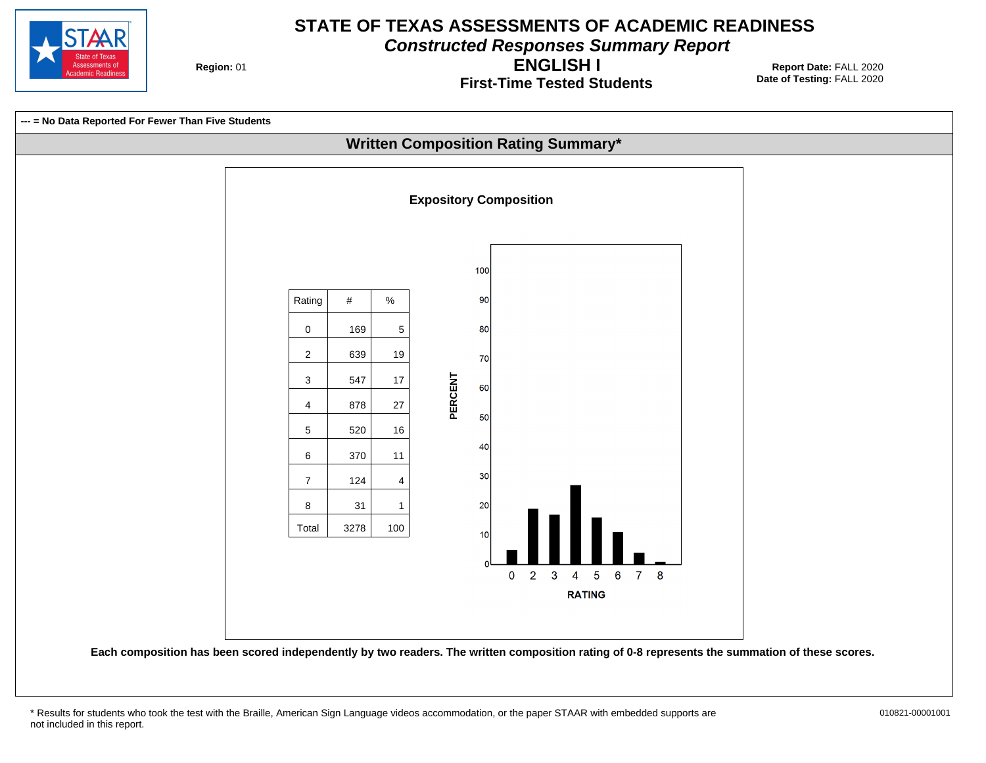

**Constructed Responses Summary Report**

**Region: 01** 

**First-Time Tested Students ENGLISH I**

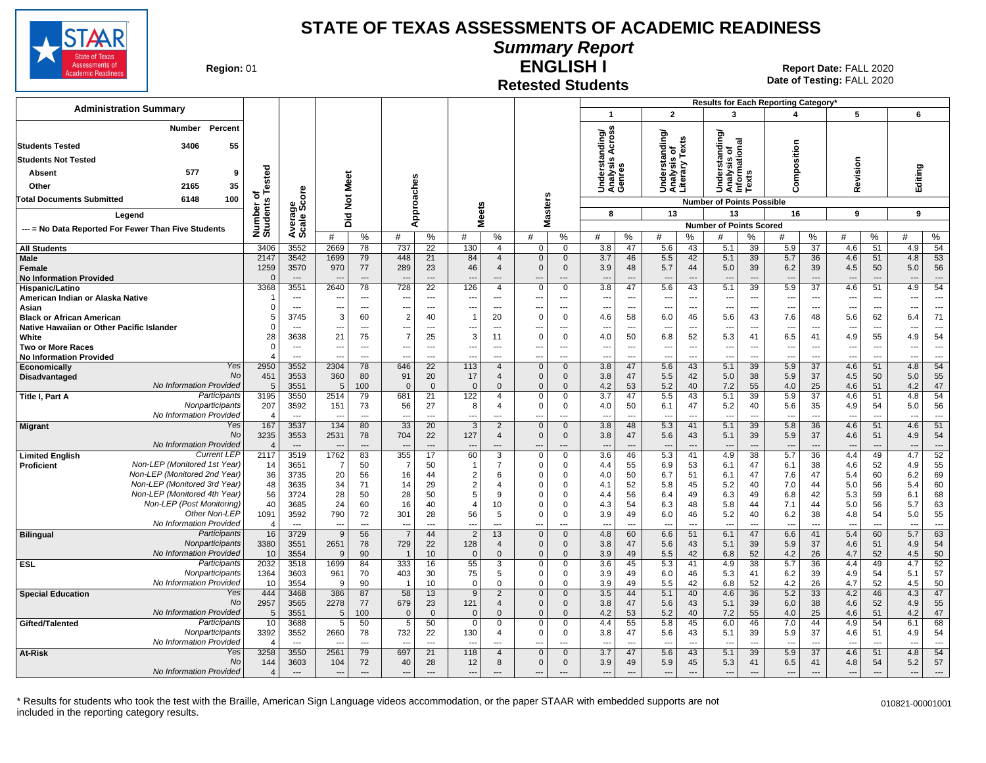

**Summary Report**

**Region: 01** 

#### **Retested Students ENGLISH I**

**Date of Testing:**  FALL 2020 01 **Report Date:** FALL 2020

|                                                              |                      |                                          |                                 |                                 |                                                      |                                |                                  |                                  |                         |                                               |                                            |                                                                        |                                  | Results for Each Reporting Category'           |                                |                                 |                                   |                                 |                                                      |                                        |                                                      |
|--------------------------------------------------------------|----------------------|------------------------------------------|---------------------------------|---------------------------------|------------------------------------------------------|--------------------------------|----------------------------------|----------------------------------|-------------------------|-----------------------------------------------|--------------------------------------------|------------------------------------------------------------------------|----------------------------------|------------------------------------------------|--------------------------------|---------------------------------|-----------------------------------|---------------------------------|------------------------------------------------------|----------------------------------------|------------------------------------------------------|
| <b>Administration Summary</b>                                |                      |                                          |                                 |                                 |                                                      |                                |                                  |                                  |                         |                                               | $\mathbf{1}$                               |                                                                        | $\overline{2}$                   | 3                                              |                                | $\boldsymbol{4}$                |                                   | 5                               |                                                      | 6                                      |                                                      |
| Percent<br>Number<br>55<br><b>Students Tested</b><br>3406    |                      |                                          |                                 |                                 |                                                      |                                |                                  |                                  |                         |                                               | nding/<br>Across                           | tanding/                                                               | is of<br>Texts                   | ৯<br>tanding<br>চ<br>তুল<br>ত                  |                                |                                 |                                   |                                 |                                                      |                                        |                                                      |
| <b>Students Not Tested</b>                                   |                      |                                          |                                 |                                 |                                                      |                                |                                  |                                  |                         |                                               |                                            |                                                                        |                                  |                                                |                                |                                 |                                   |                                 |                                                      |                                        |                                                      |
| 577<br>Absent<br>9                                           |                      |                                          |                                 |                                 |                                                      |                                |                                  |                                  |                         |                                               | Understar<br>Analysis<br>Genres            |                                                                        | Understa<br>Analysis<br>Literary | Understar<br>Analysis o<br>Informatic<br>Texts |                                | Composition                     |                                   | Revision                        |                                                      | Editing                                |                                                      |
| 2165<br>35<br>Other                                          | Tested               |                                          |                                 | Meet                            |                                                      |                                |                                  |                                  |                         |                                               |                                            |                                                                        |                                  |                                                |                                |                                 |                                   |                                 |                                                      |                                        |                                                      |
| 6148<br>100<br><b>Total Documents Submitted</b>              | ठ                    | ge<br>Score                              |                                 | $\frac{5}{2}$                   |                                                      |                                |                                  |                                  |                         |                                               |                                            |                                                                        |                                  | <b>Number of Points Possible</b>               |                                |                                 |                                   |                                 |                                                      |                                        |                                                      |
| Legend                                                       | Number o<br>Students |                                          |                                 |                                 |                                                      | Approaches                     | <b>Meets</b>                     |                                  |                         | <b>Masters</b>                                | 8                                          |                                                                        | 13                               | 13                                             |                                | 16                              |                                   | 9                               |                                                      | 9                                      |                                                      |
|                                                              |                      | Avera<br>Scale                           |                                 | Did                             |                                                      |                                |                                  |                                  |                         |                                               |                                            |                                                                        |                                  | <b>Number of Points Scored</b>                 |                                |                                 |                                   |                                 |                                                      |                                        |                                                      |
| --- = No Data Reported For Fewer Than Five Students          |                      |                                          | #                               | %                               | #                                                    | %                              | #                                | %                                | #                       | %                                             | #                                          | %<br>#                                                                 | %                                | #                                              | %                              | #                               | $\%$                              | #                               | %                                                    | #                                      | %                                                    |
| <b>All Students</b>                                          | 3406                 | 3552                                     | 2669                            | 78                              | 737                                                  | 22                             | 130                              | $\overline{4}$                   | 0                       | $\mathbf 0$                                   | 3.8                                        | 47<br>5.6                                                              | 43                               | 5.1                                            | 39                             | 5.9                             | $\overline{37}$                   | 4.6                             | 51                                                   | 4.9                                    | 54                                                   |
| <b>Male</b><br>Female<br><b>No Information Provided</b>      | 2147<br>1259         | 3542<br>3570<br>$\overline{\phantom{a}}$ | 1699<br>970                     | 79<br>77<br>$\overline{a}$      | 448<br>289<br>$\overline{\phantom{a}}$               | 21<br>23<br>$\overline{a}$     | 84<br>46                         | $\overline{4}$<br>$\overline{4}$ | $\Omega$<br>$\mathbf 0$ | $\mathbf{0}$<br>$\mathbf 0$<br>$\overline{a}$ | 3.7<br>3.9<br>$\overline{a}$               | 46<br>5.5<br>5.7<br>48<br>$\overline{\phantom{a}}$                     | 42<br>44<br>$\overline{a}$       | 5.1<br>5.0<br>$\overline{a}$                   | 39<br>39<br>---                | 5.7<br>6.2                      | 36<br>39                          | 4.6<br>4.5                      | 51<br>50<br>$\overline{a}$                           | 4.8<br>5.0<br>$\overline{\phantom{a}}$ | 53<br>56<br>$\overline{a}$                           |
| Hispanic/Latino                                              | 3368                 | 3551                                     | 2640                            | 78                              | 728                                                  | 22                             | 126                              | $\overline{4}$                   | $\Omega$                | $\mathbf 0$                                   | 3.8                                        | 5.6<br>47                                                              | 43                               | 5.1                                            | 39                             | 5.9                             | $\overline{37}$                   | 4.6                             | 51                                                   | 4.9                                    | 54                                                   |
| American Indian or Alaska Native<br>Asian                    | $\Omega$             | $---$<br>$\overline{\phantom{a}}$        | $\overline{\phantom{a}}$<br>--- | ---<br>$\overline{\phantom{a}}$ | $\overline{\phantom{a}}$<br>$\hspace{0.05cm} \ldots$ | ---<br>$---$                   | $- - -$<br>---                   | $---$<br>$---$                   | ---<br>---              | $---$<br>$\overline{a}$                       | $\overline{\phantom{a}}$<br>$\overline{a}$ | ---<br>---<br>---<br>$\overline{\phantom{a}}$                          | $\overline{\phantom{a}}$<br>---  | ---<br>---                                     | ---<br>---                     | $\sim$<br>---                   | $---$<br>$\overline{\phantom{a}}$ | ---<br>---                      | $\overline{\phantom{a}}$<br>$\overline{\phantom{a}}$ | ---<br>---                             | $\overline{\phantom{a}}$<br>$\overline{\phantom{a}}$ |
| <b>Black or African American</b>                             | 5                    | 3745                                     | 3                               | 60                              | $\overline{2}$                                       | 40                             | $\mathbf 1$                      | 20                               | $\mathbf 0$             | $\mathbf 0$                                   | 4.6                                        | 58<br>6.0                                                              | 46                               | 5.6                                            | 43                             | 7.6                             | 48                                | 5.6                             | 62                                                   | 6.4                                    | 71                                                   |
| Native Hawaiian or Other Pacific Islander                    | $\Omega$             | $\overline{\phantom{a}}$                 | $\sim$                          | ---                             | ---                                                  | $\overline{a}$                 |                                  | $\sim$                           | …                       | $\overline{a}$                                | $\overline{\phantom{a}}$                   | $\overline{a}$<br>---                                                  | ---                              | ---                                            | $\overline{a}$                 | $\overline{\phantom{a}}$        | $\overline{a}$                    | $\overline{\phantom{a}}$        | $\sim$                                               | $\overline{\phantom{a}}$               | $\overline{\phantom{a}}$                             |
| White<br><b>Two or More Races</b>                            | 28<br>$\Omega$       | 3638<br>$\overline{\phantom{a}}$         | 21<br>--                        | 75<br>---                       | $\overline{7}$<br>$\hspace{0.05cm} \ldots$           | 25<br>---                      | 3                                | 11<br>$---$                      | $\mathbf 0$             | $\mathbf 0$<br>$\hspace{0.05cm} \ldots$       | 4.0<br>$\overline{\phantom{a}}$            | 50<br>6.8<br>$\qquad \qquad \cdots$                                    | 52<br>$\hspace{0.05cm} \ldots$   | 5.3<br>$\overline{\phantom{a}}$                | 41<br>$\overline{\phantom{a}}$ | 6.5<br>$\overline{\phantom{a}}$ | 41<br>$\overline{\phantom{a}}$    | 4.9<br>$\sim$                   | 55<br>$\overline{\phantom{a}}$                       | 4.9<br>---                             | 54<br>$\overline{\phantom{a}}$                       |
| <b>No Information Provided</b>                               |                      | $\overline{a}$                           |                                 | $\overline{a}$                  | $\sim$                                               | $\overline{a}$                 | --                               | $\overline{a}$                   | ---<br>---              | $\overline{a}$                                | $\overline{a}$                             | $\overline{\phantom{a}}$<br>$\overline{a}$<br>$\overline{\phantom{a}}$ | $\sim$                           | $\sim$                                         | $\sim$                         | $\overline{a}$                  | $\overline{\phantom{a}}$          | $\sim$                          | $\overline{a}$                                       | $\sim$                                 | $\overline{a}$                                       |
| Yes<br>Economically                                          | 2950                 | 3552                                     | 2304                            | 78                              | 646                                                  | $\overline{22}$                | 113                              | $\overline{4}$                   | $\mathbf{0}$            | $\overline{0}$                                | 3.8                                        | 47<br>5.6                                                              | 43                               | 5.1                                            | 39                             | 5.9                             | $\overline{37}$                   | 4.6                             | 51                                                   | 4.8                                    | 54                                                   |
| No<br>Disadvantaged<br>No Information Provided               | 451<br>5             | 3553<br>3551                             | 360<br>5                        | 80<br>100                       | 91<br>$\Omega$                                       | 20<br>$\mathbf{0}$             | 17<br>$\Omega$                   | $\overline{4}$<br>$\Omega$       | $\mathbf 0$<br>$\Omega$ | $\mathbf 0$<br>$\mathbf{0}$                   | 3.8<br>4.2                                 | 5.5<br>47<br>5.2<br>53                                                 | 42<br>40                         | 5.0<br>7.2                                     | 38<br>55                       | 5.9<br>4.0                      | 37<br>25                          | 4.5<br>4.6                      | 50<br>51                                             | 5.0<br>4.2                             | 55<br>47                                             |
| Participants<br><b>Title I, Part A</b>                       | 3195                 | 3550                                     | 2514                            | 79                              | 681                                                  | 21                             | 122                              | $\overline{4}$                   | 0                       | $\mathbf 0$                                   | $\overline{3.7}$                           | 5.5<br>47                                                              | 43                               | 5.1                                            | 39                             | 5.9                             | $\overline{37}$                   | 4.6                             | 51                                                   | 4.8                                    | 54                                                   |
| Nonparticipants<br>No Information Provided                   | 207<br>$\sqrt{2}$    | 3592<br>$\overline{\phantom{a}}$         | 151                             | 73<br>$\overline{a}$            | 56<br>---                                            | 27<br>$\overline{a}$           | 8                                | $\overline{4}$<br>$\overline{a}$ | 0                       | $\mathbf 0$<br>---                            | 4.0                                        | 50<br>6.1<br>$\overline{a}$<br>$\overline{\phantom{a}}$                | 47<br>$\overline{a}$             | 5.2<br>---                                     | 40<br>$\overline{a}$           | 5.6                             | 35<br>$\overline{\phantom{a}}$    | 4.9                             | 54<br>$\overline{\phantom{a}}$                       | 5.0                                    | 56<br>$\overline{a}$                                 |
| Yes<br><b>Migrant</b>                                        | 167                  | 3537                                     | 134                             | 80                              | 33                                                   | 20                             | $\mathbf{3}$                     | 2                                | $\Omega$                | $\mathbf{0}$                                  | 3.8                                        | 5.3<br>48                                                              | 41                               | 5.1                                            | 39                             | 5.8                             | 36                                | 4.6                             | 51                                                   | 4.6                                    | 51                                                   |
| <b>No</b><br>No Information Provided                         | 3235                 | 3553<br>$\overline{\phantom{a}}$         | 2531<br>$\overline{a}$          | 78<br>$---$                     | 704<br>$\overline{\phantom{a}}$                      | 22<br>$\overline{\phantom{a}}$ | 127<br>$\sim$                    | $\overline{4}$<br>$---$          | $\mathbf{0}$<br>---     | $\mathbf 0$<br>$---$                          | 3.8<br>$\overline{a}$                      | 47<br>5.6<br>$\overline{\phantom{a}}$<br>$\overline{\phantom{a}}$      | 43<br>$\overline{a}$             | 5.1<br>---                                     | 39<br>$\overline{\phantom{a}}$ | 5.9<br>$\overline{\phantom{a}}$ | 37<br>$---$                       | 4.6<br>$\sim$                   | 51<br>$---$                                          | 4.9<br>---                             | 54<br>$\overline{a}$                                 |
| <b>Current LEP</b><br><b>Limited English</b>                 | 2117                 | 3519                                     | 1762                            | 83                              | 355                                                  | 17                             | 60                               | 3                                | $\mathbf 0$             | $\mathbf 0$                                   | 3.6                                        | 5.3<br>46                                                              | 41                               | 4.9                                            | 38                             | 5.7                             | 36                                | 4.4                             | 49                                                   | 4.7                                    | $\overline{52}$                                      |
| Non-LEP (Monitored 1st Year)<br>Proficient                   | 14                   | 3651                                     | $\overline{7}$                  | 50                              | $\overline{7}$                                       | 50                             | $\overline{1}$                   | 7                                | $\Omega$                | 0                                             | 4.4                                        | 55<br>6.9                                                              | 53                               | 6.1                                            | 47                             | 6.1                             | 38                                | 4.6                             | 52                                                   | 4.9                                    | 55                                                   |
| Non-LEP (Monitored 2nd Year)<br>Non-LEP (Monitored 3rd Year) | 36<br>48             | 3735<br>3635                             | 20<br>34                        | 56<br>71                        | 16<br>14                                             | 44<br>29                       | $\overline{2}$<br>$\overline{2}$ | 6<br>$\Delta$                    | $\Omega$<br>$\Omega$    | 0<br>$\mathbf 0$                              | 4.0<br>4.1                                 | 50<br>6.7<br>52<br>5.8                                                 | 51<br>45                         | 6.1<br>5.2                                     | 47<br>40                       | 7.6<br>7.0                      | 47<br>44                          | 5.4<br>5.0                      | 60<br>56                                             | 6.2<br>5.4                             | 69<br>60                                             |
| Non-LEP (Monitored 4th Year)                                 | 56                   | 3724                                     | 28                              | 50                              | 28                                                   | 50                             | 5                                | 9                                | $\Omega$                | $\Omega$                                      | 4.4                                        | 56<br>6.4                                                              | 49                               | 6.3                                            | 49                             | 6.8                             | 42                                | 5.3                             | 59                                                   | 6.1                                    | 68                                                   |
| Non-LEP (Post Monitoring)                                    | 40                   | 3685                                     | 24                              | 60                              | 16                                                   | 40                             | 4                                | 10                               | $\Omega$                | $\Omega$                                      | 4.3                                        | 6.3<br>54                                                              | 48                               | 5.8                                            | 44                             | 7.1                             | 44                                | 5.0                             | 56                                                   | 5.7                                    | 63                                                   |
| Other Non-LEP<br>No Information Provided                     | 1091<br>$\sqrt{2}$   | 3592<br>$-$                              | 790<br>$\sim$                   | 72<br>$\overline{a}$            | 301<br>$\overline{a}$                                | 28<br>$\overline{a}$           | 56<br>$\sim$                     | 5<br>$---$                       | $\mathbf 0$<br>---      | $\mathbf 0$<br>$\overline{a}$                 | 3.9<br>$\overline{a}$                      | 6.0<br>49<br>$\overline{\phantom{a}}$<br>$\overline{\phantom{a}}$      | 46<br>$\overline{a}$             | 5.2<br>$\overline{a}$                          | 40<br>$\overline{a}$           | 6.2<br>$\overline{a}$           | 38<br>$\overline{\phantom{a}}$    | 4.8<br>$\overline{\phantom{a}}$ | 54<br>$\overline{\phantom{a}}$                       | 5.0<br>$\sim$                          | 55<br>$\hspace{0.05cm} \ldots$                       |
| Participants<br><b>Bilingual</b>                             | 16                   | 3729                                     | 9                               | 56                              | $\overline{7}$                                       | 44                             | $\overline{2}$                   | 13                               | $\Omega$                | $\mathbf{0}$                                  | 4.8                                        | 60<br>6.6                                                              | 51                               | 6.1                                            | 47                             | 6.6                             | 41                                | 5.4                             | 60                                                   | 5.7                                    | 63                                                   |
| Nonparticipants                                              | 3380                 | 3551                                     | 2651                            | 78                              | 729                                                  | 22                             | 128                              | $\overline{4}$                   | $\mathbf{0}$            | $\mathbf{0}$                                  | 3.8                                        | 5.6<br>47                                                              | 43                               | 5.1                                            | 39                             | 5.9                             | 37                                | 4.6                             | 51                                                   | 4.9                                    | 54                                                   |
| No Information Provided<br>Participants<br><b>ESL</b>        | 10<br>2032           | 3554<br>3518                             | $\mathbf{Q}$<br>1699            | 90<br>84                        | 333                                                  | 10<br>16                       | $\Omega$<br>55                   | $\Omega$<br>3                    | $\Omega$<br>$\Omega$    | $\mathbf{0}$<br>0                             | 3.9<br>3.6                                 | 49<br>5.5<br>5.3<br>45                                                 | 42<br>41                         | 6.8<br>4.9                                     | 52<br>38                       | 4.2<br>5.7                      | 26<br>36                          | 4.7<br>4.4                      | 52<br>49                                             | 4.5<br>4.7                             | 50<br>52                                             |
| Nonparticipants                                              | 1364                 | 3603                                     | 961                             | 70                              | 403                                                  | 30                             | 75                               | 5                                | $\Omega$                | $\mathbf 0$                                   | 3.9                                        | 49<br>6.0                                                              | 46                               | 5.3                                            | 41                             | 6.2                             | 39                                | 4.9                             | 54                                                   | 5.1                                    | 57                                                   |
| No Information Provided                                      | 10                   | 3554                                     | 9                               | 90                              | $\overline{1}$                                       | 10                             | $\mathbf 0$                      | $\mathbf 0$                      | $\mathbf 0$             | $\mathbf 0$                                   | 3.9                                        | 49<br>5.5                                                              | 42                               | 6.8                                            | 52                             | 4.2                             | 26                                | 4.7                             | 52                                                   | 4.5                                    | 50                                                   |
| Yes<br><b>Special Education</b><br><b>No</b>                 | 444                  | 3468                                     | 386                             | 87                              | 58                                                   | 13                             | 9                                | $\overline{2}$                   | $\Omega$<br>$\Omega$    | $\mathbf 0$                                   | 3.5                                        | 44<br>5.1                                                              | 40                               | 4.6                                            | 36                             | 5.2                             | 33                                | 4.2                             | 46                                                   | 4.3                                    | 47                                                   |
| No Information Provided                                      | 2957<br>-5           | 3565<br>3551                             | 2278<br>5                       | 77<br>100                       | 679<br>$\Omega$                                      | 23<br>$\mathbf{0}$             | 121<br>$\Omega$                  | $\overline{4}$<br>$\Omega$       | $\Omega$                | $\mathbf 0$<br>$\mathbf{0}$                   | 3.8<br>4.2                                 | 5.6<br>47<br>53<br>5.2                                                 | 43<br>40                         | 5.1<br>7.2                                     | 39<br>55                       | 6.0<br>4.0                      | 38<br>25                          | 4.6<br>4.6                      | 52<br>51                                             | 4.9<br>4.2                             | 55<br>47                                             |
| Participants<br>Gifted/Talented                              | 10                   | 3688                                     | 5                               | 50                              | 5                                                    | 50                             | $\mathbf 0$                      | $\Omega$                         | $\Omega$                | $\mathbf 0$                                   | 4.4                                        | 55<br>5.8                                                              | 45                               | 6.0                                            | 46                             | 7.0                             | 44                                | 4.9                             | 54                                                   | 6.1                                    | 68                                                   |
| Nonparticipants                                              | 3392                 | 3552                                     | 2660                            | 78                              | 732                                                  | 22                             | 130                              | $\overline{4}$                   | $\overline{0}$          | $\mathbf 0$                                   | 3.8                                        | 47<br>5.6                                                              | 43                               | 5.1                                            | 39                             | 5.9                             | 37                                | 4.6                             | 51                                                   | 4.9                                    | 54                                                   |
| No Information Provided<br>Yes<br>At-Risk                    | 3258                 | $\overline{a}$<br>3550                   | 2561                            | $\overline{a}$<br>79            | 697                                                  | $\overline{a}$<br>21           | 118                              | $\overline{a}$<br>$\overline{4}$ | $\mathbf{0}$            | $\overline{a}$<br>$\mathbf 0$                 | 3.7                                        | $\overline{a}$<br>$\overline{\phantom{a}}$<br>5.6<br>47                | $\overline{a}$<br>43             | $\sim$<br>5.1                                  | $\sim$<br>39                   | $\overline{a}$<br>5.9           | $\overline{\phantom{a}}$<br>37    | 4.6                             | $\overline{a}$<br>51                                 | 4.8                                    | $\overline{a}$<br>54                                 |
| No                                                           | 144                  | 3603                                     | 104                             | 72                              | 40                                                   | 28                             | 12                               | 8                                | $\mathbf{0}$            | $\mathbf{0}$                                  | 3.9                                        | 5.9<br>49                                                              | 45                               | 5.3                                            | 41                             | 6.5                             | 41                                | 4.8                             | 54                                                   | 5.2                                    | 57                                                   |
| No Information Provided                                      | $\overline{4}$       | $\cdots$                                 | ---                             | $---$                           | $\hspace{1.5cm} \cdots$                              | $\qquad \qquad \cdots$         | $\overline{\phantom{a}}$         |                                  | ---                     | $\overline{a}$                                | ---                                        | $\qquad \qquad \cdots$<br>$\overline{\phantom{a}}$                     | $\qquad \qquad \cdots$           | $\qquad \qquad \cdots$                         | $\overline{\phantom{a}}$       | $\overline{\phantom{a}}$        | $\overline{\phantom{a}}$          | $\overline{\phantom{a}}$        | $\overline{a}$                                       | ---                                    |                                                      |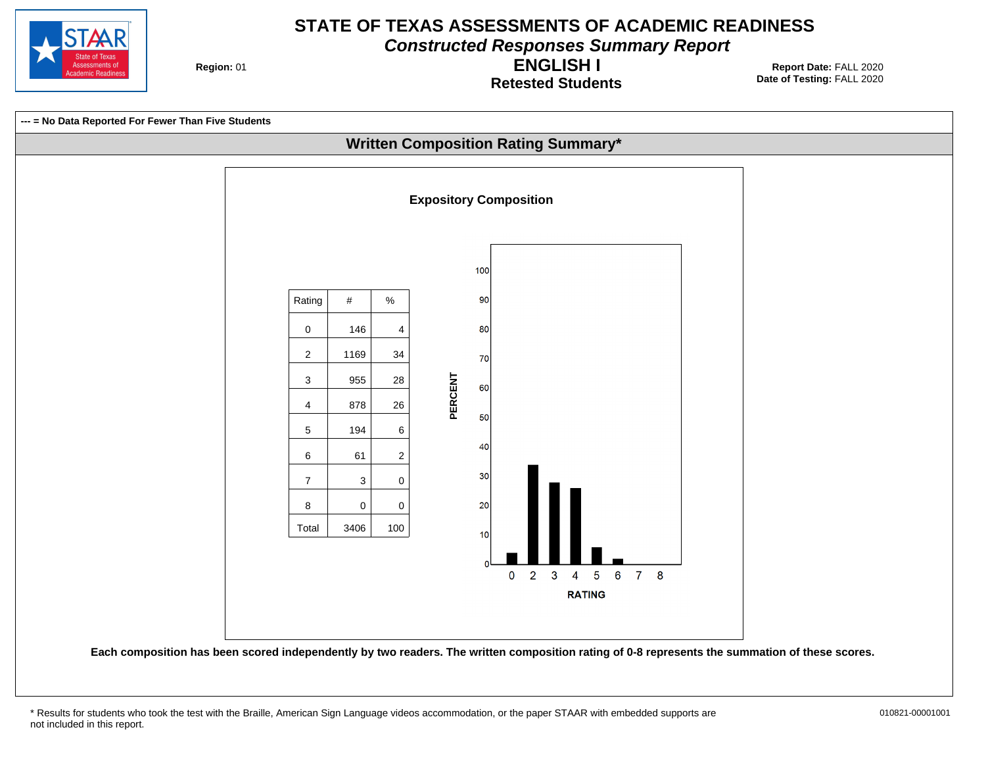

**Constructed Responses Summary Report**

**Region: 01** 

**Retested Students ENGLISH I**

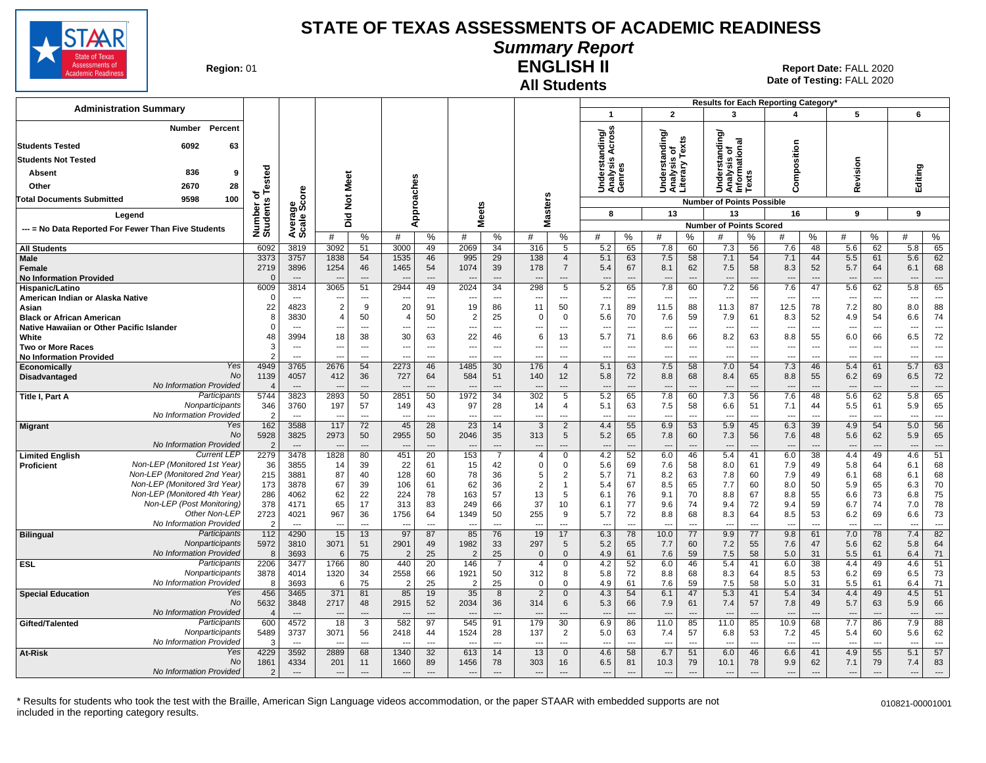

# **Summary Report**

**Region: 01** 

#### **All Students ENGLISH II**

**Date of Testing:**  FALL 2020 01 **Report Date:** FALL 2020

| <b>Administration Summary</b>                                        |                        |                          |                          |                                |                                  |                          |                          |                       |                            |                                  |                                            |                                    |                                                      |                      |                                               |                                    | Results for Each Reporting Category' |                                    |                                 |                                  |                          |                                            |
|----------------------------------------------------------------------|------------------------|--------------------------|--------------------------|--------------------------------|----------------------------------|--------------------------|--------------------------|-----------------------|----------------------------|----------------------------------|--------------------------------------------|------------------------------------|------------------------------------------------------|----------------------|-----------------------------------------------|------------------------------------|--------------------------------------|------------------------------------|---------------------------------|----------------------------------|--------------------------|--------------------------------------------|
|                                                                      |                        |                          |                          |                                |                                  |                          |                          |                       |                            |                                  | $\mathbf{1}$                               |                                    | $\overline{2}$                                       |                      | 3                                             |                                    | 4                                    |                                    | 5                               |                                  | 6                        |                                            |
| Percent<br>Number                                                    |                        |                          |                          |                                |                                  |                          |                          |                       |                            |                                  | nding/<br>Across                           |                                    |                                                      |                      |                                               |                                    |                                      |                                    |                                 |                                  |                          |                                            |
| 6092<br>63<br><b>Students Tested</b>                                 |                        |                          |                          |                                |                                  |                          |                          |                       |                            |                                  |                                            |                                    | ding/                                                | Texts                | tanding/                                      |                                    |                                      |                                    |                                 |                                  |                          |                                            |
| <b>Students Not Tested</b>                                           |                        |                          |                          |                                |                                  |                          |                          |                       |                            |                                  |                                            |                                    |                                                      |                      |                                               |                                    |                                      |                                    |                                 |                                  |                          |                                            |
| 836<br><b>Absent</b><br>9                                            |                        |                          |                          |                                |                                  |                          |                          |                       |                            |                                  | Understar<br>Analysis<br>Genres            |                                    | Understanc<br>Analysis of<br>Literary Te:            |                      | Understanding<br>Analysis of<br>Informational | <b>u</b>                           | omposition                           |                                    | Revision                        |                                  | Editing                  |                                            |
| 2670<br>28<br>Other                                                  | Tested                 |                          | Meet                     |                                |                                  |                          |                          |                       |                            |                                  |                                            |                                    |                                                      |                      |                                               | ă                                  |                                      |                                    |                                 |                                  |                          |                                            |
| 100<br>9598<br><b>Total Documents Submitted</b>                      | $\circ$                | <b>e</b>                 |                          |                                |                                  |                          |                          |                       |                            |                                  |                                            |                                    |                                                      |                      |                                               |                                    | Ö                                    |                                    |                                 |                                  |                          |                                            |
|                                                                      |                        | ಕ್ಷ್ಮಿ                   | $\breve{\mathbf{z}}$     |                                |                                  | pproaches                | leets                    |                       |                            |                                  |                                            |                                    |                                                      |                      | <b>Number of Points Possible</b>              |                                    |                                      |                                    |                                 |                                  |                          |                                            |
| Leaend                                                               |                        |                          | 고<br>ة                   |                                |                                  | ⋖                        | ż                        |                       |                            | <b>Masters</b>                   | 8                                          |                                    | 13                                                   |                      | 13<br><b>Number of Points Scored</b>          |                                    | 16                                   |                                    | 9                               |                                  | 9                        |                                            |
| --- = No Data Reported For Fewer Than Five Students                  | Number o<br>Students   | Average                  | #                        | %                              | #                                | %                        | #                        | %                     | #                          | %                                | #                                          | %                                  | #                                                    | %                    | #                                             | %                                  | #                                    | %                                  | #                               | %                                | #                        | %                                          |
| <b>All Students</b>                                                  | 6092                   | 3819                     | 3092                     | 51                             | 3000                             | 49                       | 2069                     | 34                    | 316                        | 5                                | 5.2                                        | 65                                 | 7.8                                                  | 60                   | 7.3                                           | 56                                 | 7.6                                  | 48                                 | 5.6                             | 62                               | 5.8                      | 65                                         |
| Male                                                                 | 3373                   | 3757                     | 1838                     | 54                             | 1535                             | 46                       | 995                      | 29                    | 138                        | $\overline{4}$                   | 5.1                                        | 63                                 | 7.5                                                  | 58                   | 7.1                                           | 54                                 | 7.1                                  | 44                                 | 5.5                             | 61                               | 5.6                      | 62                                         |
| Female                                                               | 2719                   | 3896                     | 1254                     | 46                             | 1465                             | 54                       | 1074                     | 39                    | 178                        | $\overline{7}$                   | 5.4                                        | 67                                 | 8.1                                                  | 62                   | 7.5                                           | 58                                 | 8.3                                  | 52                                 | 5.7                             | 64                               | 6.1                      | 68                                         |
| <b>No Information Provided</b>                                       | $\Omega$               | $---$                    |                          | $\overline{a}$                 |                                  | $\overline{a}$           |                          | $\overline{a}$        |                            | ---                              |                                            | $\overline{a}$                     | $\overline{\phantom{a}}$                             | $\overline{a}$       |                                               | $\overline{a}$                     |                                      | $\overline{\phantom{a}}$           |                                 | $\overline{a}$                   |                          | $\overline{a}$                             |
| Hispanic/Latino<br>American Indian or Alaska Native                  | 6009<br>$\epsilon$     | 3814<br>$---$            | 3065<br>--               | 51<br>$\overline{a}$           | 2944                             | 49<br>---                | 2024                     | 34<br>$---$           | 298<br>---                 | 5<br>$\overline{a}$              | 5.2<br>$\overline{\phantom{a}}$            | 65<br>$\overline{\phantom{a}}$     | 7.8<br>$\overline{\phantom{a}}$                      | 60<br>---            | 7.2                                           | 56<br>$-$                          | 7.6                                  | 47<br>---                          | 5.6<br>$\overline{\phantom{a}}$ | 62<br>$\sim$                     | 5.8<br>---               | 65<br>$\overline{a}$                       |
| Asian                                                                | 22                     | 4823                     | $\overline{2}$           | 9                              | 20                               | 91                       | 19                       | 86                    | 11                         | 50                               | 7.1                                        | 89                                 | 11.5                                                 | 88                   | 11.3                                          | 87                                 | 12.5                                 | 78                                 | 7.2                             | 80                               | 8.0                      | 88                                         |
| <b>Black or African American</b>                                     | -8                     | 3830                     |                          | 50                             | $\overline{4}$                   | 50                       | $\overline{2}$           | 25                    | $\Omega$                   | $\overline{0}$                   | 5.6                                        | 70                                 | 7.6                                                  | 59                   | 7.9                                           | 61                                 | 8.3                                  | 52                                 | 4.9                             | 54                               | 6.6                      | 74                                         |
| Native Hawaiian or Other Pacific Islander                            | - 0                    | $\overline{a}$           | --                       | $\overline{a}$                 | ---                              | $---$                    | $\overline{\phantom{a}}$ | $\sim$                | ---                        | $\overline{\phantom{a}}$         | $\overline{\phantom{a}}$                   | $\overline{\phantom{a}}$           | $\overline{\phantom{a}}$                             | $\overline{a}$       | ---                                           | $\overline{\phantom{a}}$           |                                      | $\overline{\phantom{a}}$           | $\overline{\phantom{a}}$        | ---                              | ---                      | $\overline{\phantom{a}}$                   |
| White                                                                | 48                     | 3994                     | 18                       | 38                             | 30                               | 63                       | 22                       | 46                    | 6                          | 13                               | 5.7                                        | 71                                 | 8.6                                                  | 66                   | 8.2                                           | 63                                 | 8.8                                  | 55                                 | 6.0                             | 66                               | 6.5                      | 72                                         |
| <b>Two or More Races</b><br><b>No Information Provided</b>           | -3                     | ---<br>$\sim$            | $\overline{\phantom{a}}$ | $\qquad \qquad -\qquad$<br>--- | $\overline{\phantom{a}}$         | ---<br>$\sim$            | $\overline{\phantom{a}}$ | $---$<br>$\sim$       | ---<br>---                 | $\qquad \qquad \cdots$<br>$\sim$ | $\overline{\phantom{a}}$<br>$\overline{a}$ | $\overline{\phantom{a}}$<br>$\sim$ | $\overline{\phantom{a}}$<br>$\overline{\phantom{a}}$ | ---<br>$\sim$        | $\overline{\phantom{a}}$<br>Ξ.                | $\overline{\phantom{a}}$<br>$\sim$ | $\overline{\phantom{a}}$             | $\overline{\phantom{a}}$<br>$\sim$ | $\overline{\phantom{a}}$<br>--- | $\qquad \qquad \cdots$<br>$\sim$ | ---                      | $\overline{\phantom{a}}$<br>$\overline{a}$ |
| Yes<br>Economically                                                  | 4949                   | 3765                     | 2676                     | 54                             | 2273                             | 46                       | 1485                     | 30                    | 176                        | $\overline{4}$                   | 5.1                                        | 63                                 | 7.5                                                  | 58                   | 7.0                                           | 54                                 | 7.3                                  | 46                                 | 5.4                             | 61                               | 5.7                      | 63                                         |
| No<br>Disadvantaged                                                  | 1139                   | 4057                     | 412                      | 36                             | 727                              | 64                       | 584                      | 51                    | 140                        | 12                               | 5.8                                        | 72                                 | 8.8                                                  | 68                   | 8.4                                           | 65                                 | 8.8                                  | 55                                 | 6.2                             | 69                               | 6.5                      | 72                                         |
| No Information Provided                                              | $\sqrt{2}$             | $---$                    |                          | $\overline{a}$                 |                                  | $\overline{a}$           |                          | $\sim$                |                            | $\overline{a}$                   | $\overline{a}$                             | $\overline{a}$                     | $\overline{a}$                                       | $\overline{a}$       | ---                                           | $\sim$                             |                                      | $\overline{\phantom{a}}$           | $\sim$                          | $\overline{\phantom{a}}$         | $\overline{\phantom{a}}$ | $\overline{a}$                             |
| Participants<br>Title I, Part A<br>Nonparticipants                   | 5744<br>346            | 3823<br>3760             | 2893<br>197              | 50<br>57                       | 2851<br>149                      | 50<br>43                 | 1972<br>97               | $\overline{34}$<br>28 | 302<br>14                  | $\overline{5}$<br>$\overline{4}$ | 5.2<br>5.1                                 | 65<br>63                           | 7.8<br>7.5                                           | 60<br>58             | 7.3<br>6.6                                    | 56<br>51                           | 7.6<br>7.1                           | 48<br>44                           | 5.6<br>5.5                      | 62<br>61                         | 5.8<br>5.9               | 65<br>65                                   |
| No Information Provided                                              | - 2                    | $\overline{a}$           | $\overline{a}$           | ---                            |                                  | $\overline{a}$           | $\overline{\phantom{a}}$ | $\overline{a}$        | ---                        | ---                              |                                            | ---                                | $\overline{\phantom{a}}$                             | $\overline{a}$       |                                               | ---                                | $\overline{a}$                       | $\overline{\phantom{a}}$           | $\overline{\phantom{a}}$        | $\overline{a}$                   | ---                      | $\overline{a}$                             |
| Yes<br><b>Migrant</b>                                                | 162                    | 3588                     | 117                      | 72                             | 45                               | 28                       | 23                       | 14                    | 3                          | 2                                | 4.4                                        | 55                                 | 6.9                                                  | 53                   | 5.9                                           | 45                                 | 6.3                                  | 39                                 | 4.9                             | 54                               | 5.0                      | 56                                         |
| <b>No</b>                                                            | 5928                   | 3825                     | 2973                     | 50                             | 2955                             | 50                       | 2046                     | 35                    | 313                        | $5\phantom{.0}$                  | 5.2                                        | 65                                 | 7.8                                                  | 60                   | 7.3                                           | 56                                 | 7.6                                  | 48                                 | 5.6                             | 62                               | 5.9                      | 65                                         |
| No Information Provided<br><b>Current LEP</b>                        | $\overline{2}$         | $\overline{\phantom{a}}$ |                          | ---                            |                                  | $\overline{a}$           |                          | $---$                 | ---                        | ---                              | $\overline{a}$                             | $\overline{\phantom{a}}$           | $\overline{\phantom{a}}$                             | $\overline{a}$       | $\overline{a}$                                | $\overline{a}$<br>41               |                                      | $\overline{\phantom{a}}$           | $\overline{\phantom{a}}$        | $\overline{\phantom{a}}$         | ---                      | $\overline{a}$                             |
| <b>Limited English</b><br>Non-LEP (Monitored 1st Year)<br>Proficient | 2279<br>36             | 3478<br>3855             | 1828<br>14               | 80<br>39                       | 451<br>22                        | $\overline{20}$<br>61    | 153<br>15                | 7<br>42               | $\overline{4}$<br>$\Omega$ | $\overline{0}$<br>0              | 4.2<br>5.6                                 | 52<br>69                           | 6.0<br>7.6                                           | 46<br>58             | 5.4<br>8.0                                    | 61                                 | 6.0<br>7.9                           | $\overline{38}$<br>49              | 4.4<br>5.8                      | 49<br>64                         | 4.6<br>6.1               | 51<br>68                                   |
| Non-LEP (Monitored 2nd Year)                                         | 215                    | 3881                     | 87                       | 40                             | 128                              | 60                       | 78                       | 36                    | 5                          | $\overline{2}$                   | 5.7                                        | 71                                 | 8.2                                                  | 63                   | 7.8                                           | 60                                 | 7.9                                  | 49                                 | 6.1                             | 68                               | 6.1                      | 68                                         |
| Non-LEP (Monitored 3rd Year)                                         | 173                    | 3878                     | 67                       | 39                             | 106                              | 61                       | 62                       | 36                    | $\overline{2}$             | $\overline{1}$                   | 5.4                                        | 67                                 | 8.5                                                  | 65                   | 7.7                                           | 60                                 | 8.0                                  | 50                                 | 5.9                             | 65                               | 6.3                      | 70                                         |
| Non-LEP (Monitored 4th Year)                                         | 286                    | 4062                     | 62                       | 22                             | 224                              | 78                       | 163                      | 57                    | 13                         | 5                                | 6.1                                        | 76                                 | 9.1                                                  | 70                   | 8.8                                           | 67                                 | 8.8                                  | 55                                 | 6.6                             | 73                               | 6.8                      | 75                                         |
| Non-LEP (Post Monitoring)                                            | 378                    | 4171                     | 65                       | 17                             | 313                              | 83                       | 249                      | 66                    | 37                         | 10                               | 6.1                                        | 77                                 | 9.6                                                  | 74                   | 9.4                                           | 72                                 | 9.4                                  | 59                                 | 6.7                             | 74                               | 7.0                      | 78                                         |
| Other Non-LEP<br>No Information Provided                             | 2723<br>$\overline{2}$ | 4021<br>$\overline{a}$   | 967<br>--                | 36<br>$\overline{a}$           | 1756<br>$\overline{\phantom{a}}$ | 64<br>$\overline{a}$     | 1349                     | 50<br>$\overline{a}$  | 255                        | 9<br>---                         | 5.7                                        | 72<br>---                          | 8.8<br>$\overline{\phantom{a}}$                      | 68<br>---            | 8.3<br>---                                    | 64<br>---                          | 8.5                                  | 53<br>$\overline{\phantom{a}}$     | 6.2<br>$\overline{\phantom{a}}$ | 69<br>$\overline{a}$             | 6.6<br>---               | 73<br>$\overline{\phantom{a}}$             |
| Participants<br><b>Bilingual</b>                                     | 112                    | 4290                     | 15                       | 13                             | 97                               | 87                       | 85                       | 76                    | 19                         | 17                               | 6.3                                        | 78                                 | 10.0                                                 | 77                   | 9.9                                           | 77                                 | 9.8                                  | 61                                 | 7.0                             | 78                               | 7.4                      | 82                                         |
| Nonparticipants                                                      | 5972                   | 3810                     | 3071                     | 51                             | 2901                             | 49                       | 1982                     | 33                    | 297                        | 5                                | 5.2                                        | 65                                 | 7.7                                                  | 60                   | 7.2                                           | 55                                 | 7.6                                  | 47                                 | 5.6                             | 62                               | 5.8                      | 64                                         |
| No Information Provided                                              | -8                     | 3693                     | 6                        | 75                             | $\mathcal{P}$                    | 25                       | $\mathcal{P}$            | 25                    | $\Omega$                   | $\mathbf{0}$                     | 4.9                                        | 61                                 | 7.6                                                  | 59                   | 7.5                                           | 58                                 | 5.0                                  | 31                                 | 5.5                             | 61                               | 6.4                      | 71                                         |
| Participants<br><b>ESL</b><br>Nonparticipants                        | 2206                   | 3477                     | 1766                     | 80                             | 440                              | $\overline{20}$          | 146                      | 7                     | $\boldsymbol{\Delta}$      | $\mathbf 0$                      | 4.2                                        | 52                                 | 6.0                                                  | 46                   | 5.4                                           | 41                                 | 6.0                                  | $\overline{38}$                    | 4.4                             | 49                               | 4.6                      | 51                                         |
| No Information Provided                                              | 3878<br>-8             | 4014<br>3693             | 1320<br>6                | 34<br>75                       | 2558<br>$\overline{2}$           | 66<br>25                 | 1921<br>2                | 50<br>25              | 312<br>$\Omega$            | 8<br>$\Omega$                    | 5.8<br>4.9                                 | 72<br>61                           | 8.8<br>7.6                                           | 68<br>59             | 8.3<br>7.5                                    | 64<br>58                           | 8.5<br>5.0                           | 53<br>31                           | 6.2<br>5.5                      | 69<br>61                         | 6.5<br>6.4               | 73<br>71                                   |
| Yes<br><b>Special Education</b>                                      | 456                    | 3465                     | 371                      | 81                             | 85                               | 19                       | 35                       | 8                     | $\overline{2}$             | $\mathbf 0$                      | 4.3                                        | 54                                 | 6.1                                                  | 47                   | 5.3                                           | 41                                 | 5.4                                  | 34                                 | 4.4                             | 49                               | 4.5                      | 51                                         |
| No                                                                   | 5632                   | 3848                     | 2717                     | 48                             | 2915                             | 52                       | 2034                     | 36                    | 314                        | 6                                | 5.3                                        | 66                                 | 7.9                                                  | 61                   | 7.4                                           | 57                                 | 7.8                                  | 49                                 | 5.7                             | 63                               | 5.9                      | 66                                         |
| No Information Provided                                              | $\sqrt{2}$             | $\overline{\phantom{a}}$ | $\overline{a}$           | $\overline{a}$                 | $\overline{\phantom{a}}$         | $\overline{a}$           |                          | $\overline{a}$        | $\overline{a}$             | $\overline{a}$                   | $\overline{a}$                             | $\overline{a}$                     | $\overline{\phantom{a}}$                             | $\overline{a}$       | $\overline{a}$                                | $\overline{a}$                     |                                      | $\overline{\phantom{a}}$           | $\overline{\phantom{a}}$        | $\overline{\phantom{a}}$         | ---                      | $\overline{\phantom{a}}$                   |
| Participants<br>Gifted/Talented                                      | 600                    | 4572                     | 18                       | $\overline{3}$                 | 582                              | 97                       | 545                      | 91                    | 179                        | 30                               | 6.9                                        | 86                                 | 11.0                                                 | 85                   | 11.0                                          | 85                                 | 10.9                                 | 68                                 | 7.7                             | 86                               | 7.9                      | 88                                         |
| Nonparticipants<br>No Information Provided                           | 5489<br>-2             | 3737<br>$\sim$           | 3071<br>$\sim$           | 56<br>$---$                    | 2418<br>$\overline{a}$           | 44<br>$\overline{a}$     | 1524<br>--               | 28<br>$---$           | 137<br>---                 | $\overline{2}$<br>$\overline{a}$ | 5.0<br>$-$                                 | 63<br>$\sim$                       | 7.4<br>$\overline{\phantom{a}}$                      | 57<br>$\overline{a}$ | 6.8<br>---                                    | 53<br>$\sim$                       | 7.2<br>---                           | 45<br>$\sim$                       | 5.4<br>$\sim$                   | 60<br>$\overline{a}$             | 5.6<br>---               | 62<br>$---$                                |
| Yes<br>At-Risk                                                       | 4229                   | 3592                     | 2889                     | 68                             | 1340                             | 32                       | 613                      | 14                    | 13                         | $\mathbf{0}$                     | 4.6                                        | 58                                 | 6.7                                                  | 51                   | 6.0                                           | 46                                 | 6.6                                  | 41                                 | 4.9                             | 55                               | 5.1                      | 57                                         |
| No                                                                   | 1861                   | 4334                     | 201                      | 11                             | 1660                             | 89                       | 1456                     | 78                    | 303                        | 16                               | 6.5                                        | 81                                 | 10.3                                                 | 79                   | 10.1                                          | 78                                 | 9.9                                  | 62                                 | 7.1                             | 79                               | 7.4                      | 83                                         |
| No Information Provided                                              | $\mathcal{P}$          | $\cdots$                 | $\overline{\phantom{a}}$ | $\hspace{0.05cm} \ldots$       | $\overline{\phantom{a}}$         | $\overline{\phantom{a}}$ | $\overline{\phantom{a}}$ | $---$                 | $\overline{\phantom{a}}$   | $---$                            | $\overline{\phantom{a}}$                   | $\overline{a}$                     | $\overline{\phantom{a}}$                             | ---                  | $\overline{\phantom{a}}$                      | $\overline{\phantom{a}}$           | $---$                                | $---$                              | $\overline{\phantom{a}}$        | $\sim$                           | ---                      | $\hspace{1.5cm} \cdots$                    |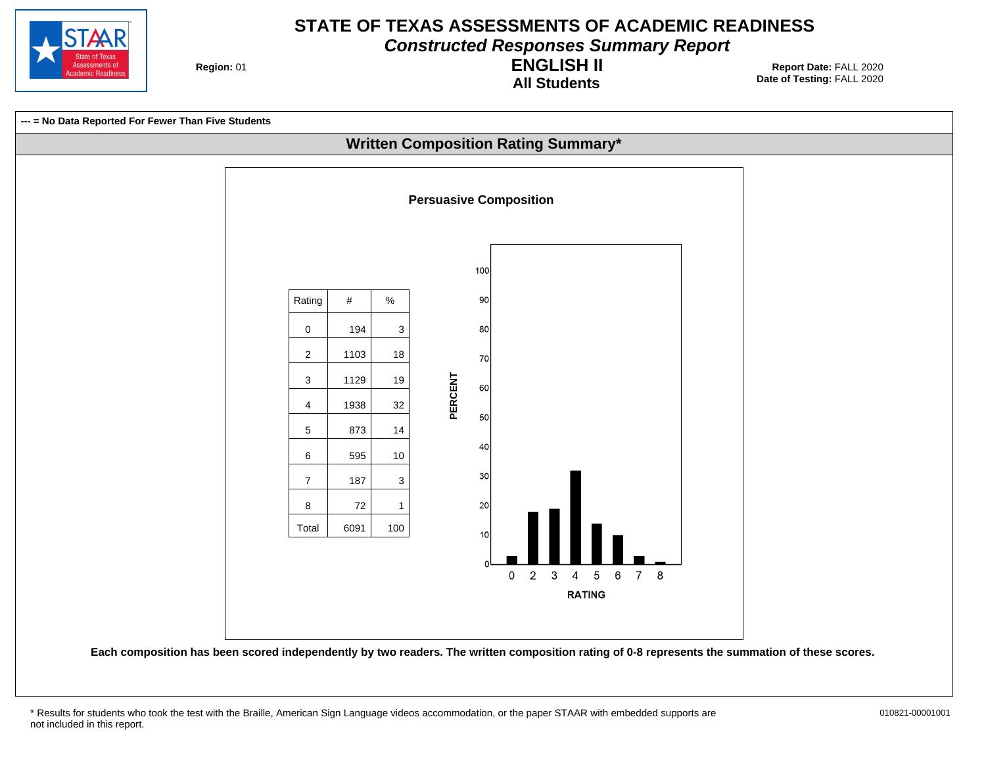

**Constructed Responses Summary Report**

**Region: 01** 

**All Students ENGLISH II**

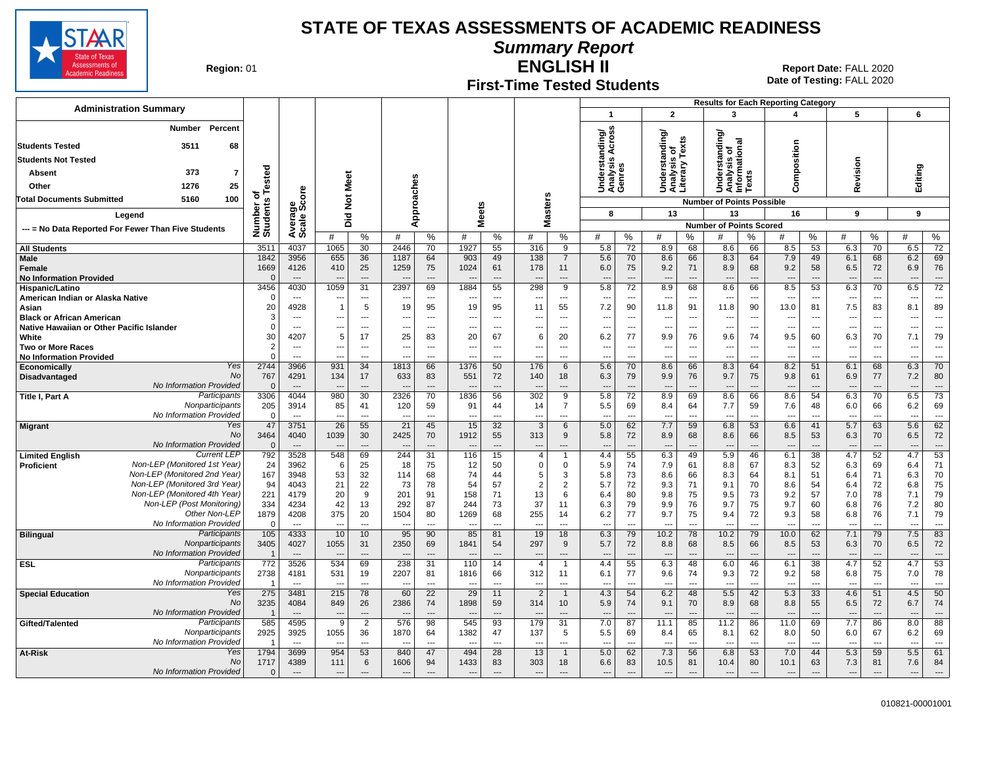

**Summary Report**

**Region: 01** 

#### **First-Time Tested Students ENGLISH II** 01 **Report Date:** FALL 2020

**Date of Testing:**  FALL 2020

|                                                                            |                            |                                  |                                |                                 |                                  |                                            |                          |                                   |                                            |                                            |                                                             |                                |                                                 |                                 |                                                      |                                 | <b>Results for Each Reporting Category</b> |                                                      |                                            |                                            |                                 |                                            |
|----------------------------------------------------------------------------|----------------------------|----------------------------------|--------------------------------|---------------------------------|----------------------------------|--------------------------------------------|--------------------------|-----------------------------------|--------------------------------------------|--------------------------------------------|-------------------------------------------------------------|--------------------------------|-------------------------------------------------|---------------------------------|------------------------------------------------------|---------------------------------|--------------------------------------------|------------------------------------------------------|--------------------------------------------|--------------------------------------------|---------------------------------|--------------------------------------------|
| <b>Administration Summary</b>                                              |                            |                                  |                                |                                 |                                  |                                            |                          |                                   |                                            |                                            | $\mathbf{1}$                                                |                                | $\mathbf{2}$                                    |                                 | 3                                                    |                                 | 4                                          |                                                      | 5                                          |                                            | 6                               |                                            |
| Percent<br><b>Number</b>                                                   |                            |                                  |                                |                                 |                                  |                                            |                          |                                   |                                            |                                            |                                                             |                                |                                                 |                                 |                                                      |                                 |                                            |                                                      |                                            |                                            |                                 |                                            |
| 3511<br>68<br><b>Students Tested</b>                                       |                            |                                  |                                |                                 |                                  |                                            |                          |                                   |                                            |                                            | <b>Cross</b><br>Understanding/<br>Analysis Across<br>Genres |                                | Understanding/<br>Analysis of<br>Literary Texts | is o <sub>i</sub><br>v Texts    | anding                                               | त्त                             |                                            |                                                      |                                            |                                            |                                 |                                            |
| <b>Students Not Tested</b>                                                 |                            |                                  |                                |                                 |                                  |                                            |                          |                                   |                                            |                                            |                                                             |                                |                                                 |                                 | ō                                                    | 등                               | omposition                                 |                                                      |                                            |                                            |                                 |                                            |
| 373<br>$\overline{7}$<br>Absent                                            |                            |                                  |                                |                                 |                                  |                                            |                          |                                   |                                            |                                            |                                                             |                                |                                                 |                                 | Understar<br>Analysis o<br>Informatic<br>Texts       |                                 |                                            |                                                      | evision                                    |                                            | Editing                         |                                            |
| Other<br>1276<br>25                                                        | Tested                     |                                  | Meet                           |                                 |                                  |                                            |                          |                                   |                                            |                                            |                                                             |                                |                                                 |                                 |                                                      |                                 | Ō                                          |                                                      | œ                                          |                                            |                                 |                                            |
| 5160<br>100<br>Total Documents Submitted                                   | ৳                          | ge<br>Score                      | $\overline{\mathbf{z}}$        |                                 |                                  |                                            |                          |                                   |                                            |                                            |                                                             |                                |                                                 |                                 | ∍<br><b>Number of Points Possible</b>                |                                 |                                            |                                                      |                                            |                                            |                                 |                                            |
| Legend                                                                     | Number of<br>Students      |                                  |                                |                                 |                                  | Approaches                                 | <b>Meets</b>             |                                   | Masters                                    |                                            | 8                                                           |                                | 13                                              |                                 | 13                                                   |                                 | 16                                         |                                                      | 9                                          |                                            | 9                               |                                            |
|                                                                            |                            | Averare                          | Did                            |                                 |                                  |                                            |                          |                                   |                                            |                                            |                                                             |                                |                                                 |                                 | <b>Number of Points Scored</b>                       |                                 |                                            |                                                      |                                            |                                            |                                 |                                            |
| --- = No Data Reported For Fewer Than Five Students                        |                            |                                  | #                              | $\%$                            | #                                | %                                          | #                        | %                                 | #                                          | %                                          | #                                                           | %                              | #                                               | %                               | #                                                    | %                               | #                                          | $\%$                                                 | #                                          | $\%$                                       | #                               | %                                          |
| <b>All Students</b>                                                        | 3511                       | 4037                             | 1065                           | 30                              | 2446                             | 70                                         | 1927                     | 55                                | 316                                        | 9                                          | 5.8                                                         | 72                             | 8.9                                             | 68                              | 8.6                                                  | 66                              | 8.5                                        | 53                                                   | 6.3                                        | 70                                         | 6.5                             | 72                                         |
| <b>Male</b>                                                                | 1842<br>1669               | 3956<br>4126                     | 655<br>410                     | 36                              | 1187<br>1259                     | 64                                         | 903                      | 49                                | 138<br>178                                 | $\overline{7}$<br>11                       | 5.6                                                         | 70<br>75                       | 8.6                                             | 66<br>71                        | 8.3                                                  | 64<br>68                        | 7.9<br>9.2                                 | 49<br>58                                             | 6.1<br>6.5                                 | 68<br>72                                   | 6.2<br>6.9                      | 69<br>76                                   |
| Female<br><b>No Information Provided</b>                                   | $\Omega$                   | $\overline{\phantom{a}}$         | ---                            | 25<br>$\qquad \qquad \cdots$    |                                  | 75<br>$\overline{\phantom{a}}$             | 1024                     | 61<br>$\overline{\phantom{a}}$    |                                            | $\overline{a}$                             | 6.0<br>$\overline{\phantom{a}}$                             | $\overline{\phantom{a}}$       | 9.2<br>---                                      | $\overline{\phantom{a}}$        | 8.9<br>$\overline{\phantom{a}}$                      | $\overline{\phantom{a}}$        | $\overline{\phantom{a}}$                   | $\overline{\phantom{a}}$                             | $\overline{\phantom{a}}$                   | $\qquad \qquad \cdots$                     | ---                             | $\overline{\phantom{a}}$                   |
| <b>Hispanic/Latino</b>                                                     | 3456                       | 4030                             | 1059                           | 31                              | 2397                             | 69                                         | 1884                     | 55                                | 298                                        | 9                                          | 5.8                                                         | 72                             | 8.9                                             | 68                              | 8.6                                                  | 66                              | 8.5                                        | 53                                                   | 6.3                                        | 70                                         | 6.5                             | $\overline{72}$                            |
| American Indian or Alaska Native                                           | $\Omega$                   | ---                              | ---                            | ---                             | ---                              | $\overline{\phantom{a}}$                   | $\overline{\phantom{a}}$ | $\overline{a}$                    | ---                                        | ---                                        | $\overline{\phantom{a}}$                                    | ---                            | $\overline{\phantom{a}}$                        | $\overline{\phantom{a}}$        | $\overline{\phantom{a}}$                             | $\overline{\phantom{a}}$        | ---                                        | ---                                                  | $\overline{\phantom{a}}$                   | ---                                        | $\overline{\phantom{a}}$        | ---                                        |
| Asian<br><b>Black or African American</b>                                  | 20<br>-3                   | 4928<br>---                      | $\overline{\mathbf{1}}$<br>--- | 5<br>---                        | 19<br>---                        | 95<br>$\overline{a}$                       | 19<br>---                | 95<br>$---$                       | 11<br>---                                  | 55<br>---                                  | 7.2<br>---                                                  | 90<br>---                      | 11.8<br>---                                     | 91<br>$\overline{\phantom{a}}$  | 11.8<br>$\overline{\phantom{a}}$                     | 90<br>$\overline{\phantom{a}}$  | 13.0<br>$\overline{a}$                     | 81<br>---                                            | 7.5<br>---                                 | 83<br>$\overline{\phantom{a}}$             | 8.1<br>---                      | 89<br>---                                  |
| Native Hawaiian or Other Pacific Islander                                  | $\Omega$                   | $\overline{a}$                   | ---                            | $\overline{a}$                  | ---                              | $---$                                      | ---                      | $---$                             | ---                                        | ---                                        | --                                                          | ---                            | ---                                             | ---                             | ---                                                  | $\ddotsc$                       | ---                                        | $\overline{\phantom{a}}$                             | $\overline{\phantom{a}}$                   | ---                                        | ---                             | $---$                                      |
| White                                                                      | 30                         | 4207                             | 5                              | 17                              | 25                               | 83                                         | 20                       | 67                                | 6                                          | 20                                         | 6.2                                                         | 77                             | 9.9                                             | 76                              | 9.6                                                  | 74                              | 9.5                                        | 60                                                   | 6.3                                        | 70                                         | 7.1                             | 79                                         |
| Two or More Races<br><b>No Information Provided</b>                        | $\overline{2}$<br>$\Omega$ | $\overline{\phantom{a}}$<br>---  | ---<br>---                     | $\overline{\phantom{a}}$<br>--- | ---<br>$\overline{a}$            | $\overline{\phantom{a}}$<br>$\overline{a}$ | ---<br>---               | $\overline{\phantom{a}}$<br>$---$ | ---<br>---                                 | $\overline{\phantom{a}}$<br>$\overline{a}$ | ---<br>--                                                   | ---<br>---                     | $\overline{\phantom{a}}$<br>---                 | $\overline{\phantom{a}}$<br>--- | $\overline{\phantom{a}}$<br>$\overline{\phantom{a}}$ | $\overline{\phantom{a}}$<br>--- | $\overline{\phantom{a}}$<br>---            | $\overline{\phantom{a}}$<br>$\overline{\phantom{a}}$ | $\overline{\phantom{a}}$<br>$\overline{a}$ | $\overline{\phantom{a}}$<br>$\overline{a}$ | ---<br>$\overline{a}$           | $\overline{\phantom{a}}$<br>$\overline{a}$ |
| Yes<br>Economically                                                        | 2744                       | 3966                             | 931                            | 34                              | 1813                             | 66                                         | 1376                     | 50                                | 176                                        | 6                                          | 5.6                                                         | 70                             | 8.6                                             | 66                              | 8.3                                                  | 64                              | 8.2                                        | 51                                                   | 6.1                                        | 68                                         | 6.3                             | 70                                         |
| No<br>Disadvantaged                                                        | 767                        | 4291                             | 134                            | 17                              | 633                              | 83                                         | 551                      | 72                                | 140                                        | 18                                         | 6.3                                                         | 79                             | 9.9                                             | 76                              | 9.7                                                  | 75                              | 9.8                                        | 61                                                   | 6.9                                        | 77                                         | 7.2                             | 80                                         |
| No Information Provided<br>Participants<br>Title I, Part A                 | $\overline{0}$<br>3306     | $---$<br>4044                    | 980                            | ---<br>30                       | 2326                             | $\overline{a}$<br>70                       | 1836                     | $\overline{a}$<br>56              | 302                                        | ---<br>9                                   | 5.8                                                         | ---<br>72                      | 8.9                                             | $\overline{a}$<br>69            | 8.6                                                  | $\overline{\phantom{a}}$<br>66  | 8.6                                        | $\overline{\phantom{a}}$<br>54                       | 6.3                                        | $\overline{a}$<br>70                       | $\overline{\phantom{a}}$<br>6.5 | 73                                         |
| Nonparticipants                                                            | 205                        | 3914                             | 85                             | 41                              | 120                              | 59                                         | 91                       | 44                                | 14                                         | $\overline{7}$                             | 5.5                                                         | 69                             | 8.4                                             | 64                              | 7.7                                                  | 59                              | 7.6                                        | 48                                                   | 6.0                                        | 66                                         | 6.2                             | 69                                         |
| No Information Provided                                                    | $\mathbf 0$                | $---$                            | $\overline{\phantom{a}}$       | $\overline{a}$                  | $\sim$                           | $---$                                      | $\sim$                   | $---$                             | ---                                        | $\overline{a}$                             | $\overline{a}$                                              | ---                            | $\overline{\phantom{a}}$                        | $---$                           | $\overline{\phantom{a}}$                             | $\overline{a}$                  | $---$                                      | $\sim$                                               | $-$                                        | $---$                                      | $\overline{a}$                  | $\overline{\phantom{a}}$                   |
| Yes<br><b>Migrant</b><br>No                                                | 47<br>3464                 | 3751<br>4040                     | 26<br>1039                     | 55<br>30                        | 21<br>2425                       | 45<br>70                                   | 15<br>1912               | 32<br>55                          | 3<br>313                                   | 6<br>9                                     | 5.0<br>5.8                                                  | 62<br>72                       | 7.7<br>8.9                                      | 59<br>68                        | 6.8                                                  | 53                              | 6.6<br>8.5                                 | 41                                                   | 5.7                                        | 63<br>70                                   | 5.6<br>6.5                      | 62<br>72                                   |
| No Information Provided                                                    | $\Omega$                   | $---$                            | ---                            | $\overline{a}$                  |                                  | $\overline{a}$                             |                          | $---$                             | $\overline{\phantom{a}}$                   | $---$                                      | $\overline{a}$                                              | $\overline{a}$                 | ---                                             | $\overline{\phantom{a}}$        | 8.6<br>$\overline{\phantom{a}}$                      | 66<br>$---$                     | $\overline{\phantom{a}}$                   | 53<br>$---$                                          | 6.3<br>$\overline{\phantom{a}}$            | $\overline{\phantom{a}}$                   | $\overline{\phantom{a}}$        | $---$                                      |
| <b>Current LEP</b><br><b>Limited English</b>                               | 792                        | 3528                             | 548                            | 69                              | 244                              | 31                                         | 116                      | 15                                | $\overline{4}$                             | $\overline{1}$                             | 4.4                                                         | 55                             | 6.3                                             | 49                              | 5.9                                                  | 46                              | 6.1                                        | $\overline{38}$                                      | 4.7                                        | 52                                         | 4.7                             | 53                                         |
| Non-LEP (Monitored 1st Year)<br>Proficient<br>Non-LEP (Monitored 2nd Year) | 24                         | 3962                             | 6                              | 25                              | 18                               | 75                                         | 12<br>74                 | 50                                | $\Omega$                                   | $\mathbf 0$                                | 5.9                                                         | 74                             | 7.9                                             | 61                              | 8.8                                                  | 67                              | 8.3                                        | 52                                                   | 6.3                                        | 69                                         | 6.4                             | 71                                         |
| Non-LEP (Monitored 3rd Year)                                               | 167<br>94                  | 3948<br>4043                     | 53<br>21                       | 32<br>22                        | 114<br>73                        | 68<br>78                                   | 54                       | 44<br>57                          | 5<br>2                                     | 3<br>$\overline{2}$                        | 5.8<br>5.7                                                  | 73<br>72                       | 8.6<br>9.3                                      | 66<br>71                        | 8.3<br>9.1                                           | 64<br>70                        | 8.1<br>8.6                                 | 51<br>54                                             | 6.4<br>6.4                                 | 71<br>72                                   | 6.3<br>6.8                      | 70<br>75                                   |
| Non-LEP (Monitored 4th Year)                                               | 221                        | 4179                             | 20                             | 9                               | 201                              | 91                                         | 158                      | 71                                | 13                                         | 6                                          | 6.4                                                         | 80                             | 9.8                                             | 75                              | 9.5                                                  | 73                              | 9.2                                        | 57                                                   | 7.0                                        | 78                                         | 7.1                             | 79                                         |
| Non-LEP (Post Monitoring)                                                  | 334                        | 4234                             | 42                             | 13                              | 292                              | 87                                         | 244                      | 73                                | 37                                         | 11                                         | 6.3                                                         | 79                             | 9.9                                             | 76                              | 9.7                                                  | 75                              | 9.7                                        | 60                                                   | 6.8                                        | 76                                         | 7.2                             | 80                                         |
| Other Non-LEP<br>No Information Provided                                   | 1879<br>$\Omega$           | 4208<br>$\overline{\phantom{a}}$ | 375                            | 20<br>---                       | 1504<br>$\overline{\phantom{a}}$ | 80<br>$\overline{a}$                       | 1269                     | 68<br>$---$                       | 255                                        | 14<br>---                                  | 6.2<br>--                                                   | 77<br>Ξ.                       | 9.7<br>---                                      | 75<br>$\overline{a}$            | 9.4                                                  | 72<br>$\overline{a}$            | 9.3                                        | 58<br>---                                            | 6.8<br>$\overline{\phantom{a}}$            | 76<br>$\overline{\phantom{a}}$             | 7.1<br>---                      | 79<br>$\overline{a}$                       |
| Participants<br><b>Bilingual</b>                                           | 105                        | 4333                             | 10                             | 10                              | 95                               | 90                                         | 85                       | 81                                | 19                                         | 18                                         | 6.3                                                         | 79                             | 10.2                                            | 78                              | 10.2                                                 | 79                              | 10.0                                       | 62                                                   | 7.1                                        | 79                                         | 7.5                             | 83                                         |
| Nonparticipants                                                            | 3405                       | 4027                             | 1055                           | 31                              | 2350                             | 69                                         | 1841                     | 54                                | 297                                        | 9                                          | 5.7                                                         | 72                             | 8.8                                             | 68                              | 8.5                                                  | 66                              | 8.5                                        | 53                                                   | 6.3                                        | 70                                         | 6.5                             | 72                                         |
| No Information Provided<br><b>ESL</b><br>Participants                      | $\overline{1}$<br>772      | $\overline{\phantom{a}}$<br>3526 | 534                            | ---<br>69                       | $\overline{\phantom{a}}$<br>238  | $\overline{a}$<br>31                       | 110                      | $\overline{a}$<br>14              | $\overline{\phantom{a}}$<br>$\overline{4}$ | $\overline{a}$<br>$\overline{1}$           | $\overline{\phantom{a}}$<br>4.4                             | $\overline{\phantom{a}}$<br>55 | $\overline{\phantom{a}}$<br>6.3                 | $\overline{a}$<br>48            | $\overline{\phantom{a}}$<br>6.0                      | $\overline{a}$<br>46            | $\overline{\phantom{a}}$<br>6.1            | $\overline{\phantom{a}}$<br>38                       | $\overline{\phantom{a}}$<br>4.7            | $\overline{\phantom{a}}$<br>52             | $\overline{\phantom{a}}$<br>4.7 | $---$<br>$\overline{53}$                   |
| Nonparticipants                                                            | 2738                       | 4181                             | 531                            | 19                              | 2207                             | 81                                         | 1816                     | 66                                | 312                                        | 11                                         | 6.1                                                         | 77                             | 9.6                                             | 74                              | 9.3                                                  | 72                              | 9.2                                        | 58                                                   | 6.8                                        | 75                                         | 7.0                             | 78                                         |
| No Information Provided                                                    |                            | $\overline{a}$                   | $\overline{\phantom{a}}$       | ---                             | $\overline{a}$                   | $\overline{\phantom{a}}$                   | $\overline{\phantom{a}}$ | $\overline{a}$                    | ---                                        | ---                                        | $\overline{a}$                                              | Ξ.                             | ---                                             | $\overline{a}$                  | ---                                                  | $\overline{a}$                  | $\overline{a}$                             | $\overline{a}$                                       | $\overline{a}$                             | ---                                        | $\overline{a}$                  |                                            |
| Yes<br><b>Special Education</b><br>No                                      | 275                        | 3481                             | 215                            | 78                              | 60                               | 22                                         | 29                       | 11                                | $\overline{2}$                             | $\overline{1}$                             | 4.3                                                         | 54                             | 6.2                                             | 48                              | 5.5                                                  | 42                              | 5.3                                        | 33                                                   | 4.6                                        | 51                                         | 4.5                             | 50                                         |
| No Information Provided                                                    | 3235<br>$\overline{1}$     | 4084<br>$\overline{\phantom{a}}$ | 849                            | 26<br>---                       | 2386                             | 74<br>$\overline{a}$                       | 1898                     | 59<br>$\overline{a}$              | 314                                        | 10<br>$\overline{a}$                       | 5.9<br>$\overline{a}$                                       | 74<br>$\overline{\phantom{a}}$ | 9.1                                             | 70<br>$\overline{\phantom{a}}$  | 8.9                                                  | 68<br>$\overline{\phantom{a}}$  | 8.8<br>$\overline{\phantom{a}}$            | 55<br>$\overline{\phantom{a}}$                       | 6.5<br>$\overline{\phantom{a}}$            | 72<br>$\overline{\phantom{a}}$             | 6.7<br>$\overline{\phantom{a}}$ | 74                                         |
| Participants<br>Gifted/Talented                                            | 585                        | 4595                             | $\overline{9}$                 | $\overline{2}$                  | 576                              | 98                                         | 545                      | 93                                | 179                                        | $\overline{31}$                            | 7.0                                                         | 87                             | 11.1                                            | 85                              | 11.2                                                 | 86                              | 11.0                                       | 69                                                   | 7.7                                        | 86                                         | 8.0                             | 88                                         |
| Nonparticipants                                                            | 2925                       | 3925                             | 1055                           | 36                              | 1870                             | 64                                         | 1382                     | 47                                | 137                                        | 5                                          | 5.5                                                         | 69                             | 8.4                                             | 65                              | 8.1                                                  | 62                              | 8.0                                        | 50                                                   | 6.0                                        | 67                                         | 6.2                             | 69                                         |
| No Information Provided<br>At-Risk<br>Yes                                  | 1794                       | ---<br>3699                      | ---<br>954                     | ---<br>53                       | $\overline{a}$<br>840            | $\overline{a}$<br>47                       | ---<br>494               | ---<br>28                         | $\overline{\phantom{a}}$<br>13             | $\overline{a}$<br>$\mathbf{1}$             | $\overline{a}$<br>5.0                                       | Ξ.<br>62                       | ---<br>7.3                                      | $\overline{a}$<br>56            | $\overline{\phantom{a}}$<br>6.8                      | $\overline{a}$<br>53            | $\overline{\phantom{a}}$<br>7.0            | $\overline{\phantom{a}}$<br>44                       | $\overline{a}$<br>5.3                      | $\overline{a}$<br>59                       | $\overline{a}$<br>5.5           | $\overline{a}$<br>61                       |
| No                                                                         | 1717                       | 4389                             | 111                            | 6                               | 1606                             | 94                                         | 1433                     | 83                                | 303                                        | 18                                         | 6.6                                                         | 83                             | 10.5                                            | 81                              | 10.4                                                 | 80                              | 10.1                                       | 63                                                   | 7.3                                        | 81                                         | 7.6                             | 84                                         |
| No Information Provided                                                    | $\overline{0}$             | $\overline{\phantom{a}}$         | $\overline{\phantom{a}}$       | ---                             | $\overline{a}$                   | $\overline{a}$                             | $\overline{\phantom{a}}$ |                                   | $\overline{\phantom{a}}$                   | $\overline{a}$                             | $\overline{a}$                                              | ---                            | $\overline{\phantom{a}}$                        | $\overline{a}$                  | $\overline{a}$                                       | $\overline{\phantom{a}}$        | $\sim$                                     | $\overline{a}$                                       | $\overline{\phantom{a}}$                   | $\overline{\phantom{a}}$                   | $\overline{\phantom{a}}$        |                                            |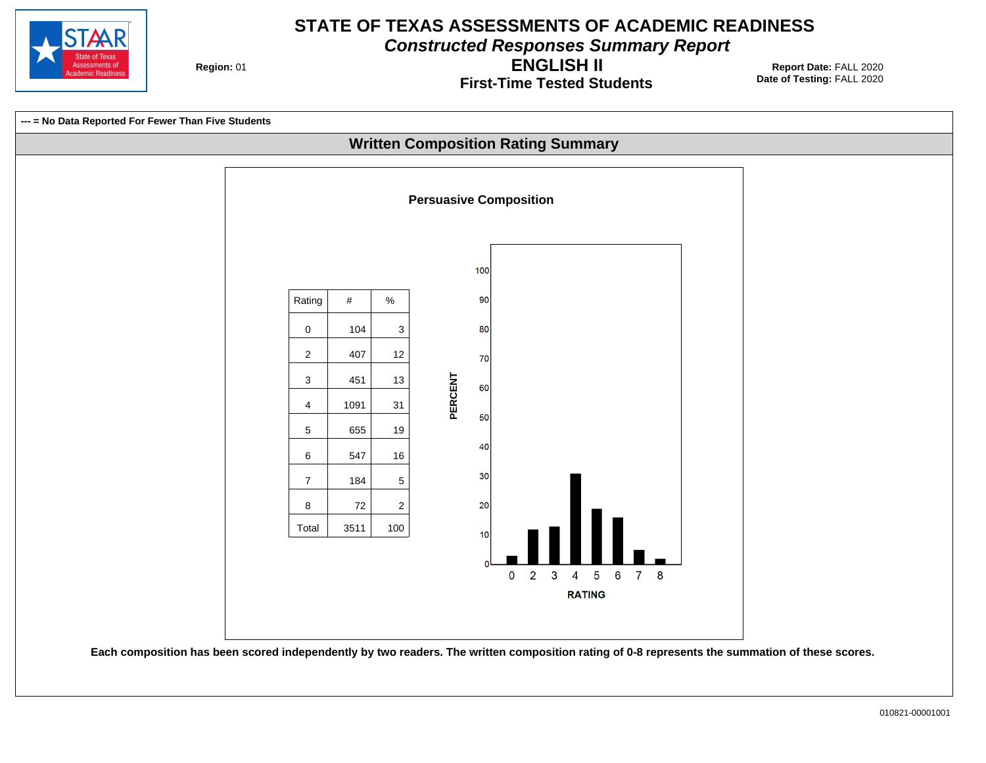

**Constructed Responses Summary Report**

**Region: 01** 

**First-Time Tested Students ENGLISH II**

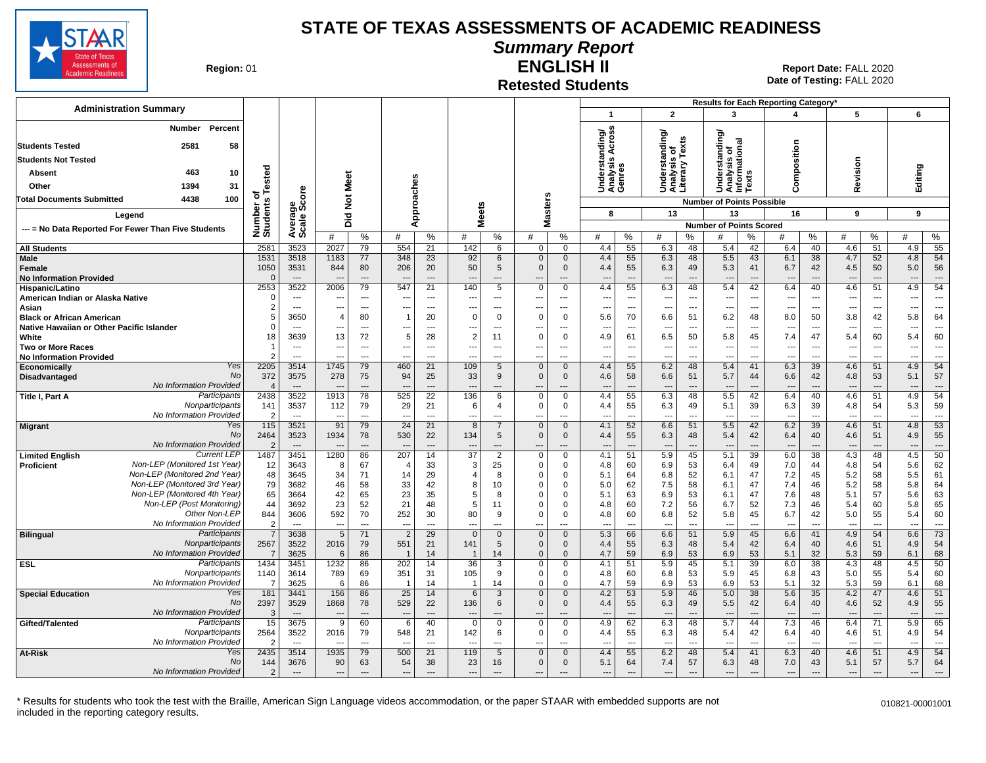

# **Summary Report**

**Region: 01** 

#### **Retested Students ENGLISH II**

**Date of Testing:**  FALL 2020 01 **Report Date:** FALL 2020

| <b>Administration Summary</b>                                                              |                                 |                                 |                          |                                            |                                                      |                         |                                                      |                                |                                  |                                            |                                    |                                 |                                                |                                 |                                            |                                | Results for Each Reporting Category'       |                                                      |                                 |                      |            |                                                      |
|--------------------------------------------------------------------------------------------|---------------------------------|---------------------------------|--------------------------|--------------------------------------------|------------------------------------------------------|-------------------------|------------------------------------------------------|--------------------------------|----------------------------------|--------------------------------------------|------------------------------------|---------------------------------|------------------------------------------------|---------------------------------|--------------------------------------------|--------------------------------|--------------------------------------------|------------------------------------------------------|---------------------------------|----------------------|------------|------------------------------------------------------|
|                                                                                            |                                 |                                 |                          |                                            |                                                      |                         |                                                      |                                |                                  |                                            | $\overline{\mathbf{1}}$            |                                 | $\overline{2}$                                 |                                 | 3                                          |                                | 4                                          |                                                      | 5                               |                      | 6          |                                                      |
| Percent<br><b>Number</b>                                                                   |                                 |                                 |                          |                                            |                                                      |                         |                                                      |                                |                                  |                                            | nding/<br>Across                   |                                 |                                                |                                 |                                            |                                |                                            |                                                      |                                 |                      |            |                                                      |
| 2581<br><b>Students Tested</b><br>58                                                       |                                 |                                 |                          |                                            |                                                      |                         |                                                      |                                |                                  |                                            |                                    |                                 | nding/                                         |                                 | laing                                      | ional                          |                                            |                                                      |                                 |                      |            |                                                      |
| <b>Students Not Tested</b>                                                                 |                                 |                                 |                          |                                            |                                                      |                         |                                                      |                                |                                  |                                            | tan<br>ទី<br>ទី                    |                                 |                                                |                                 | Ē                                          |                                |                                            |                                                      |                                 |                      |            |                                                      |
| 463<br>10<br><b>Absent</b>                                                                 |                                 |                                 |                          |                                            |                                                      |                         |                                                      |                                |                                  |                                            | Underst<br>Analysi<br>Genres       |                                 | Understanding<br>Analysis of<br>Literary Texts |                                 | Understa<br>Analysis<br>Informatio         | ú                              | Composition                                |                                                      | Revision                        |                      | Editing    |                                                      |
| Other<br>1394<br>31                                                                        | Tested                          |                                 | Meet                     |                                            |                                                      |                         |                                                      |                                |                                  |                                            |                                    |                                 |                                                |                                 |                                            | š                              |                                            |                                                      |                                 |                      |            |                                                      |
| 4438<br>100<br><b>Total Documents Submitted</b>                                            | ত                               |                                 | $\check{\mathbf{z}}$     |                                            |                                                      |                         |                                                      |                                |                                  |                                            |                                    |                                 |                                                |                                 | <b>Number of Points Possible</b>           |                                |                                            |                                                      |                                 |                      |            |                                                      |
| Legend                                                                                     | Number o<br>Students            | Average<br>Scale Score          |                          |                                            |                                                      | pproaches               | leets                                                |                                |                                  | <b>Masters</b>                             | 8                                  |                                 | 13                                             |                                 | 13                                         |                                | 16                                         |                                                      | 9                               |                      | 9          |                                                      |
| --- = No Data Reported For Fewer Than Five Students                                        |                                 |                                 | Ξã                       |                                            | ⋖                                                    |                         | Σ                                                    |                                |                                  |                                            |                                    |                                 |                                                |                                 | <b>Number of Points Scored</b>             |                                |                                            |                                                      |                                 |                      |            |                                                      |
|                                                                                            |                                 |                                 | #                        | %                                          | #                                                    | %                       | #                                                    | %                              | #                                | %                                          | #                                  | %                               | #                                              | %                               | #                                          | %                              | #                                          | %                                                    | #                               | ℅                    | #          | %                                                    |
| <b>All Students</b>                                                                        | 2581                            | 3523                            | 2027                     | 79                                         | 554                                                  | 21                      | 142                                                  | 6                              | 0                                | $\mathbf 0$                                | 4.4                                | 55                              | 6.3                                            | 48                              | 5.4                                        | 42                             | 6.4                                        | 40                                                   | 4.6                             | 51                   | 4.9        | 55                                                   |
| Male<br><b>Female</b>                                                                      | 1531<br>1050                    | 3518<br>3531                    | 1183<br>844              | 77<br>80                                   | 348<br>206                                           | 23<br>20                | 92<br>50                                             | 6<br>5                         | $\mathbf{0}$<br>$\mathbf 0$      | $\mathbf 0$<br>$\mathbf 0$                 | 4.4<br>4.4                         | 55<br>55                        | 6.3<br>6.3                                     | 48<br>49                        | 5.5<br>5.3                                 | 43<br>41                       | 6.1<br>6.7                                 | 38<br>42                                             | 4.7<br>4.5                      | 52<br>50             | 4.8<br>5.0 | 54<br>56                                             |
| <b>No Information Provided</b>                                                             | $\sqrt{ }$                      | $\overline{\phantom{a}}$        |                          | $-$ --                                     | $\sim$                                               | $\overline{a}$          |                                                      | $\overline{a}$                 | ---                              |                                            |                                    | $\overline{a}$                  | $\sim$                                         | ---                             | $\overline{a}$                             | $-$                            |                                            | $\overline{a}$                                       | $\overline{\phantom{a}}$        | $\sim$               |            | $\overline{\phantom{a}}$                             |
| Hispanic/Latino                                                                            | 2553                            | 3522                            | 2006                     | 79                                         | 547                                                  | 21                      | 140                                                  | 5                              | $\Omega$                         | $\mathbf 0$                                | 4.4                                | 55                              | 6.3                                            | 48                              | 5.4                                        | 42                             | 6.4                                        | 40                                                   | 4.6                             | 51                   | 4.9        | 54                                                   |
| American Indian or Alaska Native<br>Asian                                                  | $\mathcal{L}$<br>$\overline{2}$ | ---<br>$\overline{\phantom{a}}$ | ---                      | $\overline{a}$<br>$\overline{\phantom{a}}$ | $\overline{\phantom{a}}$<br>$\overline{\phantom{a}}$ | $---$<br>$\overline{a}$ | $\overline{\phantom{a}}$<br>$\overline{\phantom{a}}$ | $---$<br>$\ddotsc$             | ---<br>---                       | $\overline{\phantom{a}}$<br>$\overline{a}$ | $\sim$<br>$\overline{\phantom{a}}$ | ---<br>$\overline{\phantom{a}}$ | ---<br>---                                     | $\overline{\phantom{a}}$<br>--- | $\overline{\phantom{a}}$<br>$\overline{a}$ | $\sim$<br>$\sim$               | $\overline{\phantom{a}}$<br>$\overline{a}$ | $\overline{\phantom{a}}$<br>$\overline{\phantom{a}}$ | --<br>$\overline{a}$            | ---<br>---           | ---<br>-−  | $\overline{\phantom{a}}$<br>$\overline{\phantom{a}}$ |
| <b>Black or African American</b>                                                           | 5                               | 3650                            | $\overline{\mathcal{L}}$ | 80                                         | $\overline{1}$                                       | 20                      | $\mathbf 0$                                          | $\Omega$                       | $\Omega$                         | $\mathbf 0$                                | 5.6                                | 70                              | 6.6                                            | 51                              | 6.2                                        | 48                             | 8.0                                        | 50                                                   | 3.8                             | 42                   | 5.8        | 64                                                   |
| Native Hawaiian or Other Pacific Islander                                                  | $\mathbf 0$                     | ---                             | ---                      | ---                                        | ---                                                  | ---                     | $\overline{\phantom{a}}$                             | $\overline{\phantom{a}}$       |                                  | ---                                        | $\sim$                             | ---                             | ---                                            | $\overline{a}$                  | ---                                        | $\overline{\phantom{a}}$       |                                            | $\overline{\phantom{a}}$                             | $\overline{\phantom{a}}$        | ---                  | ---        | $\overline{a}$                                       |
| White<br><b>Two or More Races</b>                                                          | 18<br>- 1                       | 3639<br>---                     | 13<br>---                | 72<br>$\overline{\phantom{a}}$             | 5<br>---                                             | 28<br>---               | $\overline{2}$<br>$\overline{\phantom{a}}$           | 11<br>$\overline{\phantom{a}}$ | $\mathbf 0$<br>---               | $\mathbf 0$<br>$\scriptstyle\cdots$        | 4.9<br>$\scriptstyle\cdots$        | 61<br>$\cdots$                  | 6.5<br>$\overline{\phantom{a}}$                | 50<br>---                       | 5.8<br>---                                 | 45<br>$\sim$                   | 7.4<br>$\overline{\phantom{a}}$            | 47<br>$\overline{\phantom{a}}$                       | 5.4<br>$\overline{\phantom{a}}$ | 60<br>---            | 5.4<br>--- | 60<br>$\ddotsc$                                      |
| <b>No Information Provided</b>                                                             | 2                               |                                 | ---                      | ---                                        |                                                      |                         | $\overline{\phantom{a}}$                             | $\overline{a}$                 | ---                              | ---                                        | $\sim$                             | ---                             | ---                                            | ---                             |                                            |                                | $\overline{a}$                             | ---                                                  | $\overline{\phantom{a}}$        | ---                  | ---        | $\overline{a}$                                       |
| Yes<br>Economically                                                                        | 2205                            | 3514                            | 1745                     | 79                                         | 460                                                  | 21                      | 109                                                  | 5                              | $\mathbf{0}$                     | $\overline{0}$                             | 4.4                                | 55                              | 6.2                                            | 48                              | 5.4                                        | 41                             | 6.3                                        | 39                                                   | 4.6                             | 51                   | 4.9        | 54                                                   |
| <b>No</b><br>Disadvantaged<br>No Information Provided                                      | 372<br>$\sqrt{2}$               | 3575<br>$---$                   | 278                      | 75<br>---                                  | 94<br>---                                            | 25<br>$\overline{a}$    | 33                                                   | 9<br>$---$                     | $\overline{0}$<br>---            | $\overline{0}$                             | 4.6<br>$\overline{a}$              | 58<br>$\overline{\phantom{a}}$  | 6.6                                            | 51<br>---                       | 5.7<br>---                                 | 44<br>$\overline{\phantom{a}}$ | 6.6                                        | 42<br>$---$                                          | 4.8                             | 53<br>$\overline{a}$ | 5.1        | 57<br>$\overline{a}$                                 |
| Participants<br>Title I, Part A                                                            | 2438                            | 3522                            | 1913                     | 78                                         | 525                                                  | $\overline{22}$         | 136                                                  | 6                              | $\mathbf 0$                      | $\mathbf 0$                                | 4.4                                | 55                              | 6.3                                            | 48                              | 5.5                                        | 42                             | 6.4                                        | 40                                                   | 4.6                             | 51                   | 4.9        | 54                                                   |
| Nonparticipants                                                                            | 141                             | 3537                            | 112                      | 79                                         | 29                                                   | 21                      | 6                                                    | $\overline{4}$                 | $\mathbf 0$                      | $\mathbf 0$                                | 4.4                                | 55                              | 6.3                                            | 49                              | 5.1                                        | 39                             | 6.3                                        | 39                                                   | 4.8                             | 54                   | 5.3        | 59                                                   |
| No Information Provided<br>Yes<br><b>Migrant</b>                                           | $\tilde{z}$<br>115              | $\sim$<br>3521                  | ---<br>91                | $\overline{a}$<br>79                       | $\overline{a}$<br>24                                 | $\overline{a}$<br>21    | $\overline{\phantom{a}}$<br>8                        | $\overline{a}$                 | $\overline{a}$<br>$\overline{0}$ | $\overline{a}$<br>$\overline{0}$           | $\overline{a}$<br>4.1              | $\overline{\phantom{a}}$<br>52  | $\overline{a}$<br>6.6                          | $\overline{a}$<br>51            | $\overline{\phantom{a}}$<br>5.5            | $\sim$<br>42                   | $\overline{a}$<br>6.2                      | $\sim$<br>39                                         | $\overline{a}$<br>4.6           | $\overline{a}$<br>51 | ---<br>4.8 | $\sim$ $\sim$<br>53                                  |
| No                                                                                         | 2464                            | 3523                            | 1934                     | 78                                         | 530                                                  | 22                      | 134                                                  | 5                              | $\overline{0}$                   | $\mathbf 0$                                | 4.4                                | 55                              | 6.3                                            | 48                              | 5.4                                        | 42                             | 6.4                                        | 40                                                   | 4.6                             | 51                   | 4.9        | 55                                                   |
| No Information Provided                                                                    | $\tilde{z}$                     | $\sim$                          |                          | $-$ --                                     | $\overline{a}$                                       | $\overline{a}$          |                                                      |                                | ---                              | ---                                        |                                    | $\overline{a}$                  | ---                                            | ---                             |                                            | $\overline{\phantom{a}}$       |                                            |                                                      | $\overline{\phantom{a}}$        | $\sim$               | ---        | $\overline{\phantom{a}}$                             |
| <b>Current LEP</b><br><b>Limited English</b><br>Non-LEP (Monitored 1st Year)<br>Proficient | 1487<br>12                      | 3451<br>3643                    | 1280<br>8                | 86<br>67                                   | 207<br>$\overline{4}$                                | 14<br>33                | $\overline{37}$<br>3                                 | 2<br>25                        | $\mathbf 0$<br>$\mathbf 0$       | $\mathbf 0$<br>$\mathbf 0$                 | 4.1<br>4.8                         | 51<br>60                        | 5.9<br>6.9                                     | 45<br>53                        | 5.1<br>6.4                                 | 39<br>49                       | 6.0<br>7.0                                 | 38<br>44                                             | 4.3<br>4.8                      | 48<br>54             | 4.5<br>5.6 | 50<br>62                                             |
| Non-LEP (Monitored 2nd Year)                                                               | 48                              | 3645                            | 34                       | 71                                         | 14                                                   | 29                      | $\overline{4}$                                       | 8                              | $\Omega$                         | $\mathbf 0$                                | 5.1                                | 64                              | 6.8                                            | 52                              | 6.1                                        | 47                             | 7.2                                        | 45                                                   | 5.2                             | 58                   | 5.5        | 61                                                   |
| Non-LEP (Monitored 3rd Year)                                                               | 79                              | 3682                            | 46                       | 58                                         | 33                                                   | 42                      | 8                                                    | 10                             | $\Omega$                         | $\mathbf 0$                                | 5.0                                | 62                              | 7.5                                            | 58                              | 6.1                                        | 47                             | 7.4                                        | 46                                                   | 5.2                             | 58                   | 5.8        | 64                                                   |
| Non-LEP (Monitored 4th Year)<br>Non-LEP (Post Monitoring)                                  | 65<br>44                        | 3664<br>3692                    | 42<br>23                 | 65<br>52                                   | 23<br>21                                             | 35<br>48                | 5<br>5                                               | 8<br>11                        | $\Omega$<br>$\Omega$             | $\mathbf 0$<br>$\mathbf 0$                 | 5.1<br>4.8                         | 63<br>60                        | 6.9<br>7.2                                     | 53<br>56                        | 6.1<br>6.7                                 | 47<br>52                       | 7.6<br>7.3                                 | 48<br>46                                             | 5.1<br>5.4                      | 57<br>60             | 5.6<br>5.8 | 63<br>65                                             |
| Other Non-LEP                                                                              | 844                             | 3606                            | 592                      | 70                                         | 252                                                  | 30                      | 80                                                   | 9                              | $\overline{0}$                   | $\mathbf 0$                                | 4.8                                | 60                              | 6.8                                            | 52                              | 5.8                                        | 45                             | 6.7                                        | 42                                                   | 5.0                             | 55                   | 5.4        | 60                                                   |
| No Information Provided                                                                    | $\overline{2}$                  | $\overline{a}$                  | $\overline{a}$           | ---                                        | $\overline{a}$                                       | $\overline{a}$          | $\overline{\phantom{a}}$                             | $\overline{\phantom{a}}$       | ---                              | ---                                        | $\overline{\phantom{a}}$           | $\overline{a}$                  | ---                                            | ---                             | ---                                        | ---                            | $\overline{\phantom{a}}$                   | $\overline{\phantom{a}}$                             | ---                             | $\overline{a}$       | -−         | ---                                                  |
| Participants<br><b>Bilingual</b><br>Nonparticipants                                        | $\overline{7}$<br>2567          | 3638                            | 5<br>2016                | 71<br>79                                   | $\overline{2}$                                       | 29<br>21                | $\mathbf{0}$<br>141                                  | $\Omega$<br>5                  | $\mathbf 0$<br>$\mathbf{0}$      | $\mathbf 0$<br>$\overline{0}$              | 5.3                                | 66                              | 6.6<br>6.3                                     | 51                              | 5.9                                        | 45<br>42                       | 6.6<br>6.4                                 | 41<br>40                                             | 4.9<br>4.6                      | 54                   | 6.6<br>4.9 | 73<br>54                                             |
| No Information Provided                                                                    | -7                              | 3522<br>3625                    | 6                        | 86                                         | 551<br>$\overline{1}$                                | 14                      |                                                      | 14                             | $\mathbf 0$                      | $\Omega$                                   | 4.4<br>4.7                         | 55<br>59                        | 6.9                                            | 48<br>53                        | 5.4<br>6.9                                 | 53                             | 5.1                                        | 32                                                   | 5.3                             | 51<br>59             | 6.1        | 68                                                   |
| Participants<br>ESL                                                                        | 1434                            | 3451                            | 1232                     | 86                                         | 202                                                  | 14                      | 36                                                   | 3                              | $\mathbf 0$                      | $\mathbf 0$                                | 4.1                                | 51                              | 5.9                                            | 45                              | 5.1                                        | 39                             | 6.0                                        | 38                                                   | 4.3                             | 48                   | 4.5        | 50                                                   |
| Nonparticipants<br>No Information Provided                                                 | 1140                            | 3614                            | 789                      | 69                                         | 351                                                  | 31                      | 105                                                  | 9                              | $\mathbf 0$                      | 0                                          | 4.8                                | 60                              | 6.8                                            | 53                              | 5.9                                        | 45                             | 6.8                                        | 43                                                   | 5.0                             | 55                   | 5.4        | 60                                                   |
| Yes<br><b>Special Education</b>                                                            | -7<br>181                       | 3625<br>3441                    | 6<br>156                 | 86<br>86                                   | $\overline{1}$<br>25                                 | 14<br>14                | 6                                                    | 14<br>3                        | $\Omega$<br>$\Omega$             | $\mathbf 0$<br>$\overline{0}$              | 4.7<br>4.2                         | 59<br>53                        | 6.9<br>5.9                                     | 53<br>46                        | 6.9<br>5.0                                 | 53<br>38                       | 5.1<br>5.6                                 | 32<br>35                                             | 5.3<br>4.2                      | 59<br>47             | 6.1<br>4.6 | 68<br>51                                             |
| No                                                                                         | 2397                            | 3529                            | 1868                     | 78                                         | 529                                                  | 22                      | 136                                                  | 6                              | $\mathbf 0$                      | $\mathbf 0$                                | 4.4                                | 55                              | 6.3                                            | 49                              | 5.5                                        | 42                             | 6.4                                        | 40                                                   | 4.6                             | 52                   | 4.9        | 55                                                   |
| No Information Provided                                                                    | $\overline{3}$                  | $---$                           |                          | $\overline{a}$                             | $\overline{\phantom{a}}$                             | $---$                   |                                                      |                                | ---                              |                                            |                                    | $\overline{\phantom{a}}$        | $\overline{a}$                                 | ---                             | ---                                        | $-$                            |                                            |                                                      |                                 | $\overline{a}$       |            | $\overline{a}$                                       |
| Participants<br>Gifted/Talented<br>Nonparticipants                                         | 15<br>2564                      | 3675<br>3522                    | 9<br>2016                | 60<br>79                                   | 6<br>548                                             | 40<br>21                | $\mathbf 0$<br>142                                   | $\mathbf 0$<br>6               | $\mathbf 0$<br>$\Omega$          | $\mathbf 0$<br>$\mathbf 0$                 | 4.9<br>4.4                         | 62<br>55                        | 6.3<br>6.3                                     | 48<br>48                        | 5.7<br>5.4                                 | 44<br>42                       | 7.3<br>6.4                                 | 46<br>40                                             | 6.4<br>4.6                      | 71<br>51             | 5.9<br>4.9 | 65<br>54                                             |
| No Information Provided                                                                    | -2                              | $\overline{\phantom{a}}$        |                          | $---$                                      | $\overline{a}$                                       | $\overline{a}$          |                                                      | $\overline{a}$                 | $\sim$                           | ---                                        | $\overline{a}$                     | $\overline{a}$                  | $\sim$                                         | $\overline{a}$                  | $\overline{\phantom{a}}$                   | $\overline{\phantom{a}}$       | $\overline{a}$                             | $\overline{a}$                                       | $\sim$                          | $\overline{a}$       | ---        | $---$                                                |
| Yes<br>At-Risk                                                                             | 2435                            | 3514                            | 1935                     | 79                                         | 500                                                  | 21                      | 119                                                  | 5                              | $\Omega$                         | $\Omega$                                   | 4.4                                | 55                              | 6.2                                            | 48                              | 5.4                                        | 41                             | 6.3                                        | 40                                                   | 4.6                             | 51                   | 4.9        | 54                                                   |
| No<br>No Information Provided                                                              | 144<br>$\overline{2}$           | 3676<br>$\cdots$                | 90<br>---                | 63<br>$\qquad \qquad \cdots$               | 54<br>$\overline{\phantom{a}}$                       | 38<br>---               | 23<br>$\overline{\phantom{a}}$                       | 16                             | $\mathbf{0}$<br>---              | $\mathbf 0$                                | 5.1<br>$\overline{\phantom{a}}$    | 64<br>$\qquad \qquad \cdots$    | 7.4<br>$\hspace{0.05cm} \ldots$                | 57<br>---                       | 6.3<br>$\overline{\phantom{a}}$            | 48                             | 7.0<br>$\overline{\phantom{a}}$            | 43<br>$---$                                          | 5.1<br>$\overline{\phantom{a}}$ | 57                   | 5.7<br>--- | 64<br>$\overline{\phantom{a}}$                       |
|                                                                                            |                                 |                                 |                          |                                            |                                                      |                         |                                                      |                                |                                  |                                            |                                    |                                 |                                                |                                 |                                            |                                |                                            |                                                      |                                 |                      |            |                                                      |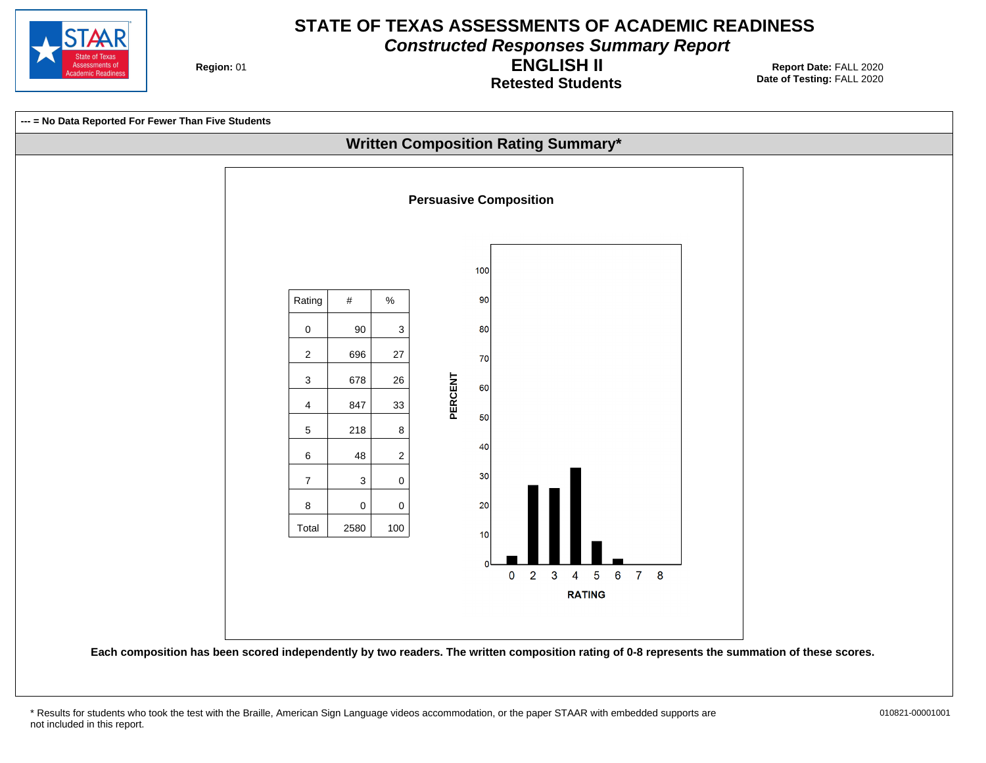

**Constructed Responses Summary Report**

**Region: 01** 

**Retested Students ENGLISH II**

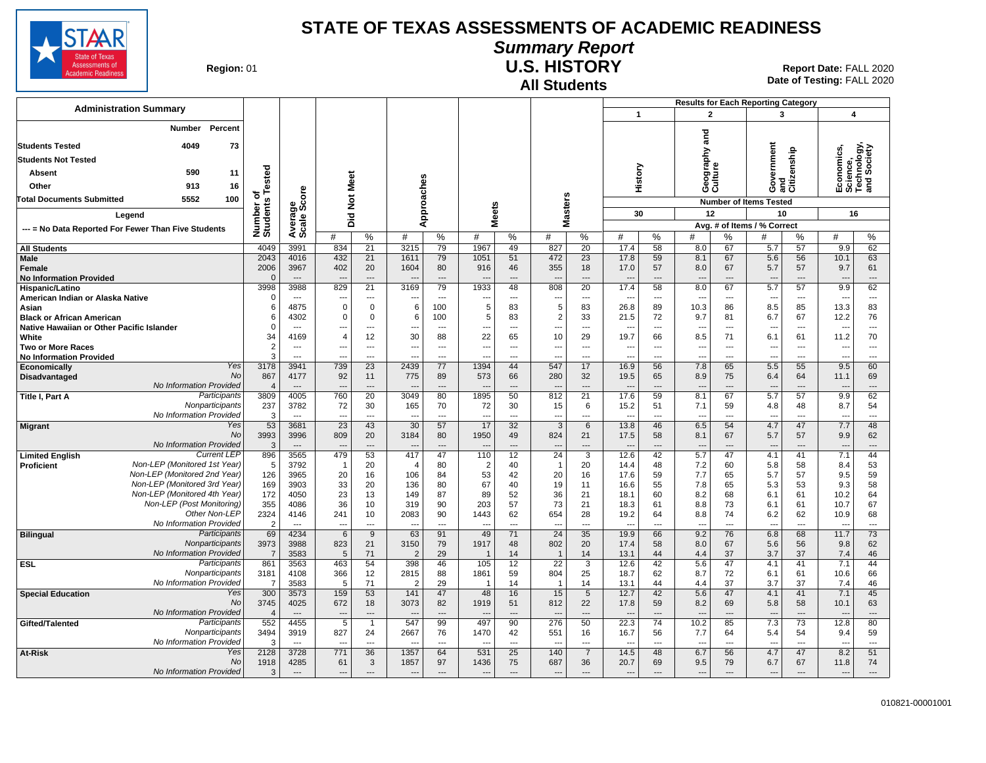

### **Summary Report**

**Region: 01** 

# **All Students**

**U.S. HISTORY** 01 **Report Date:** FALL 2020 **Date of Testing:**  FALL 2020

|                                                                      |                              |                          |                                         |                                |                                  |                                |                                  |                                |                                 |                      |                                  |                                             |                                 | <b>Results for Each Reporting Category</b> |                                 |                          |                                                      |                      |  |
|----------------------------------------------------------------------|------------------------------|--------------------------|-----------------------------------------|--------------------------------|----------------------------------|--------------------------------|----------------------------------|--------------------------------|---------------------------------|----------------------|----------------------------------|---------------------------------------------|---------------------------------|--------------------------------------------|---------------------------------|--------------------------|------------------------------------------------------|----------------------|--|
| <b>Administration Summary</b>                                        |                              |                          |                                         |                                |                                  |                                |                                  |                                |                                 |                      | $\mathbf{1}$                     |                                             | $\mathbf{2}$                    |                                            | 3                               |                          | 4                                                    |                      |  |
| Percent<br>Number                                                    |                              |                          |                                         |                                |                                  |                                |                                  |                                |                                 |                      |                                  |                                             |                                 |                                            |                                 |                          |                                                      |                      |  |
| <b>Students Tested</b><br>4049<br>73                                 |                              |                          |                                         |                                |                                  |                                |                                  |                                |                                 |                      |                                  |                                             | ត<br>ត                          |                                            |                                 |                          |                                                      |                      |  |
| <b>Students Not Tested</b>                                           |                              |                          |                                         |                                |                                  |                                |                                  |                                |                                 |                      |                                  |                                             | ξ                               |                                            | ernment                         | and<br>Citizenship       | Economics,<br>Science,<br>Technology,<br>and Society |                      |  |
| 590<br>Absent<br>11                                                  |                              |                          |                                         |                                |                                  |                                |                                  |                                |                                 |                      |                                  |                                             |                                 |                                            |                                 |                          |                                                      |                      |  |
| 913<br>16<br>Other                                                   |                              |                          |                                         |                                |                                  |                                |                                  |                                |                                 |                      | History                          |                                             | Geograp<br>Culture              |                                            | Š<br>დ                          |                          |                                                      |                      |  |
| 100<br><b>Total Documents Submitted</b><br>5552                      | Number of<br>Students Tested |                          |                                         |                                |                                  |                                |                                  |                                |                                 |                      |                                  |                                             |                                 |                                            | <b>Number of Items Tested</b>   |                          |                                                      |                      |  |
| Legend                                                               |                              | Average<br>Scale Score   | Not Meet<br>Did                         |                                | pproaches                        |                                | <b>Meets</b>                     |                                | <b>Masters</b>                  |                      | 12<br>30                         |                                             |                                 |                                            | 10                              | 16                       |                                                      |                      |  |
| --- = No Data Reported For Fewer Than Five Students                  |                              |                          |                                         |                                | ⋖                                |                                |                                  |                                |                                 |                      |                                  |                                             |                                 |                                            | Avg. # of Items / % Correct     |                          |                                                      |                      |  |
|                                                                      |                              |                          | #                                       | %                              | #                                | %                              | #                                | ℅                              | #                               | %                    | #                                | %                                           | #                               | %                                          | #                               | %                        | #                                                    | %                    |  |
| <b>All Students</b>                                                  | 4049                         | 3991                     | 834                                     | 21                             | 3215                             | 79                             | 1967                             | 49                             | 827                             | 20                   | 17.4                             | 58                                          | 8.0                             | 67                                         | 5.7                             | 57                       | 9.9                                                  | 62                   |  |
| Male<br>Female                                                       | 2043<br>2006                 | 4016<br>3967             | 432<br>402                              | 21<br>20                       | 1611<br>1604                     | 79<br>80                       | 1051<br>916                      | 51<br>46                       | 472<br>355                      | 23<br>18             | 17.8<br>17.0                     | 59<br>57                                    | 8.1<br>8.0                      | 67<br>67                                   | 5.6<br>5.7                      | 56<br>57                 | 10.1<br>9.7                                          | 63<br>61             |  |
| <b>No Information Provided</b>                                       | $\Omega$                     | $\overline{a}$           | $\overline{a}$                          | $\overline{a}$                 | --                               | $\overline{a}$                 |                                  | ---                            | $\overline{\phantom{a}}$        | $\overline{a}$       | $\overline{a}$                   | $\overline{\phantom{a}}$                    | $\overline{\phantom{a}}$        | $---$                                      | $\overline{a}$                  | $\overline{a}$           | $\sim$                                               | $\overline{a}$       |  |
| Hispanic/Latino                                                      | 3998<br>$\Omega$             | 3988<br>$---$            | 829                                     | 21<br>$\overline{\phantom{a}}$ | 3169                             | 79<br>---                      | 1933<br>$\overline{a}$           | 48<br>$\overline{\phantom{a}}$ | 808<br>---                      | 20<br>---            | 17.4<br>$\overline{\phantom{a}}$ | 58<br>$---$                                 | 8.0<br>$\overline{\phantom{a}}$ | 67<br>$---$                                | 5.7<br>---                      | 57<br>---                | 9.9<br>$\overline{a}$                                | 62<br>---            |  |
| American Indian or Alaska Native<br>Asian                            | 6                            | 4875                     | $\overline{\phantom{a}}$<br>$\mathbf 0$ | $\mathbf 0$                    | ---<br>6                         | 100                            | 5                                | 83                             | 5                               | 83                   | 26.8                             | 89                                          | 10.3                            | 86                                         | 8.5                             | 85                       | 13.3                                                 | 83                   |  |
| <b>Black or African American</b>                                     | 6                            | 4302                     | $\mathbf 0$                             | $\mathbf 0$                    | 6                                | 100                            | 5                                | 83                             | $\overline{c}$                  | 33                   | 21.5                             | 72                                          | 9.7                             | 81                                         | 6.7                             | 67                       | 12.2                                                 | 76                   |  |
| Native Hawaiian or Other Pacific Islander                            | $\mathbf 0$                  | ---                      | $\overline{a}$                          | ---                            | ---                              | ---                            | $\overline{\phantom{a}}$         | $\overline{\phantom{a}}$       |                                 | ---                  | $\overline{\phantom{a}}$         |                                             | $\overline{\phantom{a}}$        |                                            | ---                             | ---                      |                                                      | ---                  |  |
| White<br><b>Two or More Races</b>                                    | 34<br>$\overline{2}$         | 4169<br>---              | $\overline{4}$<br>$\overline{a}$        | 12<br>$\overline{\phantom{a}}$ | 30<br>---                        | 88<br>---                      | 22<br>---                        | 65<br>$\overline{\phantom{a}}$ | 10<br>$\overline{\phantom{a}}$  | 29<br>---            | 19.7<br>---                      | 66<br>$\overline{\phantom{a}}$              | 8.5<br>$\overline{\phantom{a}}$ | 71<br>---                                  | 6.1<br>---                      | 61<br>---                | 11.2<br>---                                          | 70<br>---            |  |
| <b>No Information Provided</b>                                       | 3                            | ---                      |                                         | ---                            |                                  | ---                            |                                  | ---                            | $\overline{\phantom{a}}$        | ---                  | ---                              |                                             | ---                             | ---                                        |                                 | ---                      |                                                      | ---                  |  |
| Yes<br>Economically<br>No                                            | 3178                         | 3941                     | 739                                     | $\overline{23}$                | 2439                             | 77                             | 1394                             | 44                             | 547                             | 17                   | 16.9                             | 56                                          | 7.8                             | 65                                         | 5.5                             | 55                       | 9.5                                                  | 60                   |  |
| <b>Disadvantaged</b><br>No Information Provided                      | 867<br>$\overline{4}$        | 4177<br>---              | 92<br>$\overline{a}$                    | 11<br>$\overline{a}$           | 775<br>---                       | 89<br>---                      | 573                              | 66<br>---                      | 280                             | 32<br>---            | 19.5<br>$\overline{\phantom{a}}$ | 65<br>$\overline{\phantom{a}}$              | 8.9<br>$\overline{a}$           | 75<br>---                                  | 6.4<br>---                      | 64<br>---                | 11.1                                                 | 69<br>---            |  |
| Participants<br>Title I, Part A                                      | 3809                         | 4005                     | 760                                     | 20                             | 3049                             | 80                             | 1895                             | 50                             | 812                             | 21                   | 17.6                             | 59                                          | 8.1                             | 67                                         | 5.7                             | 57                       | 9.9                                                  | 62                   |  |
| Nonparticipants<br>No Information Provided                           | 237                          | 3782<br>$\sim$           | 72                                      | 30<br>$\sim$                   | 165                              | 70<br>$\sim$                   | 72                               | 30<br>$\sim$                   | 15                              | 6<br>$\sim$          | 15.2<br>$\sim$                   | 51<br>$\overline{\phantom{a}}$              | 7.1<br>$\overline{a}$           | 59<br>$\overline{a}$                       | 4.8<br>$\overline{\phantom{a}}$ | 48<br>$\sim$             | 8.7                                                  | 54                   |  |
| Yes<br><b>Migrant</b>                                                | 3<br>53                      | 3681                     | 23                                      | 43                             | 30                               | 57                             | 17                               | 32                             | 3                               | 6                    | 13.8                             | 46                                          | 6.5                             | 54                                         | 4.7                             | 47                       | 7.7                                                  | ---<br>48            |  |
| <b>No</b>                                                            | 3993                         | 3996                     | 809                                     | 20                             | 3184                             | 80                             | 1950                             | 49                             | 824                             | 21                   | 17.5                             | 58                                          | 8.1                             | 67                                         | 5.7                             | 57                       | 9.9                                                  | 62                   |  |
| No Information Provided<br><b>Current LEP</b>                        | 3                            | $\overline{a}$           |                                         | $\overline{a}$                 | --                               | $\overline{a}$<br>47           | 110                              | $\overline{a}$                 | $\overline{\phantom{a}}$        | $---$                | $\overline{a}$                   | $\overline{\phantom{a}}$                    | $\overline{\phantom{a}}$        | $---$<br>47                                | $\overline{\phantom{a}}$        | 41                       | $\sim$                                               | ---<br>44            |  |
| <b>Limited English</b><br>Non-LEP (Monitored 1st Year)<br>Proficient | 896<br>5                     | 3565<br>3792             | 479<br>$\overline{1}$                   | 53<br>20                       | 417<br>$\overline{\mathbf{A}}$   | 80                             | $\overline{2}$                   | 12<br>40                       | 24<br>$\overline{1}$            | 3<br>20              | 12.6<br>14.4                     | 42<br>48                                    | 5.7<br>7.2                      | 60                                         | 4.1<br>5.8                      | 58                       | 7.1<br>8.4                                           | 53                   |  |
| Non-LEP (Monitored 2nd Year)                                         | 126                          | 3965                     | 20                                      | 16                             | 106                              | 84                             | 53                               | 42                             | 20                              | 16                   | 17.6                             | 59                                          | 7.7                             | 65                                         | 5.7                             | 57                       | 9.5                                                  | 59                   |  |
| Non-LEP (Monitored 3rd Year)<br>Non-LEP (Monitored 4th Year)         | 169                          | 3903                     | 33                                      | 20                             | 136                              | 80                             | 67                               | 40                             | 19                              | 11                   | 16.6                             | 55                                          | 7.8                             | 65                                         | 5.3                             | 53                       | 9.3                                                  | 58                   |  |
| Non-LEP (Post Monitoring)                                            | 172<br>355                   | 4050<br>4086             | 23<br>36                                | 13<br>10                       | 149<br>319                       | 87<br>90                       | 89<br>203                        | 52<br>57                       | 36<br>73                        | 21<br>21             | 18.1<br>18.3                     | 60<br>61                                    | 8.2<br>8.8                      | 68<br>73                                   | 6.1<br>6.1                      | 61<br>61                 | 10.2<br>10.7                                         | 64<br>67             |  |
| Other Non-LEP                                                        | 2324                         | 4146                     | 241                                     | 10                             | 2083                             | 90                             | 1443                             | 62                             | 654                             | 28                   | 19.2                             | 64                                          | 8.8                             | 74                                         | 6.2                             | 62                       | 10.9                                                 | 68                   |  |
| No Information Provided                                              | $\overline{2}$               | $\overline{\phantom{a}}$ | $\overline{\phantom{a}}$                | ---                            |                                  | $---$                          |                                  | ---                            | $\sim$                          | ---                  | $\overline{\phantom{a}}$         | $\sim$                                      | $\overline{\phantom{a}}$        | ---                                        | ---                             | $---$                    |                                                      | ---                  |  |
| Participants<br><b>Bilingual</b><br>Nonparticipants                  | 69<br>3973                   | 4234<br>3988             | 6<br>823                                | 9<br>21                        | 63<br>3150                       | 91<br>79                       | 49<br>1917                       | 71<br>48                       | 24<br>802                       | 35<br>20             | 19.9<br>17.4                     | 66<br>58                                    | 9.2<br>8.0                      | 76<br>67                                   | 6.8<br>5.6                      | 68<br>56                 | 11.7<br>9.8                                          | 73<br>62             |  |
| No Information Provided                                              | $\overline{7}$               | 3583                     | 5                                       | 71                             | $\overline{2}$                   | 29                             |                                  | 14                             | $\overline{1}$                  | 14                   | 13.1                             | 44                                          | 4.4                             | 37                                         | 3.7                             | 37                       | 7.4                                                  | 46                   |  |
| Participants<br>ESL                                                  | 861                          | 3563                     | 463                                     | 54                             | 398                              | 46                             | 105                              | 12                             | $\overline{22}$                 | $\overline{3}$       | 12.6                             | 42                                          | 5.6                             | 47                                         | 4.1                             | 41                       | 7.1                                                  | 44                   |  |
| Nonparticipants<br>No Information Provided                           | 3181<br>$\overline{7}$       | 4108<br>3583             | 366<br>5                                | 12<br>71                       | 2815<br>$\overline{2}$           | 88<br>29                       | 1861<br>-1                       | 59<br>14                       | 804<br>$\overline{1}$           | 25<br>14             | 18.7<br>13.1                     | 62<br>44                                    | 8.7<br>4.4                      | 72<br>37                                   | 6.1<br>3.7                      | 61<br>37                 | 10.6<br>7.4                                          | 66<br>46             |  |
| Yes<br><b>Special Education</b>                                      | 300                          | 3573                     | 159                                     | 53                             | 141                              | 47                             | 48                               | 16                             | 15                              | $5\phantom{1}$       | 12.7                             | 42                                          | 5.6                             | 47                                         | 4.1                             | 41                       | 7.1                                                  | 45                   |  |
| <b>No</b>                                                            | 3745                         | 4025                     | 672                                     | 18                             | 3073                             | 82                             | 1919                             | 51                             | 812                             | 22                   | 17.8                             | 59                                          | 8.2                             | 69                                         | 5.8                             | 58                       | 10.1                                                 | 63                   |  |
| No Information Provided<br>Participants<br>Gifted/Talented           | $\overline{4}$<br>552        | $\overline{a}$<br>4455   | $\overline{a}$<br>$\overline{5}$        | ---<br>$\overline{1}$          | ---<br>547                       | $\overline{\phantom{a}}$<br>99 | 497                              | ---<br>90                      | 276                             | $---$<br>50          | $\overline{a}$<br>22.3           | $\overline{\phantom{a}}$<br>$\overline{74}$ | $\overline{a}$<br>10.2          | $\overline{a}$<br>85                       | $\overline{a}$<br>7.3           | $---$<br>$\overline{73}$ | 12.8                                                 | ---<br>80            |  |
| Nonparticipants                                                      | 3494                         | 3919                     | 827                                     | 24                             | 2667                             | 76                             | 1470                             | 42                             | 551                             | 16                   | 16.7                             | 56                                          | 7.7                             | 64                                         | 5.4                             | 54                       | 9.4                                                  | 59                   |  |
| No Information Provided                                              | 3                            |                          |                                         | $\overline{a}$                 |                                  | $\overline{\phantom{a}}$       |                                  | $\overline{a}$                 |                                 | ---                  | $\overline{a}$                   |                                             | $\overline{a}$                  | $\overline{a}$                             | --                              | $\overline{a}$           |                                                      | ---                  |  |
| Yes<br>At-Risk<br><b>No</b>                                          | 2128                         | 3728                     | 771                                     | 36                             | 1357                             | 64                             | 531                              | 25                             | 140                             | $\overline{7}$       | 14.5                             | 48                                          | 6.7                             | 56                                         | 4.7                             | 47                       | 8.2                                                  | 51                   |  |
| No Information Provided                                              | 1918<br>3                    | 4285<br>$---$            | 61<br>$---$                             | 3<br>$---$                     | 1857<br>$\overline{\phantom{a}}$ | 97<br>$---$                    | 1436<br>$\overline{\phantom{a}}$ | 75<br>$\overline{a}$           | 687<br>$\overline{\phantom{a}}$ | 36<br>$\overline{a}$ | 20.7<br>$\overline{a}$           | 69<br>$---$                                 | 9.5<br>$\overline{\phantom{a}}$ | 79<br>$---$                                | 6.7<br>$\overline{\phantom{a}}$ | 67<br>$---$              | 11.8<br>$\overline{\phantom{a}}$                     | 74<br>$\overline{a}$ |  |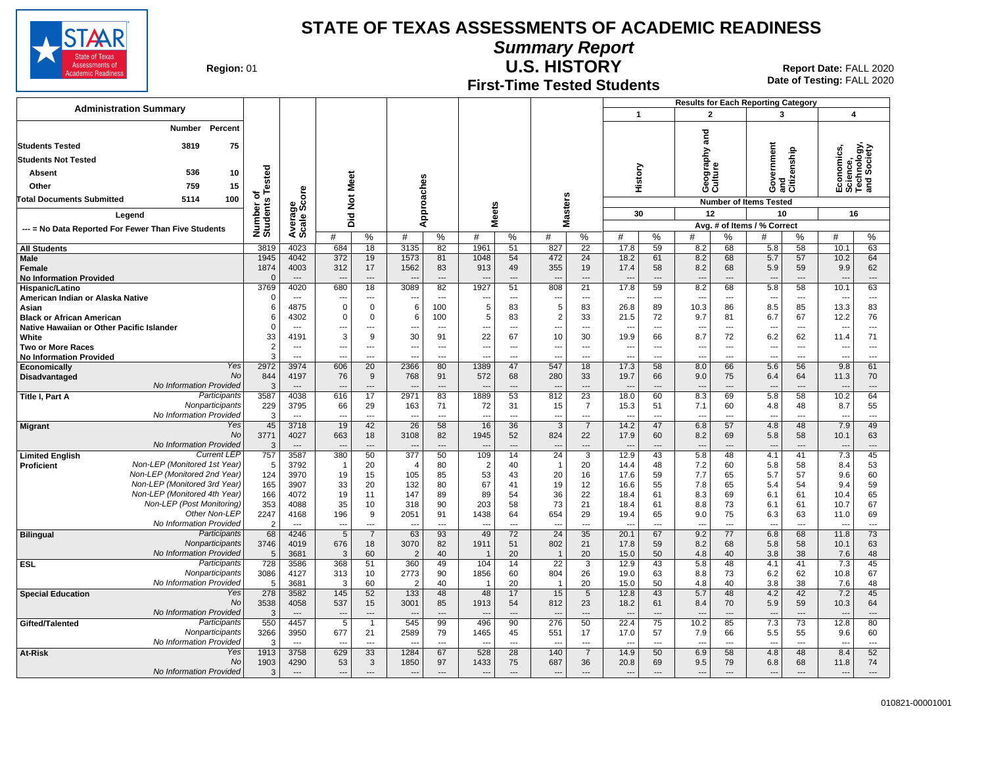

**Summary Report**

State of **Assessments of** demic Readine

**Region: 01** 

# **U.S. HISTORY** 01 **Report Date:** FALL 2020

**Date of Testing:**  FALL 2020

**First-Time Tested Students**

| <b>Administration Summary</b>                                 |                                                              |                                 |                     |                                         |                          |                                  |                                    |                         |                                  |                                |                                 | <b>Results for Each Reporting Category</b> |                                                      |                                  |                                 |                          |                               |                                  |                                                      |                                  |
|---------------------------------------------------------------|--------------------------------------------------------------|---------------------------------|---------------------|-----------------------------------------|--------------------------|----------------------------------|------------------------------------|-------------------------|----------------------------------|--------------------------------|---------------------------------|--------------------------------------------|------------------------------------------------------|----------------------------------|---------------------------------|--------------------------|-------------------------------|----------------------------------|------------------------------------------------------|----------------------------------|
|                                                               |                                                              |                                 |                     |                                         |                          |                                  |                                    |                         |                                  |                                |                                 |                                            | $\overline{1}$                                       |                                  | $\mathbf{2}$                    |                          | 3                             |                                  | $\boldsymbol{4}$                                     |                                  |
|                                                               | Number                                                       | Percent                         |                     |                                         |                          |                                  |                                    |                         |                                  |                                |                                 |                                            |                                                      |                                  |                                 |                          |                               |                                  |                                                      |                                  |
|                                                               |                                                              |                                 |                     |                                         |                          |                                  |                                    |                         |                                  |                                |                                 |                                            |                                                      |                                  | and                             |                          |                               |                                  |                                                      |                                  |
| <b>Students Tested</b>                                        | 3819                                                         | 75                              |                     |                                         |                          |                                  |                                    |                         |                                  |                                |                                 |                                            |                                                      |                                  | Geography<br>Culture            |                          | ernment                       | and<br>Citizenship               | Economics,<br>Science,<br>Technology,<br>and Society | nnology,<br>Society              |
| <b>Students Not Tested</b>                                    |                                                              |                                 |                     |                                         |                          |                                  |                                    |                         |                                  |                                |                                 |                                            |                                                      |                                  |                                 |                          |                               |                                  |                                                      |                                  |
| <b>Absent</b>                                                 | 536                                                          | 10                              | ested               |                                         |                          |                                  |                                    |                         |                                  |                                |                                 |                                            | History                                              |                                  |                                 |                          |                               |                                  |                                                      |                                  |
| Other                                                         | 759                                                          | 15                              |                     |                                         |                          |                                  |                                    |                         |                                  |                                |                                 |                                            |                                                      |                                  |                                 |                          | Š<br>O                        |                                  |                                                      |                                  |
| <b>Total Documents Submitted</b>                              | 5114                                                         | 100                             | ৳                   | ore                                     |                          |                                  |                                    |                         |                                  |                                |                                 |                                            |                                                      |                                  |                                 |                          | <b>Number of Items Tested</b> |                                  |                                                      |                                  |
|                                                               |                                                              |                                 |                     |                                         | Did Not Meet<br>క్తిం    |                                  | Approaches                         |                         | <b>Meets</b>                     |                                |                                 |                                            | 30                                                   |                                  | 12                              |                          | 10                            |                                  | 16                                                   |                                  |
| Legend<br>--- = No Data Reported For Fewer Than Five Students |                                                              |                                 |                     | Number of<br>Students<br>Avera<br>Scale |                          |                                  |                                    |                         |                                  |                                | <b>Masters</b>                  |                                            |                                                      |                                  |                                 |                          | Avg. # of Items / % Correct   |                                  |                                                      |                                  |
|                                                               |                                                              |                                 |                     |                                         | #                        | %                                | #                                  | $\%$                    | #                                | $\%$                           | #                               | %                                          | #                                                    | %                                | #                               | %                        | #                             | %                                | #                                                    | %                                |
| <b>All Students</b>                                           |                                                              |                                 | 3819                | 4023                                    | 684                      | 18                               | 3135                               | 82                      | 1961                             | 51                             | 827                             | 22                                         | 17.8                                                 | 59                               | 8.2                             | 68                       | 5.8                           | 58                               | 10.1                                                 | 63                               |
| Male                                                          |                                                              |                                 | 1945                | 4042                                    | 372                      | 19                               | 1573                               | 81                      | 1048                             | 54                             | 472                             | 24                                         | 18.2                                                 | 61                               | 8.2                             | 68                       | 5.7                           | 57                               | 10.2                                                 | 64                               |
| Female                                                        |                                                              |                                 | 1874                | 4003                                    | 312                      | 17                               | 1562                               | 83                      | 913                              | 49                             | 355                             | 19                                         | 17.4                                                 | 58                               | 8.2                             | 68                       | 5.9                           | 59                               | 9.9                                                  | 62                               |
| <b>No Information Provided</b>                                |                                                              |                                 | $\Omega$            | $---$                                   |                          | $---$                            |                                    | $\overline{a}$          |                                  | $---$                          |                                 | $\overline{a}$                             | $\overline{\phantom{a}}$                             | $\overline{a}$                   | $\sim$                          | $\sim$                   | $\overline{\phantom{a}}$      | $\overline{a}$                   | $\overline{a}$                                       | $---$                            |
| Hispanic/Latino<br>American Indian or Alaska Native           |                                                              |                                 | 3769<br>$\mathbf 0$ | 4020<br>$\overline{\phantom{a}}$        | 680<br>---               | 18<br>$\overline{a}$             | 3089<br>---                        | 82<br>---               | 1927<br>$\overline{\phantom{a}}$ | 51<br>$\overline{a}$           | 808<br>$\overline{\phantom{a}}$ | 21<br>$\overline{a}$                       | 17.8<br>$\overline{\phantom{a}}$                     | 59<br>---                        | 8.2<br>$\overline{\phantom{a}}$ | 68<br>---                | 5.8<br>---                    | 58<br>$\overline{a}$             | 10.1<br>$\overline{\phantom{a}}$                     | 63<br>---                        |
| Asian                                                         |                                                              |                                 | 6                   | 4875                                    | $\pmb{0}$                | $\mathbf 0$                      | 6                                  | 100                     | 5                                | 83                             | 5                               | 83                                         | 26.8                                                 | 89                               | 10.3                            | 86                       | 8.5                           | 85                               | 13.3                                                 | 83                               |
| <b>Black or African American</b>                              |                                                              |                                 | 6                   | 4302                                    | $\mathbf 0$              | $\mathbf 0$                      | 6                                  | 100                     | 5                                | 83                             | $\overline{2}$                  | 33                                         | 21.5                                                 | 72                               | 9.7                             | 81                       | 6.7                           | 67                               | 12.2                                                 | 76                               |
| Native Hawaiian or Other Pacific Islander                     |                                                              |                                 | $\Omega$            | $\overline{\phantom{a}}$                | ---                      | $\overline{\phantom{a}}$         | ---                                | ---                     | ---                              | $\overline{\phantom{a}}$       | ---                             | $\overline{\phantom{a}}$                   | $\overline{\phantom{a}}$                             | ---                              | $---$                           | ---                      | ---                           | $\overline{\phantom{a}}$         | $\overline{\phantom{a}}$                             | ---                              |
| White                                                         |                                                              |                                 | 33                  | 4191                                    | 3                        | 9                                | 30                                 | 91                      | 22                               | 67                             | 10                              | 30                                         | 19.9                                                 | 66                               | 8.7                             | 72                       | 6.2                           | 62                               | 11.4                                                 | 71                               |
| <b>Two or More Races</b>                                      |                                                              |                                 | $\overline{2}$<br>3 | $\overline{a}$<br>$-$                   | $\overline{a}$           | $\overline{a}$<br>$\overline{a}$ | $\overline{\phantom{a}}$<br>$\sim$ | $---$<br>$\overline{a}$ | $\overline{a}$<br>$\sim$         | $---$<br>$\overline{a}$        | ---<br>$\sim$                   | $\overline{a}$<br>$\overline{a}$           | $\overline{\phantom{a}}$<br>$\overline{\phantom{a}}$ | $\overline{a}$<br>$\overline{a}$ | $---$                           | $\overline{a}$<br>$\sim$ | $---$<br>$\sim$               | $\overline{a}$<br>$\overline{a}$ | $\overline{\phantom{a}}$<br>$\sim$                   | $\overline{a}$<br>$\overline{a}$ |
| <b>No Information Provided</b><br>Economically                |                                                              | Yes                             | 2972                | 3974                                    | 606                      | 20                               | 2366                               | 80                      | 1389                             | 47                             | 547                             | 18                                         | 17.3                                                 | 58                               | 8.0                             | 66                       | 5.6                           | 56                               | 9.8                                                  | 61                               |
| <b>Disadvantaged</b>                                          |                                                              | <b>No</b>                       | 844                 | 4197                                    | 76                       | 9                                | 768                                | 91                      | 572                              | 68                             | 280                             | 33                                         | 19.7                                                 | 66                               | 9.0                             | 75                       | 6.4                           | 64                               | 11.3                                                 | 70                               |
|                                                               | <b>No Information Provided</b>                               |                                 | 3                   | $---$                                   |                          | $\overline{a}$                   |                                    | $\overline{a}$          |                                  | $\overline{a}$                 |                                 | $\overline{a}$                             | $\overline{\phantom{a}}$                             | $\overline{a}$                   |                                 | $\sim$                   |                               |                                  |                                                      | $\overline{a}$                   |
| Title I, Part A                                               |                                                              | Participants                    | 3587                | 4038                                    | 616                      | 17                               | 2971                               | 83                      | 1889                             | 53                             | 812                             | 23                                         | 18.0                                                 | 60                               | 8.3                             | 69                       | 5.8                           | 58                               | 10.2                                                 | 64                               |
|                                                               | No Information Provided                                      | Nonparticipants                 | 229                 | 3795                                    | 66                       | 29                               | 163                                | 71                      | 72                               | 31                             | 15                              | $\overline{7}$                             | 15.3                                                 | 51                               | 7.1                             | 60                       | 4.8                           | 48                               | 8.7                                                  | 55                               |
| <b>Migrant</b>                                                |                                                              | Yes                             | 3<br>45             | 3718                                    | $\overline{a}$<br>19     | ---<br>42                        | $\overline{\phantom{a}}$<br>26     | ---<br>58               | ---<br>16                        | $\overline{\phantom{a}}$<br>36 | ---<br>3                        | $\overline{a}$<br>$\overline{7}$           | $\overline{\phantom{a}}$<br>14.2                     | ---<br>47                        | $\overline{\phantom{a}}$<br>6.8 | ---<br>57                | ---<br>4.8                    | 48                               | $\overline{\phantom{a}}$<br>7.9                      | ---<br>49                        |
|                                                               |                                                              | <b>No</b>                       | 3771                | 4027                                    | 663                      | 18                               | 3108                               | 82                      | 1945                             | 52                             | 824                             | 22                                         | 17.9                                                 | 60                               | 8.2                             | 69                       | 5.8                           | 58                               | 10.1                                                 | 63                               |
|                                                               | No Information Provided                                      |                                 | 3                   | $---$                                   |                          | $\overline{a}$                   |                                    | ---                     |                                  | $\overline{a}$                 |                                 | $\overline{a}$                             | $\overline{\phantom{a}}$                             | $\overline{a}$                   |                                 | ---                      | $\overline{\phantom{a}}$      |                                  |                                                      | ---                              |
| <b>Limited English</b>                                        |                                                              | <b>Current LEP</b>              | 757                 | 3587                                    | 380                      | 50                               | 377                                | 50                      | 109                              | 14                             | $\overline{24}$                 | $\overline{3}$                             | 12.9                                                 | 43                               | 5.8                             | 48                       | 4.1                           | 41                               | 7.3                                                  | 45                               |
| Proficient                                                    | Non-LEP (Monitored 1st Year)<br>Non-LEP (Monitored 2nd Year) |                                 | 5                   | 3792                                    | -1                       | 20                               | $\overline{4}$                     | 80                      | $\overline{2}$                   | 40<br>43                       | $\overline{1}$                  | 20                                         | 14.4                                                 | 48                               | 7.2                             | 60                       | 5.8                           | 58                               | 8.4                                                  | 53                               |
|                                                               | Non-LEP (Monitored 3rd Year)                                 |                                 | 124<br>165          | 3970<br>3907                            | 19<br>33                 | 15<br>20                         | 105<br>132                         | 85<br>80                | 53<br>67                         | 41                             | 20<br>19                        | 16<br>12                                   | 17.6<br>16.6                                         | 59<br>55                         | 7.7<br>7.8                      | 65<br>65                 | 5.7<br>5.4                    | 57<br>54                         | 9.6<br>9.4                                           | 60<br>59                         |
|                                                               | Non-LEP (Monitored 4th Year)                                 |                                 | 166                 | 4072                                    | 19                       | 11                               | 147                                | 89                      | 89                               | 54                             | 36                              | 22                                         | 18.4                                                 | 61                               | 8.3                             | 69                       | 6.1                           | 61                               | 10.4                                                 | 65                               |
|                                                               | Non-LEP (Post Monitoring)                                    |                                 | 353                 | 4088                                    | 35                       | 10                               | 318                                | 90                      | 203                              | 58                             | 73                              | 21                                         | 18.4                                                 | 61                               | 8.8                             | 73                       | 6.1                           | 61                               | 10.7                                                 | 67                               |
|                                                               |                                                              | Other Non-LEP                   | 2247                | 4168                                    | 196                      | 9                                | 2051                               | 91                      | 1438                             | 64                             | 654                             | 29                                         | 19.4                                                 | 65                               | 9.0                             | 75                       | 6.3                           | 63                               | 11.0                                                 | 69                               |
|                                                               | No Information Provided                                      |                                 | $\overline{2}$      |                                         | ---                      | ---                              | ---                                |                         | ---                              | ---                            | ---                             | $\overline{a}$                             | ---                                                  | ---                              | $\overline{\phantom{a}}$        | ---                      | ---                           |                                  | ---                                                  | ---                              |
| <b>Bilingual</b>                                              |                                                              | Participants<br>Nonparticipants | 68<br>3746          | 4246<br>4019                            | $5\overline{}$<br>676    | $\overline{7}$<br>18             | 63<br>3070                         | 93<br>82                | 49<br>1911                       | 72<br>51                       | $\overline{24}$<br>802          | 35<br>21                                   | 20.1<br>17.8                                         | 67<br>59                         | 9.2<br>8.2                      | 77<br>68                 | 6.8<br>5.8                    | 68<br>58                         | 11.8<br>10.1                                         | 73<br>63                         |
|                                                               | No Information Provided                                      |                                 | 5                   | 3681                                    | 3                        | 60                               | $\overline{2}$                     | 40                      | $\mathbf{1}$                     | 20                             | $\overline{1}$                  | 20                                         | 15.0                                                 | 50                               | 4.8                             | 40                       | 3.8                           | 38                               | 7.6                                                  | 48                               |
| <b>ESL</b>                                                    |                                                              | Participants                    | 728                 | 3586                                    | 368                      | 51                               | 360                                | 49                      | 104                              | 14                             | $\overline{22}$                 | 3                                          | 12.9                                                 | 43                               | 5.8                             | 48                       | 4.1                           | 41                               | 7.3                                                  | 45                               |
|                                                               |                                                              | Nonparticipants                 | 3086                | 4127                                    | 313                      | 10                               | 2773                               | 90                      | 1856                             | 60                             | 804                             | 26                                         | 19.0                                                 | 63                               | 8.8                             | 73                       | 6.2                           | 62                               | 10.8                                                 | 67                               |
|                                                               | No Information Provided                                      |                                 | 5                   | 3681                                    | 3                        | 60                               | $\mathcal{P}$                      | 40                      | -1                               | 20                             | $\overline{1}$                  | 20                                         | 15.0                                                 | 50                               | 4.8                             | 40                       | 3.8                           | 38                               | 7.6                                                  | 48                               |
| <b>Special Education</b>                                      |                                                              | Yes<br>No                       | 278<br>3538         | 3582<br>4058                            | 145                      | 52<br>15                         | 133                                | 48                      | 48<br>1913                       | 17                             | 15<br>812                       | 5<br>23                                    | 12.8                                                 | 43                               | 5.7                             | 48                       | 4.2<br>5.9                    | 42<br>59                         | 7.2<br>10.3                                          | 45                               |
|                                                               | No Information Provided                                      |                                 | 3                   | $\overline{\phantom{a}}$                | 537<br>---               | $\overline{\phantom{a}}$         | 3001                               | 85                      |                                  | 54<br>$\overline{a}$           |                                 | $\overline{a}$                             | 18.2<br>$\overline{\phantom{a}}$                     | 61<br>$---$                      | 8.4                             | 70<br>---                | ---                           | ---                              |                                                      | 64<br>---                        |
| Gifted/Talented                                               |                                                              | Participants                    | 550                 | 4457                                    | $\overline{5}$           | $\overline{1}$                   | 545                                | 99                      | 496                              | 90                             | 276                             | 50                                         | 22.4                                                 | 75                               | 10.2                            | 85                       | 7.3                           | 73                               | 12.8                                                 | 80                               |
|                                                               |                                                              | Nonparticipants                 | 3266                | 3950                                    | 677                      | 21                               | 2589                               | 79                      | 1465                             | 45                             | 551                             | 17                                         | 17.0                                                 | 57                               | 7.9                             | 66                       | 5.5                           | 55                               | 9.6                                                  | 60                               |
|                                                               | No Information Provided                                      |                                 | 3                   | $\overline{\phantom{a}}$                | $\overline{\phantom{a}}$ | ---                              |                                    | ---                     |                                  | ---                            |                                 | $\overline{\phantom{a}}$                   | $\overline{\phantom{a}}$                             | ---                              | $\overline{\phantom{a}}$        | ---                      | ---                           | ---                              |                                                      | ---                              |
| At-Risk                                                       |                                                              | Yes                             | 1913                | 3758                                    | 629                      | 33                               | 1284                               | 67                      | 528                              | 28                             | 140                             | $\overline{7}$                             | 14.9                                                 | 50                               | 6.9                             | 58                       | 4.8                           | 48                               | 8.4                                                  | 52                               |
|                                                               | No Information Provided                                      | No                              | 1903<br>3           | 4290<br>$\overline{\phantom{a}}$        | 53<br>$---$              | 3<br>$---$                       | 1850<br>$\overline{\phantom{a}}$   | 97<br>$---$             | 1433<br>$\overline{a}$           | 75<br>$\overline{\phantom{a}}$ | 687<br>$\overline{\phantom{a}}$ | 36<br>$---$                                | 20.8<br>$\overline{\phantom{a}}$                     | 69<br>---                        | 9.5<br>$\overline{\phantom{a}}$ | 79<br>$\overline{a}$     | 6.8<br>$---$                  | 68<br>$---$                      | 11.8<br>$\overline{\phantom{a}}$                     | 74<br>$---$                      |
|                                                               |                                                              |                                 |                     |                                         |                          |                                  |                                    |                         |                                  |                                |                                 |                                            |                                                      |                                  |                                 |                          |                               |                                  |                                                      |                                  |